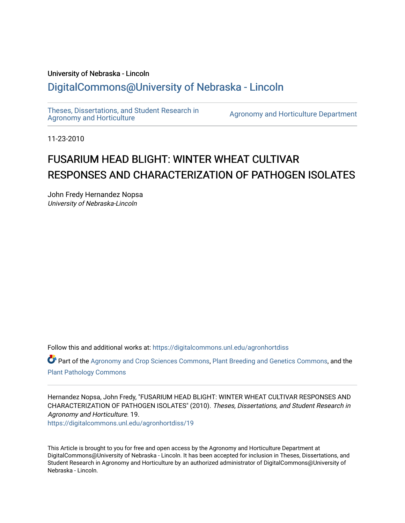## University of Nebraska - Lincoln [DigitalCommons@University of Nebraska - Lincoln](https://digitalcommons.unl.edu/)

[Theses, Dissertations, and Student Research in](https://digitalcommons.unl.edu/agronhortdiss) 

[Agronomy and Horticulture](https://digitalcommons.unl.edu/agronhortdiss) Department

11-23-2010

# FUSARIUM HEAD BLIGHT: WINTER WHEAT CULTIVAR RESPONSES AND CHARACTERIZATION OF PATHOGEN ISOLATES

John Fredy Hernandez Nopsa University of Nebraska-Lincoln

Follow this and additional works at: [https://digitalcommons.unl.edu/agronhortdiss](https://digitalcommons.unl.edu/agronhortdiss?utm_source=digitalcommons.unl.edu%2Fagronhortdiss%2F19&utm_medium=PDF&utm_campaign=PDFCoverPages) 

Part of the [Agronomy and Crop Sciences Commons,](http://network.bepress.com/hgg/discipline/103?utm_source=digitalcommons.unl.edu%2Fagronhortdiss%2F19&utm_medium=PDF&utm_campaign=PDFCoverPages) [Plant Breeding and Genetics Commons](http://network.bepress.com/hgg/discipline/108?utm_source=digitalcommons.unl.edu%2Fagronhortdiss%2F19&utm_medium=PDF&utm_campaign=PDFCoverPages), and the [Plant Pathology Commons](http://network.bepress.com/hgg/discipline/107?utm_source=digitalcommons.unl.edu%2Fagronhortdiss%2F19&utm_medium=PDF&utm_campaign=PDFCoverPages) 

Hernandez Nopsa, John Fredy, "FUSARIUM HEAD BLIGHT: WINTER WHEAT CULTIVAR RESPONSES AND CHARACTERIZATION OF PATHOGEN ISOLATES" (2010). Theses, Dissertations, and Student Research in Agronomy and Horticulture. 19. [https://digitalcommons.unl.edu/agronhortdiss/19](https://digitalcommons.unl.edu/agronhortdiss/19?utm_source=digitalcommons.unl.edu%2Fagronhortdiss%2F19&utm_medium=PDF&utm_campaign=PDFCoverPages)

This Article is brought to you for free and open access by the Agronomy and Horticulture Department at DigitalCommons@University of Nebraska - Lincoln. It has been accepted for inclusion in Theses, Dissertations, and Student Research in Agronomy and Horticulture by an authorized administrator of DigitalCommons@University of Nebraska - Lincoln.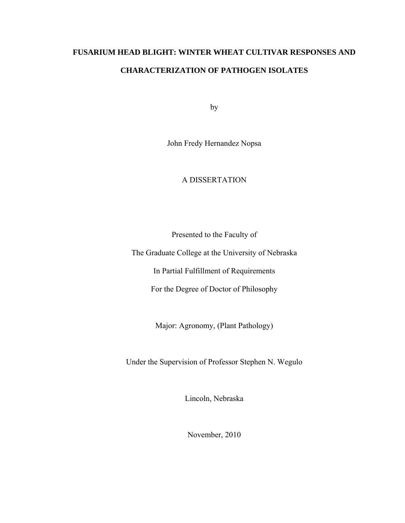# **FUSARIUM HEAD BLIGHT: WINTER WHEAT CULTIVAR RESPONSES AND CHARACTERIZATION OF PATHOGEN ISOLATES**

by

John Fredy Hernandez Nopsa

## A DISSERTATION

Presented to the Faculty of

The Graduate College at the University of Nebraska

In Partial Fulfillment of Requirements

For the Degree of Doctor of Philosophy

Major: Agronomy, (Plant Pathology)

Under the Supervision of Professor Stephen N. Wegulo

Lincoln, Nebraska

November, 2010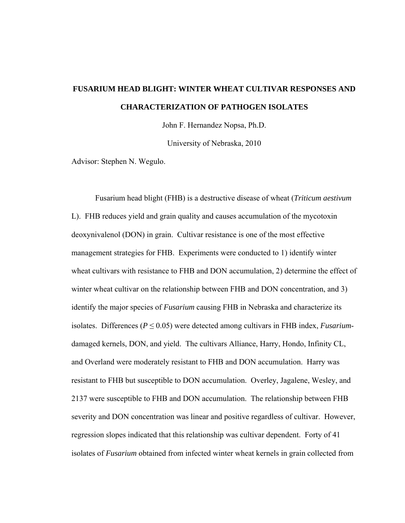# **FUSARIUM HEAD BLIGHT: WINTER WHEAT CULTIVAR RESPONSES AND CHARACTERIZATION OF PATHOGEN ISOLATES**

John F. Hernandez Nopsa, Ph.D.

University of Nebraska, 2010

Advisor: Stephen N. Wegulo.

Fusarium head blight (FHB) is a destructive disease of wheat (*Triticum aestivum*  L). FHB reduces yield and grain quality and causes accumulation of the mycotoxin deoxynivalenol (DON) in grain. Cultivar resistance is one of the most effective management strategies for FHB. Experiments were conducted to 1) identify winter wheat cultivars with resistance to FHB and DON accumulation, 2) determine the effect of winter wheat cultivar on the relationship between FHB and DON concentration, and 3) identify the major species of *Fusarium* causing FHB in Nebraska and characterize its isolates. Differences ( $P \le 0.05$ ) were detected among cultivars in FHB index, *Fusarium*damaged kernels, DON, and yield. The cultivars Alliance, Harry, Hondo, Infinity CL, and Overland were moderately resistant to FHB and DON accumulation. Harry was resistant to FHB but susceptible to DON accumulation. Overley, Jagalene, Wesley, and 2137 were susceptible to FHB and DON accumulation. The relationship between FHB severity and DON concentration was linear and positive regardless of cultivar. However, regression slopes indicated that this relationship was cultivar dependent. Forty of 41 isolates of *Fusarium* obtained from infected winter wheat kernels in grain collected from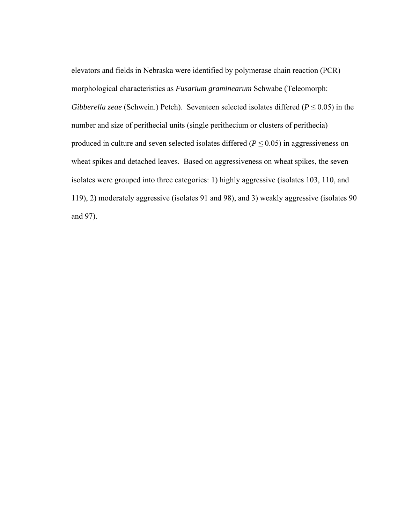elevators and fields in Nebraska were identified by polymerase chain reaction (PCR) morphological characteristics as *Fusarium graminearum* Schwabe (Teleomorph: *Gibberella zeae* (Schwein.) Petch). Seventeen selected isolates differed ( $P \le 0.05$ ) in the number and size of perithecial units (single perithecium or clusters of perithecia) produced in culture and seven selected isolates differed ( $P \le 0.05$ ) in aggressiveness on wheat spikes and detached leaves. Based on aggressiveness on wheat spikes, the seven isolates were grouped into three categories: 1) highly aggressive (isolates 103, 110, and 119), 2) moderately aggressive (isolates 91 and 98), and 3) weakly aggressive (isolates 90 and 97).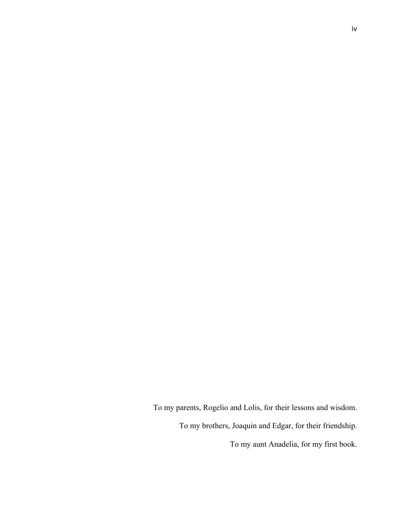To my parents, Rogelio and Lolis, for their lessons and wisdom. To my brothers, Joaquin and Edgar, for their friendship.

To my aunt Anadelia, for my first book.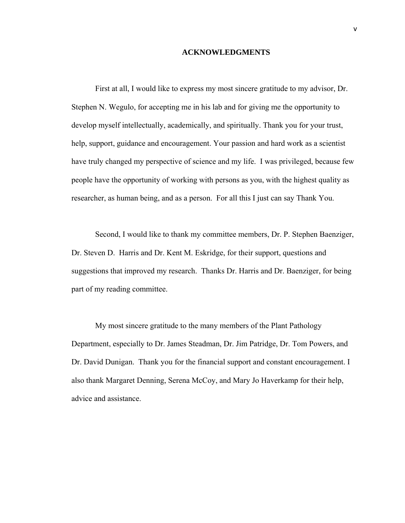### **ACKNOWLEDGMENTS**

First at all, I would like to express my most sincere gratitude to my advisor, Dr. Stephen N. Wegulo, for accepting me in his lab and for giving me the opportunity to develop myself intellectually, academically, and spiritually. Thank you for your trust, help, support, guidance and encouragement. Your passion and hard work as a scientist have truly changed my perspective of science and my life. I was privileged, because few people have the opportunity of working with persons as you, with the highest quality as researcher, as human being, and as a person. For all this I just can say Thank You.

Second, I would like to thank my committee members, Dr. P. Stephen Baenziger, Dr. Steven D. Harris and Dr. Kent M. Eskridge, for their support, questions and suggestions that improved my research. Thanks Dr. Harris and Dr. Baenziger, for being part of my reading committee.

My most sincere gratitude to the many members of the Plant Pathology Department, especially to Dr. James Steadman, Dr. Jim Patridge, Dr. Tom Powers, and Dr. David Dunigan. Thank you for the financial support and constant encouragement. I also thank Margaret Denning, Serena McCoy, and Mary Jo Haverkamp for their help, advice and assistance.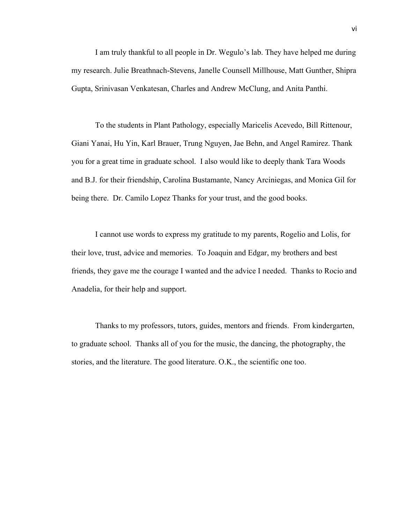I am truly thankful to all people in Dr. Wegulo's lab. They have helped me during my research. Julie Breathnach-Stevens, Janelle Counsell Millhouse, Matt Gunther, Shipra Gupta, Srinivasan Venkatesan, Charles and Andrew McClung, and Anita Panthi.

To the students in Plant Pathology, especially Maricelis Acevedo, Bill Rittenour, Giani Yanai, Hu Yin, Karl Brauer, Trung Nguyen, Jae Behn, and Angel Ramirez. Thank you for a great time in graduate school. I also would like to deeply thank Tara Woods and B.J. for their friendship, Carolina Bustamante, Nancy Arciniegas, and Monica Gil for being there. Dr. Camilo Lopez Thanks for your trust, and the good books.

I cannot use words to express my gratitude to my parents, Rogelio and Lolis, for their love, trust, advice and memories. To Joaquin and Edgar, my brothers and best friends, they gave me the courage I wanted and the advice I needed. Thanks to Rocio and Anadelia, for their help and support.

Thanks to my professors, tutors, guides, mentors and friends. From kindergarten, to graduate school. Thanks all of you for the music, the dancing, the photography, the stories, and the literature. The good literature. O.K., the scientific one too.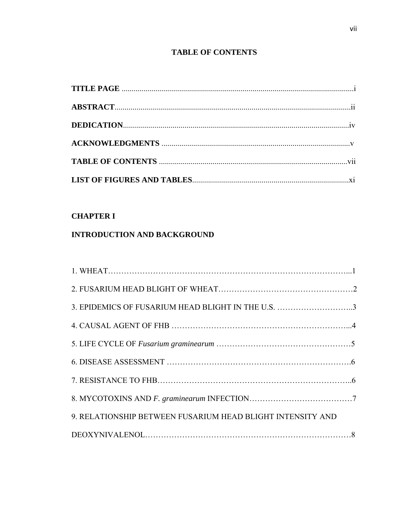## **TABLE OF CONTENTS**

## **CHAPTER I**

## **INTRODUCTION AND BACKGROUND**

| 3. EPIDEMICS OF FUSARIUM HEAD BLIGHT IN THE U.S. 3         |  |
|------------------------------------------------------------|--|
|                                                            |  |
|                                                            |  |
|                                                            |  |
|                                                            |  |
|                                                            |  |
| 9. RELATIONSHIP BETWEEN FUSARIUM HEAD BLIGHT INTENSITY AND |  |
|                                                            |  |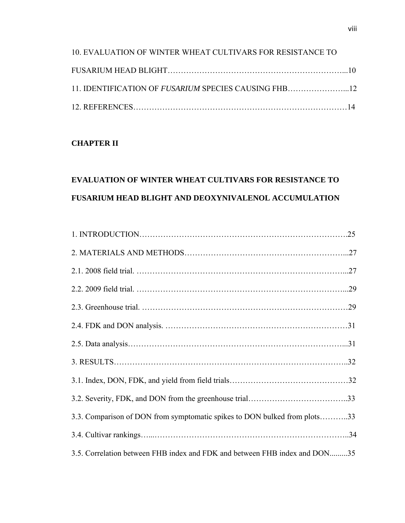| 10. EVALUATION OF WINTER WHEAT CULTIVARS FOR RESISTANCE TO |  |
|------------------------------------------------------------|--|
|                                                            |  |
| 11. IDENTIFICATION OF FUSARIUM SPECIES CAUSING FHB12       |  |
|                                                            |  |

## **CHAPTER II**

# **EVALUATION OF WINTER WHEAT CULTIVARS FOR RESISTANCE TO FUSARIUM HEAD BLIGHT AND DEOXYNIVALENOL ACCUMULATION**

| 3.3. Comparison of DON from symptomatic spikes to DON bulked from plots33  |  |
|----------------------------------------------------------------------------|--|
|                                                                            |  |
| 3.5. Correlation between FHB index and FDK and between FHB index and DON35 |  |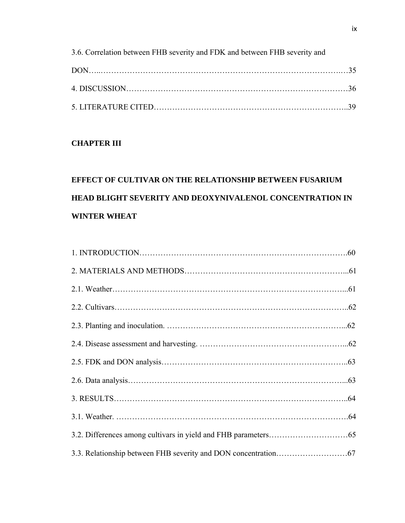| 3.6. Correlation between FHB severity and FDK and between FHB severity and |  |
|----------------------------------------------------------------------------|--|
|                                                                            |  |
|                                                                            |  |
|                                                                            |  |

## **CHAPTER III**

# **EFFECT OF CULTIVAR ON THE RELATIONSHIP BETWEEN FUSARIUM HEAD BLIGHT SEVERITY AND DEOXYNIVALENOL CONCENTRATION IN WINTER WHEAT**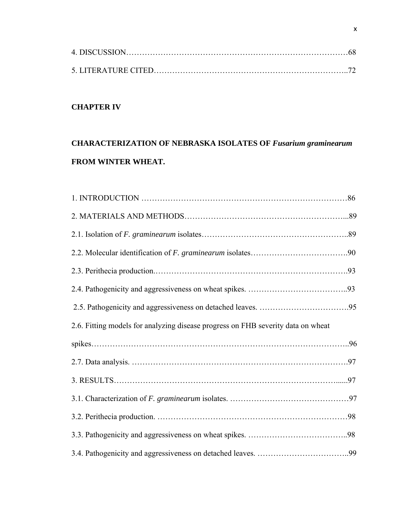## **CHAPTER IV**

# **CHARACTERIZATION OF NEBRASKA ISOLATES OF** *Fusarium graminearum*  **FROM WINTER WHEAT.**

| 2.6. Fitting models for analyzing disease progress on FHB severity data on wheat |  |
|----------------------------------------------------------------------------------|--|
|                                                                                  |  |
|                                                                                  |  |
|                                                                                  |  |
|                                                                                  |  |
|                                                                                  |  |
|                                                                                  |  |
|                                                                                  |  |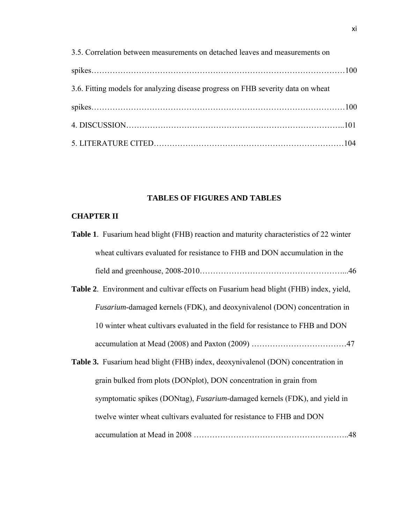| 3.5. Correlation between measurements on detached leaves and measurements on     |  |
|----------------------------------------------------------------------------------|--|
|                                                                                  |  |
| 3.6. Fitting models for analyzing disease progress on FHB severity data on wheat |  |
|                                                                                  |  |
|                                                                                  |  |
|                                                                                  |  |

## **TABLES OF FIGURES AND TABLES**

## **CHAPTER II**

| <b>Table 1.</b> Fusarium head blight (FHB) reaction and maturity characteristics of 22 winter |
|-----------------------------------------------------------------------------------------------|
| wheat cultivars evaluated for resistance to FHB and DON accumulation in the                   |
|                                                                                               |
| <b>Table 2.</b> Environment and cultivar effects on Fusarium head blight (FHB) index, yield,  |
| <i>Fusarium</i> -damaged kernels (FDK), and deoxynivalenol (DON) concentration in             |
| 10 winter wheat cultivars evaluated in the field for resistance to FHB and DON                |
|                                                                                               |
| <b>Table 3.</b> Fusarium head blight (FHB) index, deoxynivalenol (DON) concentration in       |
| grain bulked from plots (DONplot), DON concentration in grain from                            |
| symptomatic spikes (DONtag), <i>Fusarium</i> -damaged kernels (FDK), and yield in             |
| twelve winter wheat cultivars evaluated for resistance to FHB and DON                         |
|                                                                                               |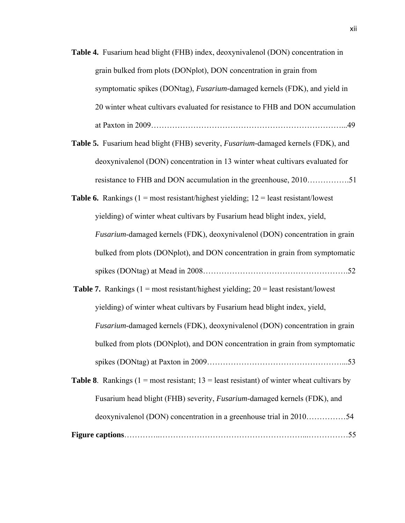- **Table 4.** Fusarium head blight (FHB) index, deoxynivalenol (DON) concentration in grain bulked from plots (DONplot), DON concentration in grain from symptomatic spikes (DONtag), *Fusarium-*damaged kernels (FDK), and yield in 20 winter wheat cultivars evaluated for resistance to FHB and DON accumulation at Paxton in 2009………………………………………………………………...49
- **Table 5.** Fusarium head blight (FHB) severity, *Fusarium-*damaged kernels (FDK), and deoxynivalenol (DON) concentration in 13 winter wheat cultivars evaluated for resistance to FHB and DON accumulation in the greenhouse, 2010…………….51
- **Table 6.** Rankings  $(1 = \text{most resistant/highest yielding}; 12 = \text{least resistant/lowest}$ yielding) of winter wheat cultivars by Fusarium head blight index, yield, *Fusarium*-damaged kernels (FDK), deoxynivalenol (DON) concentration in grain bulked from plots (DONplot), and DON concentration in grain from symptomatic spikes (DONtag) at Mead in 2008……………………………………………….52

**Table 7.** Rankings  $(1 = \text{most resistant/highest yielding}; 20 = \text{least resistant/lowest}$ yielding) of winter wheat cultivars by Fusarium head blight index, yield, *Fusarium*-damaged kernels (FDK), deoxynivalenol (DON) concentration in grain bulked from plots (DONplot), and DON concentration in grain from symptomatic spikes (DONtag) at Paxton in 2009……………………………………………...53

| deoxynivalenol (DON) concentration in a greenhouse trial in 201054                                 |  |
|----------------------------------------------------------------------------------------------------|--|
| Fusarium head blight (FHB) severity, <i>Fusarium</i> -damaged kernels (FDK), and                   |  |
| <b>Table 8.</b> Rankings (1 = most resistant; $13$ = least resistant) of winter wheat cultivars by |  |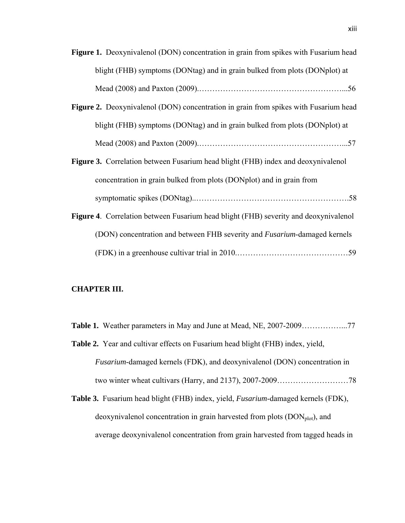| <b>Figure 1.</b> Deoxynivalenol (DON) concentration in grain from spikes with Fusarium head |
|---------------------------------------------------------------------------------------------|
| blight (FHB) symptoms (DONtag) and in grain bulked from plots (DONplot) at                  |
|                                                                                             |

- **Figure 2.** Deoxynivalenol (DON) concentration in grain from spikes with Fusarium head blight (FHB) symptoms (DONtag) and in grain bulked from plots (DONplot) at Mead (2008) and Paxton (2009).………………………………………………...57
- **Figure 3.** Correlation between Fusarium head blight (FHB) index and deoxynivalenol concentration in grain bulked from plots (DONplot) and in grain from symptomatic spikes (DONtag)..………………………………………………….58
- **Figure 4**. Correlation between Fusarium head blight (FHB) severity and deoxynivalenol (DON) concentration and between FHB severity and *Fusarium*-damaged kernels (FDK) in a greenhouse cultivar trial in 2010.……………………………………59

### **CHAPTER III.**

- **Table 1.** Weather parameters in May and June at Mead, NE, 2007-2009……………...77 **Table 2.** Year and cultivar effects on Fusarium head blight (FHB) index, yield, *Fusarium*-damaged kernels (FDK), and deoxynivalenol (DON) concentration in two winter wheat cultivars (Harry, and 2137), 2007-2009………………………78
- **Table 3.** Fusarium head blight (FHB) index, yield, *Fusarium*-damaged kernels (FDK), deoxynivalenol concentration in grain harvested from plots  $(DON<sub>plot</sub>)$ , and average deoxynivalenol concentration from grain harvested from tagged heads in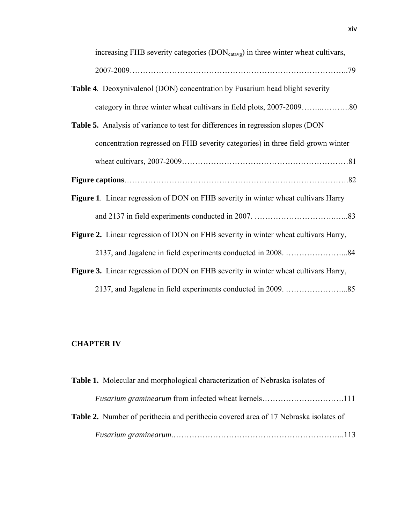| increasing FHB severity categories (DON <sub>catavg</sub> ) in three winter wheat cultivars, |
|----------------------------------------------------------------------------------------------|
|                                                                                              |
| <b>Table 4.</b> Deoxynivalenol (DON) concentration by Fusarium head blight severity          |
|                                                                                              |
| <b>Table 5.</b> Analysis of variance to test for differences in regression slopes (DON       |
| concentration regressed on FHB severity categories) in three field-grown winter              |
|                                                                                              |
|                                                                                              |
| <b>Figure 1.</b> Linear regression of DON on FHB severity in winter wheat cultivars Harry    |
|                                                                                              |
| Figure 2. Linear regression of DON on FHB severity in winter wheat cultivars Harry,          |
|                                                                                              |
| Figure 3. Linear regression of DON on FHB severity in winter wheat cultivars Harry,          |
|                                                                                              |

## **CHAPTER IV**

| Table 1. Molecular and morphological characterization of Nebraska isolates of        |  |
|--------------------------------------------------------------------------------------|--|
|                                                                                      |  |
| Table 2. Number of perithecia and perithecia covered area of 17 Nebraska isolates of |  |
|                                                                                      |  |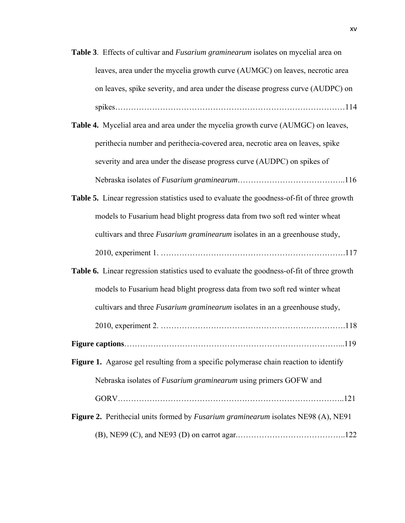**Table 3**. Effects of cultivar and *Fusarium graminearum* isolates on mycelial area on leaves, area under the mycelia growth curve (AUMGC) on leaves, necrotic area on leaves, spike severity, and area under the disease progress curve (AUDPC) on spikes……………………………………………………………………………114 **Table 4.** Mycelial area and area under the mycelia growth curve (AUMGC) on leaves, perithecia number and perithecia-covered area, necrotic area on leaves, spike severity and area under the disease progress curve (AUDPC) on spikes of

Nebraska isolates of *Fusarium graminearum*…………………………………..116

- **Table 5.** Linear regression statistics used to evaluate the goodness-of-fit of three growth models to Fusarium head blight progress data from two soft red winter wheat cultivars and three *Fusarium graminearum* isolates in an a greenhouse study, 2010, experiment 1. …………………………………………………………….117
- **Table 6.** Linear regression statistics used to evaluate the goodness-of-fit of three growth models to Fusarium head blight progress data from two soft red winter wheat

cultivars and three *Fusarium graminearum* isolates in an a greenhouse study,

- 2010, experiment 2. …………………………………………………………….118
- **Figure captions**………………………………………………………………………...119
- **Figure 1.** Agarose gel resulting from a specific polymerase chain reaction to identify Nebraska isolates of *Fusarium graminearum* using primers GOFW and GORV…………………………………………………………………………..121
- **Figure 2.** Perithecial units formed by *Fusarium graminearum* isolates NE98 (A), NE91 (B), NE99 (C), and NE93 (D) on carrot agar.…………………………………..122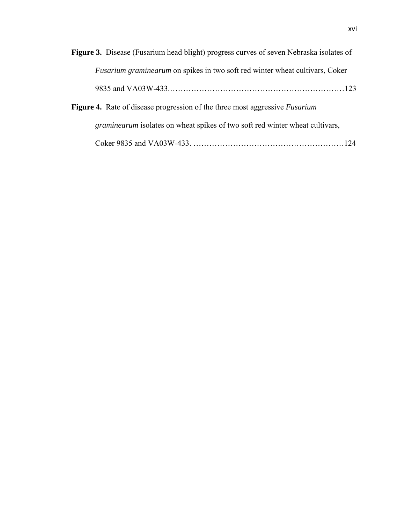| <b>Figure 3.</b> Disease (Fusarium head blight) progress curves of seven Nebraska isolates of |
|-----------------------------------------------------------------------------------------------|
| <i>Fusarium graminearum</i> on spikes in two soft red winter wheat cultivars, Coker           |
|                                                                                               |
| Figure 4. Rate of disease progression of the three most aggressive <i>Fusarium</i>            |
| <i>graminearum</i> isolates on wheat spikes of two soft red winter wheat cultivars,           |
|                                                                                               |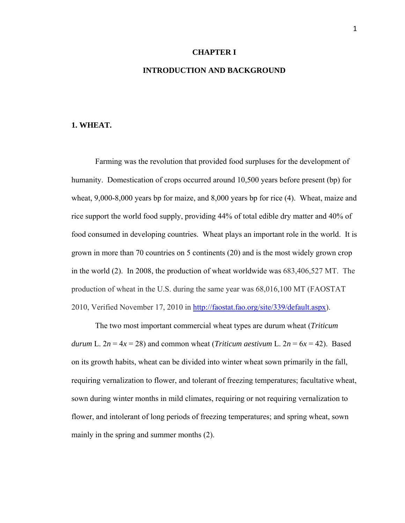### **CHAPTER I**

## **INTRODUCTION AND BACKGROUND**

#### **1. WHEAT.**

Farming was the revolution that provided food surpluses for the development of humanity. Domestication of crops occurred around 10,500 years before present (bp) for wheat, 9,000-8,000 years bp for maize, and 8,000 years bp for rice (4). Wheat, maize and rice support the world food supply, providing 44% of total edible dry matter and 40% of food consumed in developing countries. Wheat plays an important role in the world. It is grown in more than 70 countries on 5 continents (20) and is the most widely grown crop in the world (2). In 2008, the production of wheat worldwide was 683,406,527 MT. The production of wheat in the U.S. during the same year was 68,016,100 MT (FAOSTAT 2010, Verified November 17, 2010 in http://faostat.fao.org/site/339/default.aspx).

The two most important commercial wheat types are durum wheat (*Triticum durum* L.  $2n = 4x = 28$ ) and common wheat (*Triticum aestivum* L.  $2n = 6x = 42$ ). Based on its growth habits, wheat can be divided into winter wheat sown primarily in the fall, requiring vernalization to flower, and tolerant of freezing temperatures; facultative wheat, sown during winter months in mild climates, requiring or not requiring vernalization to flower, and intolerant of long periods of freezing temperatures; and spring wheat, sown mainly in the spring and summer months (2).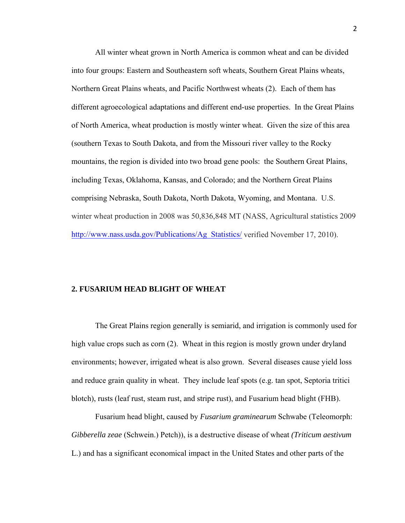All winter wheat grown in North America is common wheat and can be divided into four groups: Eastern and Southeastern soft wheats, Southern Great Plains wheats, Northern Great Plains wheats, and Pacific Northwest wheats (2). Each of them has different agroecological adaptations and different end-use properties. In the Great Plains of North America, wheat production is mostly winter wheat. Given the size of this area (southern Texas to South Dakota, and from the Missouri river valley to the Rocky mountains, the region is divided into two broad gene pools: the Southern Great Plains, including Texas, Oklahoma, Kansas, and Colorado; and the Northern Great Plains comprising Nebraska, South Dakota, North Dakota, Wyoming, and Montana. U.S. winter wheat production in 2008 was 50,836,848 MT (NASS, Agricultural statistics 2009 http://www.nass.usda.gov/Publications/Ag\_Statistics/ verified November 17, 2010).

### **2. FUSARIUM HEAD BLIGHT OF WHEAT**

The Great Plains region generally is semiarid, and irrigation is commonly used for high value crops such as corn (2). Wheat in this region is mostly grown under dryland environments; however, irrigated wheat is also grown. Several diseases cause yield loss and reduce grain quality in wheat. They include leaf spots (e.g. tan spot, Septoria tritici blotch), rusts (leaf rust, steam rust, and stripe rust), and Fusarium head blight (FHB).

Fusarium head blight, caused by *Fusarium graminearum* Schwabe (Teleomorph: *Gibberella zeae* (Schwein.) Petch)), is a destructive disease of wheat *(Triticum aestivum*  L.) and has a significant economical impact in the United States and other parts of the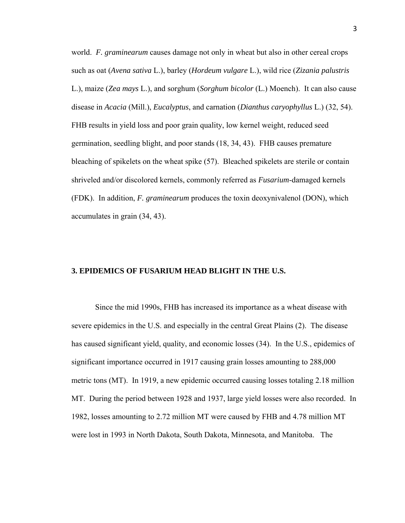world. *F. graminearum* causes damage not only in wheat but also in other cereal crops such as oat (*Avena sativa* L.), barley (*Hordeum vulgare* L.), wild rice (*Zizania palustris*  L.), maize (*Zea mays* L.), and sorghum (*Sorghum bicolor* (L.) Moench). It can also cause disease in *Acacia* (Mill.), *Eucalyptus*, and carnation (*Dianthus caryophyllus* L.) (32, 54). FHB results in yield loss and poor grain quality, low kernel weight, reduced seed germination, seedling blight, and poor stands (18, 34, 43). FHB causes premature bleaching of spikelets on the wheat spike (57). Bleached spikelets are sterile or contain shriveled and/or discolored kernels, commonly referred as *Fusarium*-damaged kernels (FDK). In addition, *F. graminearum* produces the toxin deoxynivalenol (DON), which accumulates in grain (34, 43).

## **3. EPIDEMICS OF FUSARIUM HEAD BLIGHT IN THE U.S.**

Since the mid 1990s, FHB has increased its importance as a wheat disease with severe epidemics in the U.S. and especially in the central Great Plains (2). The disease has caused significant yield, quality, and economic losses (34). In the U.S., epidemics of significant importance occurred in 1917 causing grain losses amounting to 288,000 metric tons (MT). In 1919, a new epidemic occurred causing losses totaling 2.18 million MT. During the period between 1928 and 1937, large yield losses were also recorded. In 1982, losses amounting to 2.72 million MT were caused by FHB and 4.78 million MT were lost in 1993 in North Dakota, South Dakota, Minnesota, and Manitoba. The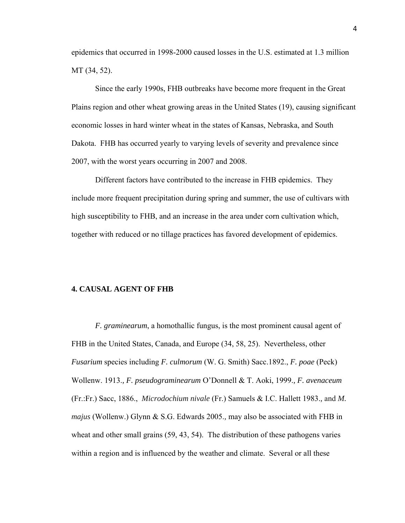epidemics that occurred in 1998-2000 caused losses in the U.S. estimated at 1.3 million MT (34, 52).

Since the early 1990s, FHB outbreaks have become more frequent in the Great Plains region and other wheat growing areas in the United States (19), causing significant economic losses in hard winter wheat in the states of Kansas, Nebraska, and South Dakota. FHB has occurred yearly to varying levels of severity and prevalence since 2007, with the worst years occurring in 2007 and 2008.

Different factors have contributed to the increase in FHB epidemics. They include more frequent precipitation during spring and summer, the use of cultivars with high susceptibility to FHB, and an increase in the area under corn cultivation which, together with reduced or no tillage practices has favored development of epidemics.

### **4. CAUSAL AGENT OF FHB**

*F. graminearum*, a homothallic fungus, is the most prominent causal agent of FHB in the United States, Canada, and Europe (34, 58, 25). Nevertheless, other *Fusarium* species including *F. culmorum* (W. G. Smith) Sacc.1892., *F. poae* (Peck) Wollenw. 1913.*, F. pseudograminearum* O'Donnell & T. Aoki, 1999.*, F. avenaceum* (Fr.:Fr.) Sacc, 1886., *Microdochium nivale* (Fr.) Samuels & I.C. Hallett 1983.*,* and *M. majus* (Wollenw.) Glynn & S.G. Edwards 2005.*,* may also be associated with FHB in wheat and other small grains (59, 43, 54). The distribution of these pathogens varies within a region and is influenced by the weather and climate. Several or all these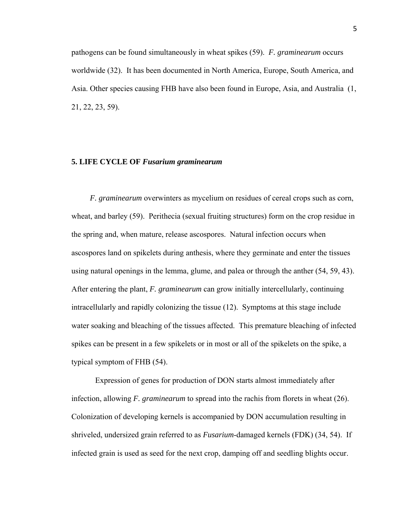pathogens can be found simultaneously in wheat spikes (59). *F. graminearum* occurs worldwide (32). It has been documented in North America, Europe, South America, and Asia. Other species causing FHB have also been found in Europe, Asia, and Australia (1, 21, 22, 23, 59).

### **5. LIFE CYCLE OF** *Fusarium graminearum*

*F. graminearum* overwinters as mycelium on residues of cereal crops such as corn, wheat, and barley (59). Perithecia (sexual fruiting structures) form on the crop residue in the spring and, when mature, release ascospores. Natural infection occurs when ascospores land on spikelets during anthesis, where they germinate and enter the tissues using natural openings in the lemma, glume, and palea or through the anther (54, 59, 43). After entering the plant, *F. graminearum* can grow initially intercellularly, continuing intracellularly and rapidly colonizing the tissue (12). Symptoms at this stage include water soaking and bleaching of the tissues affected. This premature bleaching of infected spikes can be present in a few spikelets or in most or all of the spikelets on the spike, a typical symptom of FHB (54).

Expression of genes for production of DON starts almost immediately after infection, allowing *F. graminearum* to spread into the rachis from florets in wheat (26). Colonization of developing kernels is accompanied by DON accumulation resulting in shriveled, undersized grain referred to as *Fusarium*-damaged kernels (FDK) (34, 54). If infected grain is used as seed for the next crop, damping off and seedling blights occur.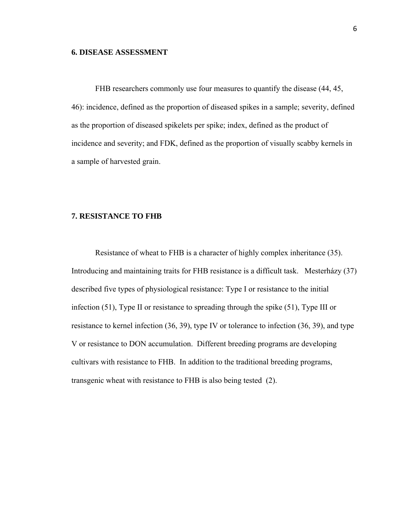### **6. DISEASE ASSESSMENT**

FHB researchers commonly use four measures to quantify the disease (44, 45, 46): incidence, defined as the proportion of diseased spikes in a sample; severity, defined as the proportion of diseased spikelets per spike; index, defined as the product of incidence and severity; and FDK, defined as the proportion of visually scabby kernels in a sample of harvested grain.

### **7. RESISTANCE TO FHB**

Resistance of wheat to FHB is a character of highly complex inheritance (35). Introducing and maintaining traits for FHB resistance is a difficult task. Mesterházy (37) described five types of physiological resistance: Type I or resistance to the initial infection (51), Type II or resistance to spreading through the spike (51), Type III or resistance to kernel infection (36, 39), type IV or tolerance to infection (36, 39), and type V or resistance to DON accumulation. Different breeding programs are developing cultivars with resistance to FHB. In addition to the traditional breeding programs, transgenic wheat with resistance to FHB is also being tested (2).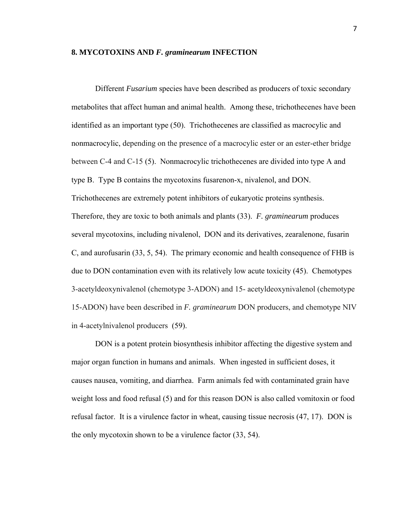### **8. MYCOTOXINS AND** *F. graminearum* **INFECTION**

Different *Fusarium* species have been described as producers of toxic secondary metabolites that affect human and animal health. Among these, trichothecenes have been identified as an important type (50). Trichothecenes are classified as macrocylic and nonmacrocylic, depending on the presence of a macrocylic ester or an ester-ether bridge between C-4 and C-15 (5). Nonmacrocylic trichothecenes are divided into type A and type B. Type B contains the mycotoxins fusarenon-x, nivalenol, and DON. Trichothecenes are extremely potent inhibitors of eukaryotic proteins synthesis. Therefore, they are toxic to both animals and plants (33). *F. graminearum* produces several mycotoxins, including nivalenol, DON and its derivatives, zearalenone, fusarin C, and aurofusarin (33, 5, 54). The primary economic and health consequence of FHB is due to DON contamination even with its relatively low acute toxicity (45). Chemotypes 3-acetyldeoxynivalenol (chemotype 3-ADON) and 15- acetyldeoxynivalenol (chemotype 15-ADON) have been described in *F. graminearum* DON producers, and chemotype NIV in 4-acetylnivalenol producers (59).

DON is a potent protein biosynthesis inhibitor affecting the digestive system and major organ function in humans and animals. When ingested in sufficient doses, it causes nausea, vomiting, and diarrhea. Farm animals fed with contaminated grain have weight loss and food refusal (5) and for this reason DON is also called vomitoxin or food refusal factor. It is a virulence factor in wheat, causing tissue necrosis (47, 17). DON is the only mycotoxin shown to be a virulence factor (33, 54).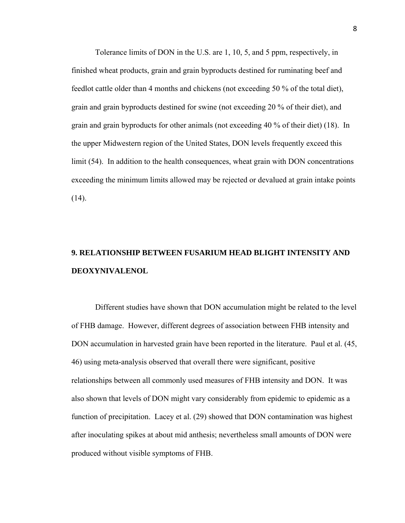Tolerance limits of DON in the U.S. are 1, 10, 5, and 5 ppm, respectively, in finished wheat products, grain and grain byproducts destined for ruminating beef and feedlot cattle older than 4 months and chickens (not exceeding 50 % of the total diet), grain and grain byproducts destined for swine (not exceeding 20 % of their diet), and grain and grain byproducts for other animals (not exceeding 40 % of their diet) (18). In the upper Midwestern region of the United States, DON levels frequently exceed this limit (54). In addition to the health consequences, wheat grain with DON concentrations exceeding the minimum limits allowed may be rejected or devalued at grain intake points  $(14)$ .

# **9. RELATIONSHIP BETWEEN FUSARIUM HEAD BLIGHT INTENSITY AND DEOXYNIVALENOL**

Different studies have shown that DON accumulation might be related to the level of FHB damage. However, different degrees of association between FHB intensity and DON accumulation in harvested grain have been reported in the literature. Paul et al. (45, 46) using meta-analysis observed that overall there were significant, positive relationships between all commonly used measures of FHB intensity and DON. It was also shown that levels of DON might vary considerably from epidemic to epidemic as a function of precipitation. Lacey et al. (29) showed that DON contamination was highest after inoculating spikes at about mid anthesis; nevertheless small amounts of DON were produced without visible symptoms of FHB.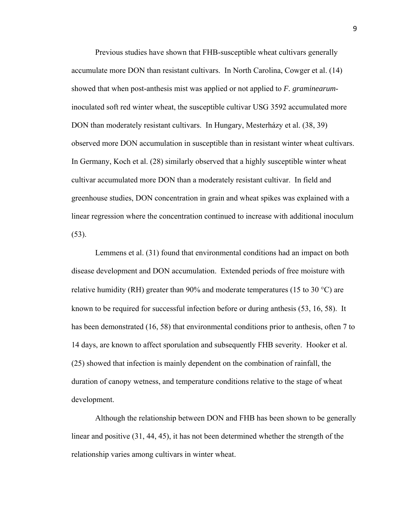Previous studies have shown that FHB-susceptible wheat cultivars generally accumulate more DON than resistant cultivars. In North Carolina, Cowger et al. (14) showed that when post-anthesis mist was applied or not applied to *F. graminearum*inoculated soft red winter wheat, the susceptible cultivar USG 3592 accumulated more DON than moderately resistant cultivars. In Hungary, Mesterházy et al. (38, 39) observed more DON accumulation in susceptible than in resistant winter wheat cultivars. In Germany, Koch et al. (28) similarly observed that a highly susceptible winter wheat cultivar accumulated more DON than a moderately resistant cultivar. In field and greenhouse studies, DON concentration in grain and wheat spikes was explained with a linear regression where the concentration continued to increase with additional inoculum (53).

Lemmens et al. (31) found that environmental conditions had an impact on both disease development and DON accumulation. Extended periods of free moisture with relative humidity (RH) greater than 90% and moderate temperatures (15 to 30  $^{\circ}$ C) are known to be required for successful infection before or during anthesis (53, 16, 58). It has been demonstrated (16, 58) that environmental conditions prior to anthesis, often 7 to 14 days, are known to affect sporulation and subsequently FHB severity. Hooker et al. (25) showed that infection is mainly dependent on the combination of rainfall, the duration of canopy wetness, and temperature conditions relative to the stage of wheat development.

Although the relationship between DON and FHB has been shown to be generally linear and positive (31, 44, 45), it has not been determined whether the strength of the relationship varies among cultivars in winter wheat.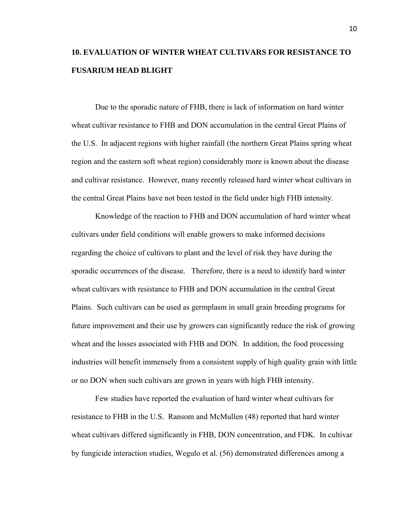## **10. EVALUATION OF WINTER WHEAT CULTIVARS FOR RESISTANCE TO FUSARIUM HEAD BLIGHT**

Due to the sporadic nature of FHB, there is lack of information on hard winter wheat cultivar resistance to FHB and DON accumulation in the central Great Plains of the U.S. In adjacent regions with higher rainfall (the northern Great Plains spring wheat region and the eastern soft wheat region) considerably more is known about the disease and cultivar resistance. However, many recently released hard winter wheat cultivars in the central Great Plains have not been tested in the field under high FHB intensity.

Knowledge of the reaction to FHB and DON accumulation of hard winter wheat cultivars under field conditions will enable growers to make informed decisions regarding the choice of cultivars to plant and the level of risk they have during the sporadic occurrences of the disease. Therefore, there is a need to identify hard winter wheat cultivars with resistance to FHB and DON accumulation in the central Great Plains. Such cultivars can be used as germplasm in small grain breeding programs for future improvement and their use by growers can significantly reduce the risk of growing wheat and the losses associated with FHB and DON. In addition, the food processing industries will benefit immensely from a consistent supply of high quality grain with little or no DON when such cultivars are grown in years with high FHB intensity.

Few studies have reported the evaluation of hard winter wheat cultivars for resistance to FHB in the U.S. Ransom and McMullen (48) reported that hard winter wheat cultivars differed significantly in FHB, DON concentration, and FDK. In cultivar by fungicide interaction studies, Wegulo et al. (56) demonstrated differences among a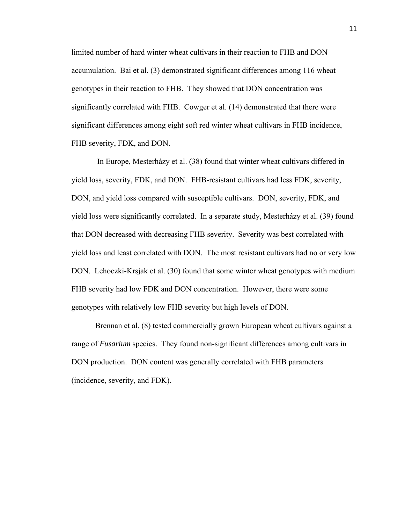limited number of hard winter wheat cultivars in their reaction to FHB and DON accumulation. Bai et al. (3) demonstrated significant differences among 116 wheat genotypes in their reaction to FHB. They showed that DON concentration was significantly correlated with FHB. Cowger et al. (14) demonstrated that there were significant differences among eight soft red winter wheat cultivars in FHB incidence, FHB severity, FDK, and DON.

 In Europe, Mesterházy et al. (38) found that winter wheat cultivars differed in yield loss, severity, FDK, and DON. FHB-resistant cultivars had less FDK, severity, DON, and yield loss compared with susceptible cultivars. DON, severity, FDK, and yield loss were significantly correlated. In a separate study, Mesterházy et al. (39) found that DON decreased with decreasing FHB severity. Severity was best correlated with yield loss and least correlated with DON. The most resistant cultivars had no or very low DON. Lehoczki-Krsjak et al. (30) found that some winter wheat genotypes with medium FHB severity had low FDK and DON concentration. However, there were some genotypes with relatively low FHB severity but high levels of DON.

Brennan et al. (8) tested commercially grown European wheat cultivars against a range of *Fusarium* species. They found non-significant differences among cultivars in DON production. DON content was generally correlated with FHB parameters (incidence, severity, and FDK).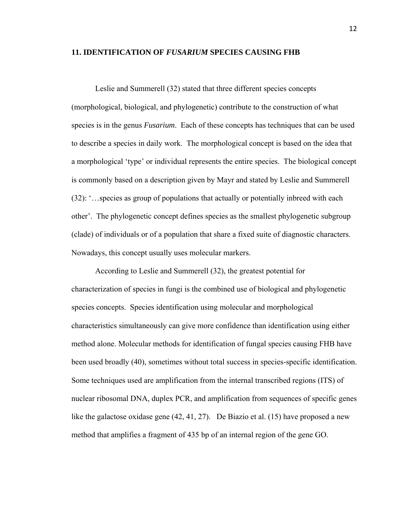### **11. IDENTIFICATION OF** *FUSARIUM* **SPECIES CAUSING FHB**

Leslie and Summerell (32) stated that three different species concepts (morphological, biological, and phylogenetic) contribute to the construction of what species is in the genus *Fusarium*. Each of these concepts has techniques that can be used to describe a species in daily work. The morphological concept is based on the idea that a morphological 'type' or individual represents the entire species. The biological concept is commonly based on a description given by Mayr and stated by Leslie and Summerell (32): '…species as group of populations that actually or potentially inbreed with each other'. The phylogenetic concept defines species as the smallest phylogenetic subgroup (clade) of individuals or of a population that share a fixed suite of diagnostic characters. Nowadays, this concept usually uses molecular markers.

According to Leslie and Summerell (32), the greatest potential for characterization of species in fungi is the combined use of biological and phylogenetic species concepts. Species identification using molecular and morphological characteristics simultaneously can give more confidence than identification using either method alone. Molecular methods for identification of fungal species causing FHB have been used broadly (40), sometimes without total success in species-specific identification. Some techniques used are amplification from the internal transcribed regions (ITS) of nuclear ribosomal DNA, duplex PCR, and amplification from sequences of specific genes like the galactose oxidase gene (42, 41, 27). De Biazio et al. (15) have proposed a new method that amplifies a fragment of 435 bp of an internal region of the gene GO.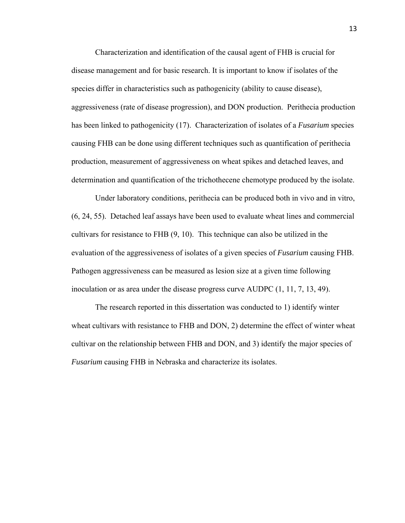Characterization and identification of the causal agent of FHB is crucial for disease management and for basic research. It is important to know if isolates of the species differ in characteristics such as pathogenicity (ability to cause disease), aggressiveness (rate of disease progression), and DON production. Perithecia production has been linked to pathogenicity (17). Characterization of isolates of a *Fusarium* species causing FHB can be done using different techniques such as quantification of perithecia production, measurement of aggressiveness on wheat spikes and detached leaves, and determination and quantification of the trichothecene chemotype produced by the isolate.

Under laboratory conditions, perithecia can be produced both in vivo and in vitro, (6, 24, 55). Detached leaf assays have been used to evaluate wheat lines and commercial cultivars for resistance to FHB (9, 10). This technique can also be utilized in the evaluation of the aggressiveness of isolates of a given species of *Fusarium* causing FHB. Pathogen aggressiveness can be measured as lesion size at a given time following inoculation or as area under the disease progress curve AUDPC (1, 11, 7, 13, 49).

The research reported in this dissertation was conducted to 1) identify winter wheat cultivars with resistance to FHB and DON, 2) determine the effect of winter wheat cultivar on the relationship between FHB and DON, and 3) identify the major species of *Fusarium* causing FHB in Nebraska and characterize its isolates.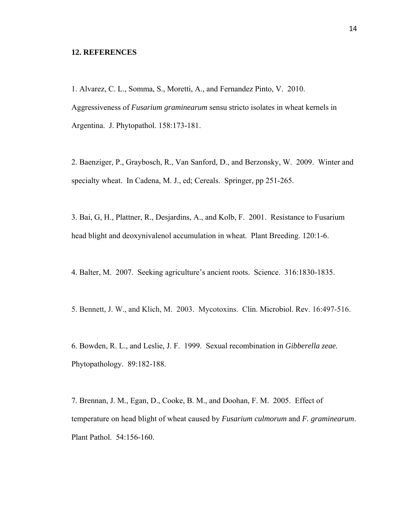### **12. REFERENCES**

1. Alvarez, C. L., Somma, S., Moretti, A., and Fernandez Pinto, V. 2010. Aggressiveness of *Fusarium graminearum* sensu stricto isolates in wheat kernels in Argentina. J. Phytopathol. 158:173-181.

2. Baenziger, P., Graybosch, R., Van Sanford, D., and Berzonsky, W. 2009. Winter and specialty wheat. In Cadena, M. J., ed; Cereals. Springer, pp 251-265.

3. Bai, G, H., Plattner, R., Desjardins, A., and Kolb, F. 2001. Resistance to Fusarium head blight and deoxynivalenol accumulation in wheat. Plant Breeding. 120:1-6.

4. Balter, M. 2007. Seeking agriculture's ancient roots. Science. 316:1830-1835.

5. Bennett, J. W., and Klich, M. 2003. Mycotoxins. Clin. Microbiol. Rev. 16:497-516.

6. Bowden, R. L., and Leslie, J. F. 1999. Sexual recombination in *Gibberella zeae.* Phytopathology. 89:182-188.

7. Brennan, J. M., Egan, D., Cooke, B. M., and Doohan, F. M. 2005. Effect of temperature on head blight of wheat caused by *Fusarium culmorum* and *F. graminearum*. Plant Pathol. 54:156-160.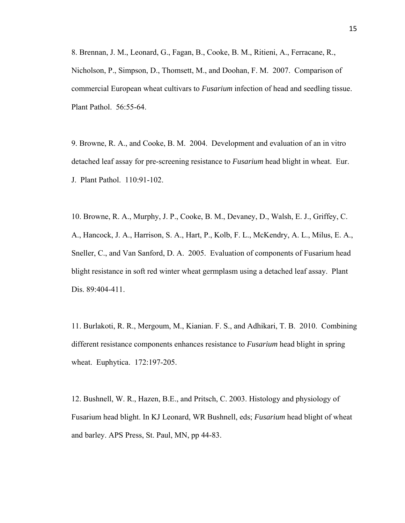8. Brennan, J. M., Leonard, G., Fagan, B., Cooke, B. M., Ritieni, A., Ferracane, R., Nicholson, P., Simpson, D., Thomsett, M., and Doohan, F. M. 2007. Comparison of commercial European wheat cultivars to *Fusarium* infection of head and seedling tissue. Plant Pathol. 56:55-64.

9. Browne, R. A., and Cooke, B. M. 2004. Development and evaluation of an in vitro detached leaf assay for pre-screening resistance to *Fusarium* head blight in wheat. Eur. J. Plant Pathol. 110:91-102.

10. Browne, R. A., Murphy, J. P., Cooke, B. M., Devaney, D., Walsh, E. J., Griffey, C. A., Hancock, J. A., Harrison, S. A., Hart, P., Kolb, F. L., McKendry, A. L., Milus, E. A., Sneller, C., and Van Sanford, D. A. 2005. Evaluation of components of Fusarium head blight resistance in soft red winter wheat germplasm using a detached leaf assay. Plant Dis. 89:404-411.

11. Burlakoti, R. R., Mergoum, M., Kianian. F. S., and Adhikari, T. B. 2010. Combining different resistance components enhances resistance to *Fusarium* head blight in spring wheat. Euphytica. 172:197-205.

12. Bushnell, W. R., Hazen, B.E., and Pritsch, C. 2003. Histology and physiology of Fusarium head blight. In KJ Leonard, WR Bushnell, eds; *Fusarium* head blight of wheat and barley. APS Press, St. Paul, MN, pp 44-83.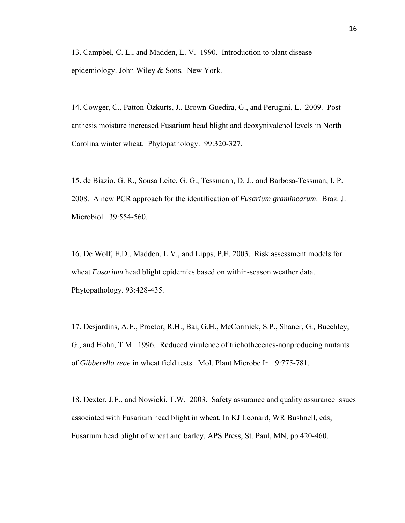13. Campbel, C. L., and Madden, L. V. 1990. Introduction to plant disease epidemiology. John Wiley & Sons. New York.

14. Cowger, C., Patton-Özkurts, J., Brown-Guedira, G., and Perugini, L. 2009. Postanthesis moisture increased Fusarium head blight and deoxynivalenol levels in North Carolina winter wheat. Phytopathology. 99:320-327.

15. de Biazio, G. R., Sousa Leite, G. G., Tessmann, D. J., and Barbosa-Tessman, I. P. 2008. A new PCR approach for the identification of *Fusarium graminearum*. Braz. J. Microbiol. 39:554-560.

16. De Wolf, E.D., Madden, L.V., and Lipps, P.E. 2003. Risk assessment models for wheat *Fusarium* head blight epidemics based on within-season weather data. Phytopathology. 93:428-435.

17. Desjardins, A.E., Proctor, R.H., Bai, G.H., McCormick, S.P., Shaner, G., Buechley, G., and Hohn, T.M. 1996. Reduced virulence of trichothecenes-nonproducing mutants of *Gibberella zeae* in wheat field tests. Mol. Plant Microbe In. 9:775-781.

18. Dexter, J.E., and Nowicki, T.W. 2003. Safety assurance and quality assurance issues associated with Fusarium head blight in wheat. In KJ Leonard, WR Bushnell, eds; Fusarium head blight of wheat and barley. APS Press, St. Paul, MN, pp 420-460.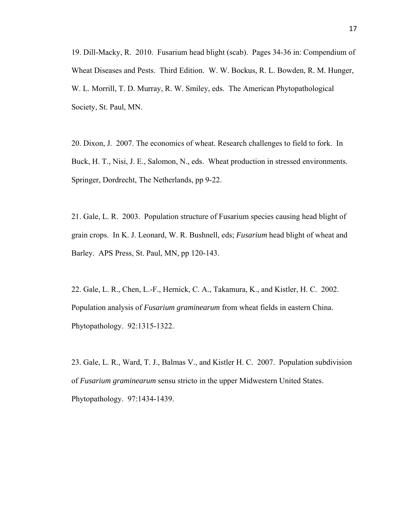19. Dill-Macky, R. 2010. Fusarium head blight (scab). Pages 34-36 in: Compendium of Wheat Diseases and Pests. Third Edition. W. W. Bockus, R. L. Bowden, R. M. Hunger, W. L. Morrill, T. D. Murray, R. W. Smiley, eds. The American Phytopathological Society, St. Paul, MN.

20. Dixon, J. 2007. The economics of wheat. Research challenges to field to fork. In Buck, H. T., Nisi, J. E., Salomon, N., eds. Wheat production in stressed environments. Springer, Dordrecht, The Netherlands, pp 9-22.

21. Gale, L. R. 2003. Population structure of Fusarium species causing head blight of grain crops. In K. J. Leonard, W. R. Bushnell, eds; *Fusarium* head blight of wheat and Barley. APS Press, St. Paul, MN, pp 120-143.

22. Gale, L. R., Chen, L.-F., Hernick, C. A., Takamura, K., and Kistler, H. C. 2002. Population analysis of *Fusarium graminearum* from wheat fields in eastern China. Phytopathology. 92:1315-1322.

23. Gale, L. R., Ward, T. J., Balmas V., and Kistler H. C. 2007. Population subdivision of *Fusarium graminearum* sensu stricto in the upper Midwestern United States. Phytopathology. 97:1434-1439.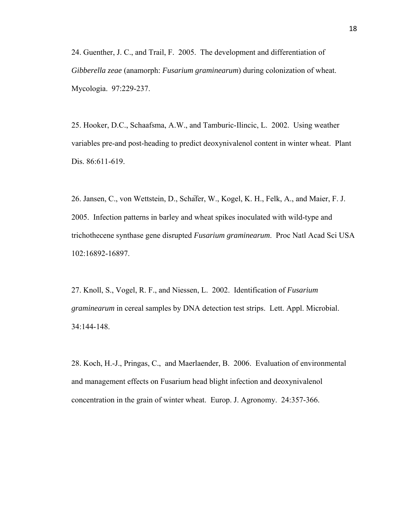24. Guenther, J. C., and Trail, F. 2005. The development and differentiation of *Gibberella zeae* (anamorph: *Fusarium graminearum*) during colonization of wheat. Mycologia. 97:229-237.

25. Hooker, D.C., Schaafsma, A.W., and Tamburic-Ilincic, L. 2002. Using weather variables pre-and post-heading to predict deoxynivalenol content in winter wheat. Plant Dis. 86:611-619.

26. Jansen, C., von Wettstein, D., Schäfer, W., Kogel, K. H., Felk, A., and Maier, F. J. 2005. Infection patterns in barley and wheat spikes inoculated with wild-type and trichothecene synthase gene disrupted *Fusarium graminearum*. Proc Natl Acad Sci USA 102:16892-16897.

27. Knoll, S., Vogel, R. F., and Niessen, L. 2002. Identification of *Fusarium graminearum* in cereal samples by DNA detection test strips. Lett. Appl. Microbial. 34:144-148.

28. Koch, H.-J., Pringas, C., and Maerlaender, B. 2006. Evaluation of environmental and management effects on Fusarium head blight infection and deoxynivalenol concentration in the grain of winter wheat. Europ. J. Agronomy. 24:357-366.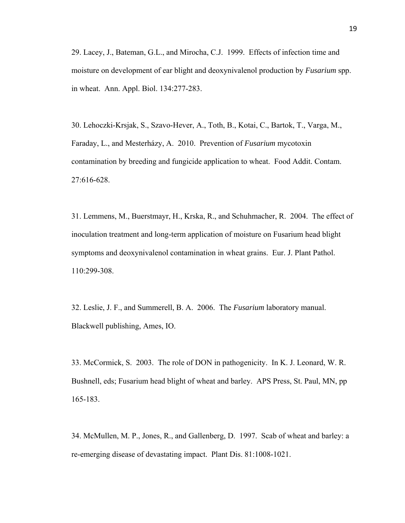29. Lacey, J., Bateman, G.L., and Mirocha, C.J. 1999. Effects of infection time and moisture on development of ear blight and deoxynivalenol production by *Fusarium* spp. in wheat. Ann. Appl. Biol. 134:277-283.

30. Lehoczki-Krsjak, S., Szavo-Hever, A., Toth, B., Kotai, C., Bartok, T., Varga, M., Faraday, L., and Mesterházy, A. 2010. Prevention of *Fusarium* mycotoxin contamination by breeding and fungicide application to wheat. Food Addit. Contam. 27:616-628.

31. Lemmens, M., Buerstmayr, H., Krska, R., and Schuhmacher, R. 2004. The effect of inoculation treatment and long-term application of moisture on Fusarium head blight symptoms and deoxynivalenol contamination in wheat grains. Eur. J. Plant Pathol. 110:299-308.

32. Leslie, J. F., and Summerell, B. A. 2006. The *Fusarium* laboratory manual. Blackwell publishing, Ames, IO.

33. McCormick, S. 2003. The role of DON in pathogenicity. In K. J. Leonard, W. R. Bushnell, eds; Fusarium head blight of wheat and barley. APS Press, St. Paul, MN, pp 165-183.

34. McMullen, M. P., Jones, R., and Gallenberg, D. 1997. Scab of wheat and barley: a re-emerging disease of devastating impact. Plant Dis. 81:1008-1021.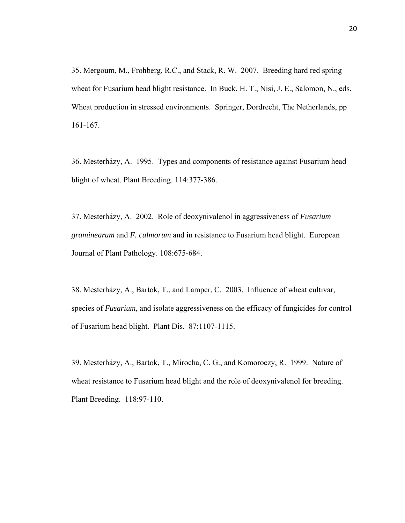35. Mergoum, M., Frohberg, R.C., and Stack, R. W. 2007. Breeding hard red spring wheat for Fusarium head blight resistance. In Buck, H. T., Nisi, J. E., Salomon, N., eds. Wheat production in stressed environments. Springer, Dordrecht, The Netherlands, pp 161-167.

36. Mesterházy, A. 1995. Types and components of resistance against Fusarium head blight of wheat. Plant Breeding. 114:377-386.

37. Mesterházy, A. 2002. Role of deoxynivalenol in aggressiveness of *Fusarium graminearum* and *F. culmorum* and in resistance to Fusarium head blight. European Journal of Plant Pathology. 108:675-684.

38. Mesterházy, A., Bartok, T., and Lamper, C. 2003. Influence of wheat cultivar, species of *Fusarium*, and isolate aggressiveness on the efficacy of fungicides for control of Fusarium head blight. Plant Dis. 87:1107-1115.

39. Mesterházy, A., Bartok, T., Mirocha, C. G., and Komoroczy, R. 1999. Nature of wheat resistance to Fusarium head blight and the role of deoxynivalenol for breeding. Plant Breeding. 118:97-110.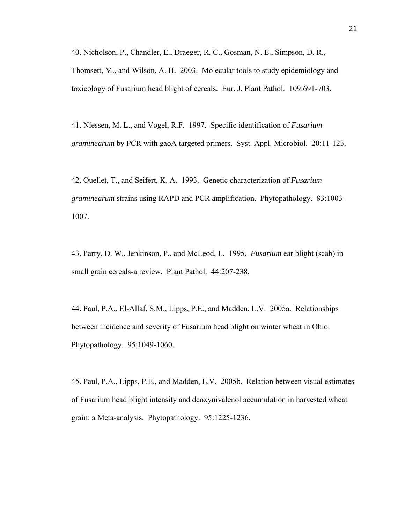40. Nicholson, P., Chandler, E., Draeger, R. C., Gosman, N. E., Simpson, D. R., Thomsett, M., and Wilson, A. H. 2003. Molecular tools to study epidemiology and toxicology of Fusarium head blight of cereals. Eur. J. Plant Pathol. 109:691-703.

41. Niessen, M. L., and Vogel, R.F. 1997. Specific identification of *Fusarium graminearum* by PCR with gaoA targeted primers. Syst. Appl. Microbiol. 20:11-123.

42. Ouellet, T., and Seifert, K. A. 1993. Genetic characterization of *Fusarium graminearum* strains using RAPD and PCR amplification. Phytopathology. 83:1003- 1007.

43. Parry, D. W., Jenkinson, P., and McLeod, L. 1995. *Fusarium* ear blight (scab) in small grain cereals-a review. Plant Pathol. 44:207-238.

44. Paul, P.A., El-Allaf, S.M., Lipps, P.E., and Madden, L.V. 2005a. Relationships between incidence and severity of Fusarium head blight on winter wheat in Ohio. Phytopathology. 95:1049-1060.

45. Paul, P.A., Lipps, P.E., and Madden, L.V. 2005b. Relation between visual estimates of Fusarium head blight intensity and deoxynivalenol accumulation in harvested wheat grain: a Meta-analysis. Phytopathology. 95:1225-1236.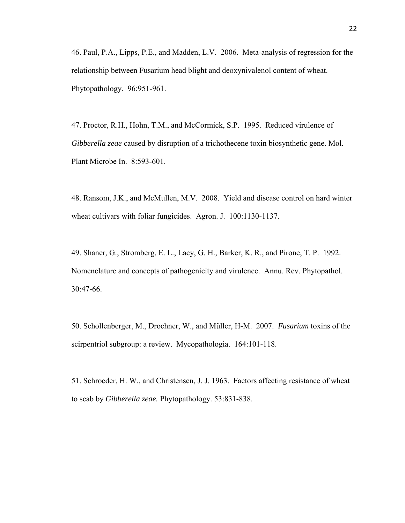46. Paul, P.A., Lipps, P.E., and Madden, L.V. 2006. Meta-analysis of regression for the relationship between Fusarium head blight and deoxynivalenol content of wheat. Phytopathology. 96:951-961.

47. Proctor, R.H., Hohn, T.M., and McCormick, S.P. 1995. Reduced virulence of *Gibberella zeae* caused by disruption of a trichothecene toxin biosynthetic gene. Mol. Plant Microbe In. 8:593-601.

48. Ransom, J.K., and McMullen, M.V. 2008. Yield and disease control on hard winter wheat cultivars with foliar fungicides. Agron. J. 100:1130-1137.

49. Shaner, G., Stromberg, E. L., Lacy, G. H., Barker, K. R., and Pirone, T. P. 1992. Nomenclature and concepts of pathogenicity and virulence. Annu. Rev. Phytopathol. 30:47-66.

50. Schollenberger, M., Drochner, W., and Müller, H-M. 2007. *Fusarium* toxins of the scirpentriol subgroup: a review. Mycopathologia. 164:101-118.

51. Schroeder, H. W., and Christensen, J. J. 1963. Factors affecting resistance of wheat to scab by *Gibberella zeae.* Phytopathology. 53:831-838.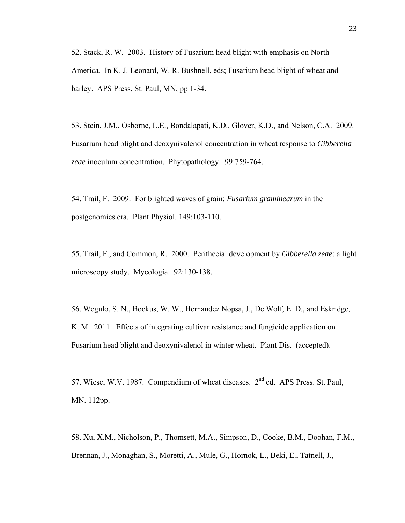52. Stack, R. W. 2003. History of Fusarium head blight with emphasis on North America. In K. J. Leonard, W. R. Bushnell, eds; Fusarium head blight of wheat and barley. APS Press, St. Paul, MN, pp 1-34.

53. Stein, J.M., Osborne, L.E., Bondalapati, K.D., Glover, K.D., and Nelson, C.A. 2009. Fusarium head blight and deoxynivalenol concentration in wheat response to *Gibberella zeae* inoculum concentration. Phytopathology. 99:759-764.

54. Trail, F. 2009. For blighted waves of grain: *Fusarium graminearum* in the postgenomics era. Plant Physiol. 149:103-110.

55. Trail, F., and Common, R. 2000. Perithecial development by *Gibberella zeae*: a light microscopy study. Mycologia. 92:130-138.

56. Wegulo, S. N., Bockus, W. W., Hernandez Nopsa, J., De Wolf, E. D., and Eskridge, K. M. 2011. Effects of integrating cultivar resistance and fungicide application on Fusarium head blight and deoxynivalenol in winter wheat. Plant Dis. (accepted).

57. Wiese, W.V. 1987. Compendium of wheat diseases. 2nd ed. APS Press. St. Paul, MN. 112pp.

58. Xu, X.M., Nicholson, P., Thomsett, M.A., Simpson, D., Cooke, B.M., Doohan, F.M., Brennan, J., Monaghan, S., Moretti, A., Mule, G., Hornok, L., Beki, E., Tatnell, J.,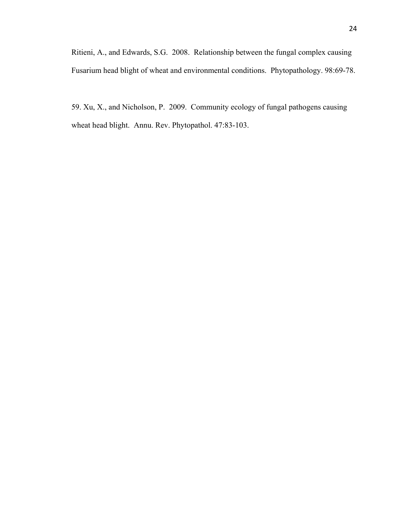Ritieni, A., and Edwards, S.G. 2008. Relationship between the fungal complex causing Fusarium head blight of wheat and environmental conditions. Phytopathology. 98:69-78.

59. Xu, X., and Nicholson, P. 2009. Community ecology of fungal pathogens causing wheat head blight. Annu. Rev. Phytopathol. 47:83-103.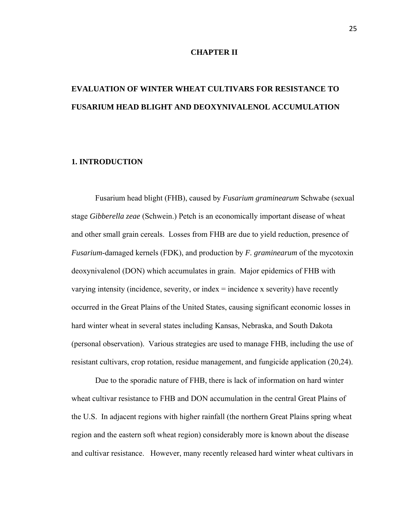### **CHAPTER II**

# **EVALUATION OF WINTER WHEAT CULTIVARS FOR RESISTANCE TO FUSARIUM HEAD BLIGHT AND DEOXYNIVALENOL ACCUMULATION**

## **1. INTRODUCTION**

Fusarium head blight (FHB), caused by *Fusarium graminearum* Schwabe (sexual stage *Gibberella zeae* (Schwein.) Petch is an economically important disease of wheat and other small grain cereals. Losses from FHB are due to yield reduction, presence of *Fusarium*-damaged kernels (FDK), and production by *F. graminearum* of the mycotoxin deoxynivalenol (DON) which accumulates in grain. Major epidemics of FHB with varying intensity (incidence, severity, or index = incidence x severity) have recently occurred in the Great Plains of the United States, causing significant economic losses in hard winter wheat in several states including Kansas, Nebraska, and South Dakota (personal observation). Various strategies are used to manage FHB, including the use of resistant cultivars, crop rotation, residue management, and fungicide application (20,24).

Due to the sporadic nature of FHB, there is lack of information on hard winter wheat cultivar resistance to FHB and DON accumulation in the central Great Plains of the U.S. In adjacent regions with higher rainfall (the northern Great Plains spring wheat region and the eastern soft wheat region) considerably more is known about the disease and cultivar resistance. However, many recently released hard winter wheat cultivars in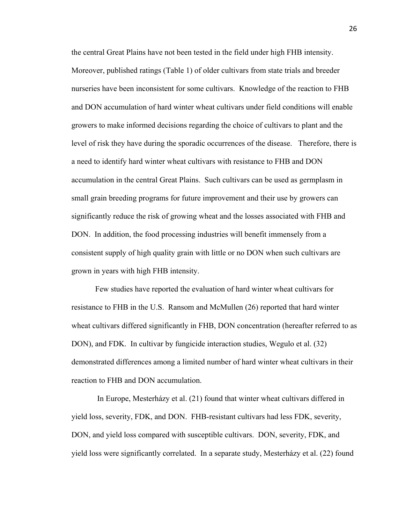the central Great Plains have not been tested in the field under high FHB intensity. Moreover, published ratings (Table 1) of older cultivars from state trials and breeder nurseries have been inconsistent for some cultivars. Knowledge of the reaction to FHB and DON accumulation of hard winter wheat cultivars under field conditions will enable growers to make informed decisions regarding the choice of cultivars to plant and the level of risk they have during the sporadic occurrences of the disease. Therefore, there is a need to identify hard winter wheat cultivars with resistance to FHB and DON accumulation in the central Great Plains. Such cultivars can be used as germplasm in small grain breeding programs for future improvement and their use by growers can significantly reduce the risk of growing wheat and the losses associated with FHB and DON. In addition, the food processing industries will benefit immensely from a consistent supply of high quality grain with little or no DON when such cultivars are grown in years with high FHB intensity.

Few studies have reported the evaluation of hard winter wheat cultivars for resistance to FHB in the U.S. Ransom and McMullen (26) reported that hard winter wheat cultivars differed significantly in FHB, DON concentration (hereafter referred to as DON), and FDK. In cultivar by fungicide interaction studies, Wegulo et al. (32) demonstrated differences among a limited number of hard winter wheat cultivars in their reaction to FHB and DON accumulation.

 In Europe, Mesterházy et al. (21) found that winter wheat cultivars differed in yield loss, severity, FDK, and DON. FHB-resistant cultivars had less FDK, severity, DON, and yield loss compared with susceptible cultivars. DON, severity, FDK, and yield loss were significantly correlated. In a separate study, Mesterházy et al. (22) found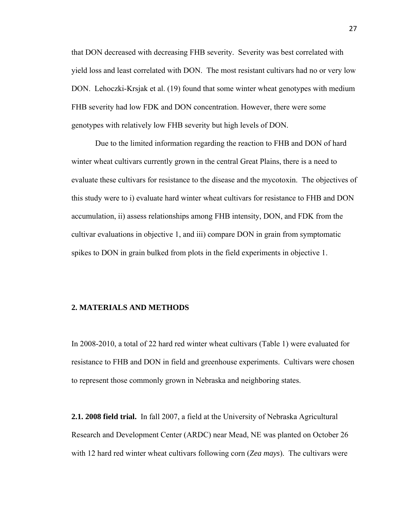that DON decreased with decreasing FHB severity. Severity was best correlated with yield loss and least correlated with DON. The most resistant cultivars had no or very low DON. Lehoczki-Krsjak et al. (19) found that some winter wheat genotypes with medium FHB severity had low FDK and DON concentration. However, there were some genotypes with relatively low FHB severity but high levels of DON.

 Due to the limited information regarding the reaction to FHB and DON of hard winter wheat cultivars currently grown in the central Great Plains, there is a need to evaluate these cultivars for resistance to the disease and the mycotoxin. The objectives of this study were to i) evaluate hard winter wheat cultivars for resistance to FHB and DON accumulation, ii) assess relationships among FHB intensity, DON, and FDK from the cultivar evaluations in objective 1, and iii) compare DON in grain from symptomatic spikes to DON in grain bulked from plots in the field experiments in objective 1.

## **2. MATERIALS AND METHODS**

In 2008-2010, a total of 22 hard red winter wheat cultivars (Table 1) were evaluated for resistance to FHB and DON in field and greenhouse experiments. Cultivars were chosen to represent those commonly grown in Nebraska and neighboring states.

**2.1. 2008 field trial.** In fall 2007, a field at the University of Nebraska Agricultural Research and Development Center (ARDC) near Mead, NE was planted on October 26 with 12 hard red winter wheat cultivars following corn (*Zea mays*). The cultivars were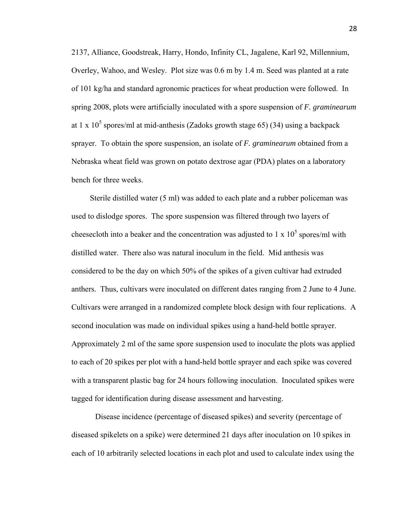2137, Alliance, Goodstreak, Harry, Hondo, Infinity CL, Jagalene, Karl 92, Millennium, Overley, Wahoo, and Wesley. Plot size was 0.6 m by 1.4 m. Seed was planted at a rate of 101 kg/ha and standard agronomic practices for wheat production were followed. In spring 2008, plots were artificially inoculated with a spore suspension of *F. graminearum* at 1 x  $10^5$  spores/ml at mid-anthesis (Zadoks growth stage 65) (34) using a backpack sprayer. To obtain the spore suspension, an isolate of *F. graminearum* obtained from a Nebraska wheat field was grown on potato dextrose agar (PDA) plates on a laboratory bench for three weeks.

 Sterile distilled water (5 ml) was added to each plate and a rubber policeman was used to dislodge spores. The spore suspension was filtered through two layers of cheesecloth into a beaker and the concentration was adjusted to  $1 \times 10^5$  spores/ml with distilled water. There also was natural inoculum in the field. Mid anthesis was considered to be the day on which 50% of the spikes of a given cultivar had extruded anthers. Thus, cultivars were inoculated on different dates ranging from 2 June to 4 June. Cultivars were arranged in a randomized complete block design with four replications. A second inoculation was made on individual spikes using a hand-held bottle sprayer. Approximately 2 ml of the same spore suspension used to inoculate the plots was applied to each of 20 spikes per plot with a hand-held bottle sprayer and each spike was covered with a transparent plastic bag for 24 hours following inoculation. Inoculated spikes were tagged for identification during disease assessment and harvesting.

Disease incidence (percentage of diseased spikes) and severity (percentage of diseased spikelets on a spike) were determined 21 days after inoculation on 10 spikes in each of 10 arbitrarily selected locations in each plot and used to calculate index using the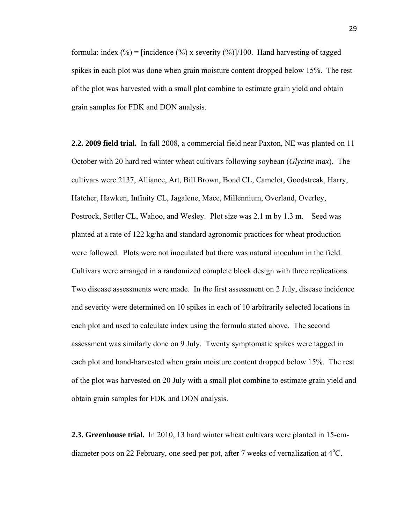formula: index  $(\%)$  = [incidence  $(\%)$  x severity  $(\%)$ ]/100. Hand harvesting of tagged spikes in each plot was done when grain moisture content dropped below 15%. The rest of the plot was harvested with a small plot combine to estimate grain yield and obtain grain samples for FDK and DON analysis.

**2.2. 2009 field trial.** In fall 2008, a commercial field near Paxton, NE was planted on 11 October with 20 hard red winter wheat cultivars following soybean (*Glycine max*). The cultivars were 2137, Alliance, Art, Bill Brown, Bond CL, Camelot, Goodstreak, Harry, Hatcher, Hawken, Infinity CL, Jagalene, Mace, Millennium, Overland, Overley, Postrock, Settler CL, Wahoo, and Wesley. Plot size was 2.1 m by 1.3 m. Seed was planted at a rate of 122 kg/ha and standard agronomic practices for wheat production were followed. Plots were not inoculated but there was natural inoculum in the field. Cultivars were arranged in a randomized complete block design with three replications. Two disease assessments were made. In the first assessment on 2 July, disease incidence and severity were determined on 10 spikes in each of 10 arbitrarily selected locations in each plot and used to calculate index using the formula stated above. The second assessment was similarly done on 9 July. Twenty symptomatic spikes were tagged in each plot and hand-harvested when grain moisture content dropped below 15%. The rest of the plot was harvested on 20 July with a small plot combine to estimate grain yield and obtain grain samples for FDK and DON analysis.

**2.3. Greenhouse trial.** In 2010, 13 hard winter wheat cultivars were planted in 15-cmdiameter pots on 22 February, one seed per pot, after 7 weeks of vernalization at  $4^{\circ}$ C.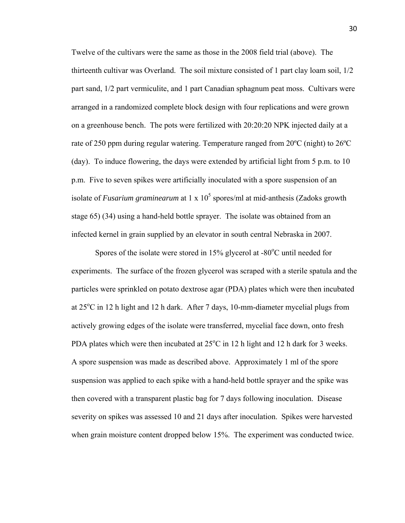Twelve of the cultivars were the same as those in the 2008 field trial (above). The thirteenth cultivar was Overland. The soil mixture consisted of 1 part clay loam soil, 1/2 part sand, 1/2 part vermiculite, and 1 part Canadian sphagnum peat moss. Cultivars were arranged in a randomized complete block design with four replications and were grown on a greenhouse bench. The pots were fertilized with 20:20:20 NPK injected daily at a rate of 250 ppm during regular watering. Temperature ranged from 20ºC (night) to 26ºC (day). To induce flowering, the days were extended by artificial light from 5 p.m. to 10 p.m. Five to seven spikes were artificially inoculated with a spore suspension of an isolate of *Fusarium graminearum* at  $1 \times 10^5$  spores/ml at mid-anthesis (Zadoks growth stage 65) (34) using a hand-held bottle sprayer. The isolate was obtained from an infected kernel in grain supplied by an elevator in south central Nebraska in 2007.

Spores of the isolate were stored in  $15\%$  glycerol at -80 $^{\circ}$ C until needed for experiments. The surface of the frozen glycerol was scraped with a sterile spatula and the particles were sprinkled on potato dextrose agar (PDA) plates which were then incubated at  $25^{\circ}$ C in 12 h light and 12 h dark. After 7 days, 10-mm-diameter mycelial plugs from actively growing edges of the isolate were transferred, mycelial face down, onto fresh PDA plates which were then incubated at  $25^{\circ}$ C in 12 h light and 12 h dark for 3 weeks. A spore suspension was made as described above. Approximately 1 ml of the spore suspension was applied to each spike with a hand-held bottle sprayer and the spike was then covered with a transparent plastic bag for 7 days following inoculation. Disease severity on spikes was assessed 10 and 21 days after inoculation. Spikes were harvested when grain moisture content dropped below 15%. The experiment was conducted twice.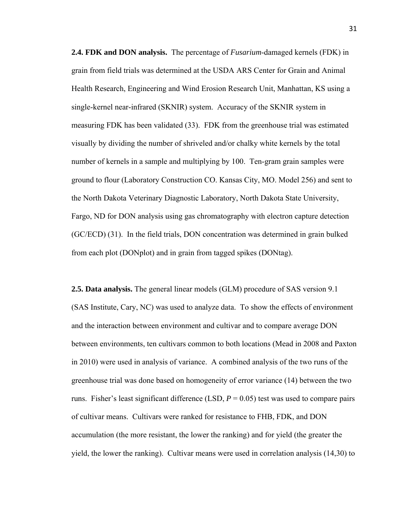**2.4. FDK and DON analysis.** The percentage of *Fusarium*-damaged kernels (FDK) in grain from field trials was determined at the USDA ARS Center for Grain and Animal Health Research, Engineering and Wind Erosion Research Unit, Manhattan, KS using a single-kernel near-infrared (SKNIR) system. Accuracy of the SKNIR system in measuring FDK has been validated (33). FDK from the greenhouse trial was estimated visually by dividing the number of shriveled and/or chalky white kernels by the total number of kernels in a sample and multiplying by 100. Ten-gram grain samples were ground to flour (Laboratory Construction CO. Kansas City, MO. Model 256) and sent to the North Dakota Veterinary Diagnostic Laboratory, North Dakota State University, Fargo, ND for DON analysis using gas chromatography with electron capture detection (GC/ECD) (31). In the field trials, DON concentration was determined in grain bulked from each plot (DONplot) and in grain from tagged spikes (DONtag).

**2.5. Data analysis.** The general linear models (GLM) procedure of SAS version 9.1 (SAS Institute, Cary, NC) was used to analyze data. To show the effects of environment and the interaction between environment and cultivar and to compare average DON between environments, ten cultivars common to both locations (Mead in 2008 and Paxton in 2010) were used in analysis of variance. A combined analysis of the two runs of the greenhouse trial was done based on homogeneity of error variance (14) between the two runs. Fisher's least significant difference (LSD,  $P = 0.05$ ) test was used to compare pairs of cultivar means. Cultivars were ranked for resistance to FHB, FDK, and DON accumulation (the more resistant, the lower the ranking) and for yield (the greater the yield, the lower the ranking). Cultivar means were used in correlation analysis (14,30) to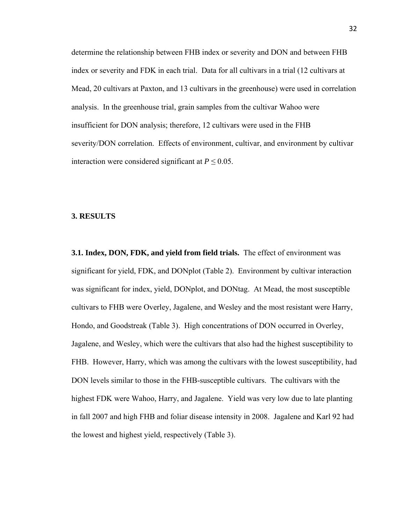determine the relationship between FHB index or severity and DON and between FHB index or severity and FDK in each trial. Data for all cultivars in a trial (12 cultivars at Mead, 20 cultivars at Paxton, and 13 cultivars in the greenhouse) were used in correlation analysis. In the greenhouse trial, grain samples from the cultivar Wahoo were insufficient for DON analysis; therefore, 12 cultivars were used in the FHB severity/DON correlation. Effects of environment, cultivar, and environment by cultivar interaction were considered significant at  $P \leq 0.05$ .

#### **3. RESULTS**

**3.1. Index, DON, FDK, and yield from field trials.** The effect of environment was significant for yield, FDK, and DONplot (Table 2). Environment by cultivar interaction was significant for index, yield, DONplot, and DONtag. At Mead, the most susceptible cultivars to FHB were Overley, Jagalene, and Wesley and the most resistant were Harry, Hondo, and Goodstreak (Table 3). High concentrations of DON occurred in Overley, Jagalene, and Wesley, which were the cultivars that also had the highest susceptibility to FHB. However, Harry, which was among the cultivars with the lowest susceptibility, had DON levels similar to those in the FHB-susceptible cultivars. The cultivars with the highest FDK were Wahoo, Harry, and Jagalene. Yield was very low due to late planting in fall 2007 and high FHB and foliar disease intensity in 2008. Jagalene and Karl 92 had the lowest and highest yield, respectively (Table 3).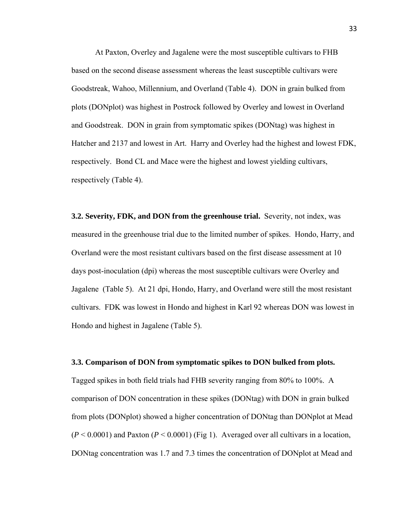At Paxton, Overley and Jagalene were the most susceptible cultivars to FHB based on the second disease assessment whereas the least susceptible cultivars were Goodstreak, Wahoo, Millennium, and Overland (Table 4). DON in grain bulked from plots (DONplot) was highest in Postrock followed by Overley and lowest in Overland and Goodstreak. DON in grain from symptomatic spikes (DONtag) was highest in Hatcher and 2137 and lowest in Art. Harry and Overley had the highest and lowest FDK, respectively. Bond CL and Mace were the highest and lowest yielding cultivars, respectively (Table 4).

**3.2. Severity, FDK, and DON from the greenhouse trial.** Severity, not index, was measured in the greenhouse trial due to the limited number of spikes. Hondo, Harry, and Overland were the most resistant cultivars based on the first disease assessment at 10 days post-inoculation (dpi) whereas the most susceptible cultivars were Overley and Jagalene (Table 5). At 21 dpi, Hondo, Harry, and Overland were still the most resistant cultivars. FDK was lowest in Hondo and highest in Karl 92 whereas DON was lowest in Hondo and highest in Jagalene (Table 5).

#### **3.3. Comparison of DON from symptomatic spikes to DON bulked from plots.**

Tagged spikes in both field trials had FHB severity ranging from 80% to 100%. A comparison of DON concentration in these spikes (DONtag) with DON in grain bulked from plots (DONplot) showed a higher concentration of DONtag than DONplot at Mead  $(P < 0.0001)$  and Paxton  $(P < 0.0001)$  (Fig 1). Averaged over all cultivars in a location, DONtag concentration was 1.7 and 7.3 times the concentration of DONplot at Mead and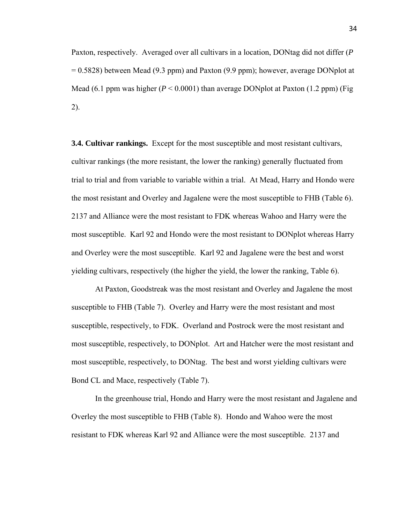Paxton, respectively. Averaged over all cultivars in a location, DONtag did not differ (*P* = 0.5828) between Mead (9.3 ppm) and Paxton (9.9 ppm); however, average DONplot at Mead (6.1 ppm was higher  $(P < 0.0001)$  than average DONplot at Paxton (1.2 ppm) (Fig. 2).

**3.4. Cultivar rankings.** Except for the most susceptible and most resistant cultivars, cultivar rankings (the more resistant, the lower the ranking) generally fluctuated from trial to trial and from variable to variable within a trial. At Mead, Harry and Hondo were the most resistant and Overley and Jagalene were the most susceptible to FHB (Table 6). 2137 and Alliance were the most resistant to FDK whereas Wahoo and Harry were the most susceptible. Karl 92 and Hondo were the most resistant to DONplot whereas Harry and Overley were the most susceptible. Karl 92 and Jagalene were the best and worst yielding cultivars, respectively (the higher the yield, the lower the ranking, Table 6).

 At Paxton, Goodstreak was the most resistant and Overley and Jagalene the most susceptible to FHB (Table 7). Overley and Harry were the most resistant and most susceptible, respectively, to FDK. Overland and Postrock were the most resistant and most susceptible, respectively, to DONplot. Art and Hatcher were the most resistant and most susceptible, respectively, to DONtag. The best and worst yielding cultivars were Bond CL and Mace, respectively (Table 7).

 In the greenhouse trial, Hondo and Harry were the most resistant and Jagalene and Overley the most susceptible to FHB (Table 8). Hondo and Wahoo were the most resistant to FDK whereas Karl 92 and Alliance were the most susceptible. 2137 and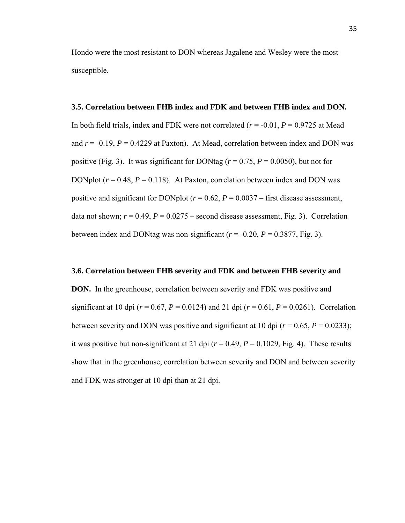Hondo were the most resistant to DON whereas Jagalene and Wesley were the most susceptible.

## **3.5. Correlation between FHB index and FDK and between FHB index and DON.**

In both field trials, index and FDK were not correlated  $(r = -0.01, P = 0.9725$  at Mead and  $r = -0.19$ ,  $P = 0.4229$  at Paxton). At Mead, correlation between index and DON was positive (Fig. 3). It was significant for DONtag ( $r = 0.75$ ,  $P = 0.0050$ ), but not for DONplot  $(r = 0.48, P = 0.118)$ . At Paxton, correlation between index and DON was positive and significant for DONplot ( $r = 0.62$ ,  $P = 0.0037$  – first disease assessment, data not shown;  $r = 0.49$ ,  $P = 0.0275$  – second disease assessment, Fig. 3). Correlation between index and DONtag was non-significant  $(r = -0.20, P = 0.3877, Fig. 3)$ .

### **3.6. Correlation between FHB severity and FDK and between FHB severity and**

**DON.** In the greenhouse, correlation between severity and FDK was positive and significant at 10 dpi ( $r = 0.67$ ,  $P = 0.0124$ ) and 21 dpi ( $r = 0.61$ ,  $P = 0.0261$ ). Correlation between severity and DON was positive and significant at 10 dpi  $(r = 0.65, P = 0.0233)$ ; it was positive but non-significant at 21 dpi  $(r = 0.49, P = 0.1029, Fig. 4)$ . These results show that in the greenhouse, correlation between severity and DON and between severity and FDK was stronger at 10 dpi than at 21 dpi.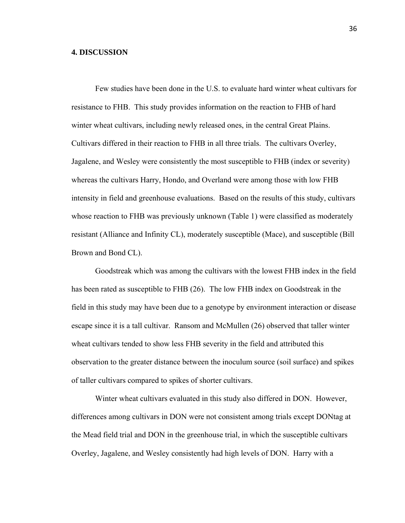## **4. DISCUSSION**

 Few studies have been done in the U.S. to evaluate hard winter wheat cultivars for resistance to FHB. This study provides information on the reaction to FHB of hard winter wheat cultivars, including newly released ones, in the central Great Plains. Cultivars differed in their reaction to FHB in all three trials. The cultivars Overley, Jagalene, and Wesley were consistently the most susceptible to FHB (index or severity) whereas the cultivars Harry, Hondo, and Overland were among those with low FHB intensity in field and greenhouse evaluations. Based on the results of this study, cultivars whose reaction to FHB was previously unknown (Table 1) were classified as moderately resistant (Alliance and Infinity CL), moderately susceptible (Mace), and susceptible (Bill Brown and Bond CL).

Goodstreak which was among the cultivars with the lowest FHB index in the field has been rated as susceptible to FHB (26). The low FHB index on Goodstreak in the field in this study may have been due to a genotype by environment interaction or disease escape since it is a tall cultivar. Ransom and McMullen (26) observed that taller winter wheat cultivars tended to show less FHB severity in the field and attributed this observation to the greater distance between the inoculum source (soil surface) and spikes of taller cultivars compared to spikes of shorter cultivars.

 Winter wheat cultivars evaluated in this study also differed in DON. However, differences among cultivars in DON were not consistent among trials except DONtag at the Mead field trial and DON in the greenhouse trial, in which the susceptible cultivars Overley, Jagalene, and Wesley consistently had high levels of DON. Harry with a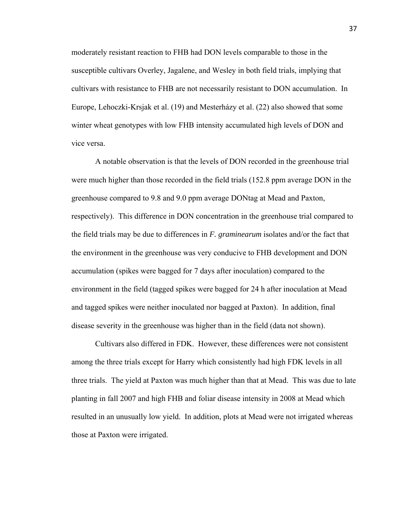moderately resistant reaction to FHB had DON levels comparable to those in the susceptible cultivars Overley, Jagalene, and Wesley in both field trials, implying that cultivars with resistance to FHB are not necessarily resistant to DON accumulation. In Europe, Lehoczki-Krsjak et al. (19) and Mesterházy et al. (22) also showed that some winter wheat genotypes with low FHB intensity accumulated high levels of DON and vice versa.

 A notable observation is that the levels of DON recorded in the greenhouse trial were much higher than those recorded in the field trials (152.8 ppm average DON in the greenhouse compared to 9.8 and 9.0 ppm average DONtag at Mead and Paxton, respectively). This difference in DON concentration in the greenhouse trial compared to the field trials may be due to differences in *F. graminearum* isolates and/or the fact that the environment in the greenhouse was very conducive to FHB development and DON accumulation (spikes were bagged for 7 days after inoculation) compared to the environment in the field (tagged spikes were bagged for 24 h after inoculation at Mead and tagged spikes were neither inoculated nor bagged at Paxton). In addition, final disease severity in the greenhouse was higher than in the field (data not shown).

 Cultivars also differed in FDK. However, these differences were not consistent among the three trials except for Harry which consistently had high FDK levels in all three trials. The yield at Paxton was much higher than that at Mead. This was due to late planting in fall 2007 and high FHB and foliar disease intensity in 2008 at Mead which resulted in an unusually low yield. In addition, plots at Mead were not irrigated whereas those at Paxton were irrigated.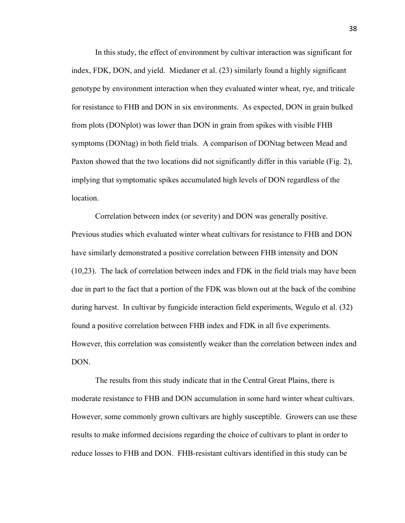In this study, the effect of environment by cultivar interaction was significant for index, FDK, DON, and yield. Miedaner et al. (23) similarly found a highly significant genotype by environment interaction when they evaluated winter wheat, rye, and triticale for resistance to FHB and DON in six environments. As expected, DON in grain bulked from plots (DONplot) was lower than DON in grain from spikes with visible FHB symptoms (DONtag) in both field trials. A comparison of DONtag between Mead and Paxton showed that the two locations did not significantly differ in this variable (Fig. 2), implying that symptomatic spikes accumulated high levels of DON regardless of the location.

 Correlation between index (or severity) and DON was generally positive. Previous studies which evaluated winter wheat cultivars for resistance to FHB and DON have similarly demonstrated a positive correlation between FHB intensity and DON (10,23). The lack of correlation between index and FDK in the field trials may have been due in part to the fact that a portion of the FDK was blown out at the back of the combine during harvest. In cultivar by fungicide interaction field experiments, Wegulo et al. (32) found a positive correlation between FHB index and FDK in all five experiments. However, this correlation was consistently weaker than the correlation between index and DON.

 The results from this study indicate that in the Central Great Plains, there is moderate resistance to FHB and DON accumulation in some hard winter wheat cultivars. However, some commonly grown cultivars are highly susceptible. Growers can use these results to make informed decisions regarding the choice of cultivars to plant in order to reduce losses to FHB and DON. FHB-resistant cultivars identified in this study can be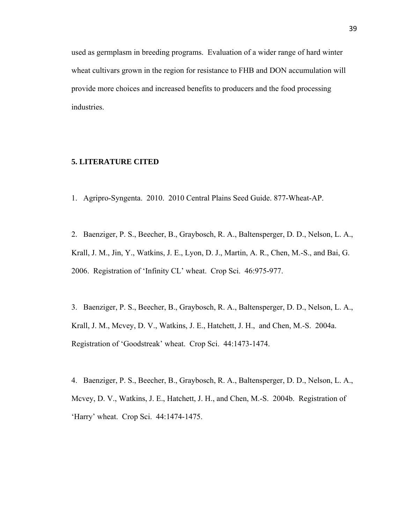used as germplasm in breeding programs. Evaluation of a wider range of hard winter wheat cultivars grown in the region for resistance to FHB and DON accumulation will provide more choices and increased benefits to producers and the food processing industries.

## **5. LITERATURE CITED**

1. Agripro-Syngenta. 2010. 2010 Central Plains Seed Guide. 877-Wheat-AP.

2. Baenziger, P. S., Beecher, B., Graybosch, R. A., Baltensperger, D. D., Nelson, L. A., Krall, J. M., Jin, Y., Watkins, J. E., Lyon, D. J., Martin, A. R., Chen, M.-S., and Bai, G. 2006. Registration of 'Infinity CL' wheat. Crop Sci. 46:975-977.

3. Baenziger, P. S., Beecher, B., Graybosch, R. A., Baltensperger, D. D., Nelson, L. A., Krall, J. M., Mcvey, D. V., Watkins, J. E., Hatchett, J. H., and Chen, M.-S. 2004a. Registration of 'Goodstreak' wheat. Crop Sci. 44:1473-1474.

4. Baenziger, P. S., Beecher, B., Graybosch, R. A., Baltensperger, D. D., Nelson, L. A., Mcvey, D. V., Watkins, J. E., Hatchett, J. H., and Chen, M.-S. 2004b. Registration of 'Harry' wheat. Crop Sci. 44:1474-1475.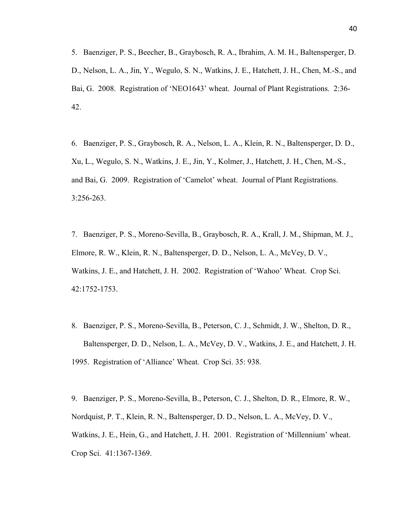5. Baenziger, P. S., Beecher, B., Graybosch, R. A., Ibrahim, A. M. H., Baltensperger, D. D., Nelson, L. A., Jin, Y., Wegulo, S. N., Watkins, J. E., Hatchett, J. H., Chen, M.-S., and Bai, G. 2008. Registration of 'NEO1643' wheat. Journal of Plant Registrations. 2:36- 42.

6. Baenziger, P. S., Graybosch, R. A., Nelson, L. A., Klein, R. N., Baltensperger, D. D., Xu, L., Wegulo, S. N., Watkins, J. E., Jin, Y., Kolmer, J., Hatchett, J. H., Chen, M.-S., and Bai, G. 2009. Registration of 'Camelot' wheat. Journal of Plant Registrations. 3:256-263.

7. Baenziger, P. S., Moreno-Sevilla, B., Graybosch, R. A., Krall, J. M., Shipman, M. J., Elmore, R. W., Klein, R. N., Baltensperger, D. D., Nelson, L. A., McVey, D. V., Watkins, J. E., and Hatchett, J. H. 2002. Registration of 'Wahoo' Wheat. Crop Sci. 42:1752-1753.

8. Baenziger, P. S., Moreno-Sevilla, B., Peterson, C. J., Schmidt, J. W., Shelton, D. R., Baltensperger, D. D., Nelson, L. A., McVey, D. V., Watkins, J. E., and Hatchett, J. H. 1995. Registration of 'Alliance' Wheat. Crop Sci. 35: 938.

9. Baenziger, P. S., Moreno-Sevilla, B., Peterson, C. J., Shelton, D. R., Elmore, R. W., Nordquist, P. T., Klein, R. N., Baltensperger, D. D., Nelson, L. A., McVey, D. V., Watkins, J. E., Hein, G., and Hatchett, J. H. 2001. Registration of 'Millennium' wheat. Crop Sci. 41:1367-1369.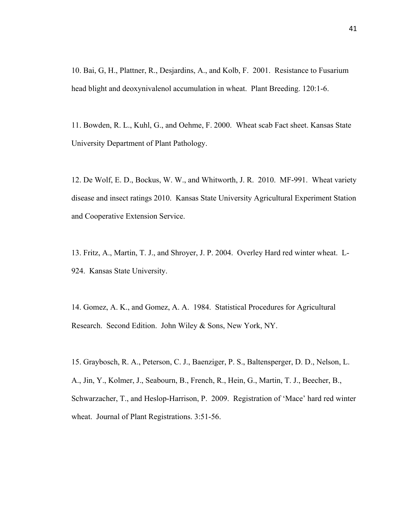10. Bai, G, H., Plattner, R., Desjardins, A., and Kolb, F. 2001. Resistance to Fusarium head blight and deoxynivalenol accumulation in wheat. Plant Breeding. 120:1-6.

11. Bowden, R. L., Kuhl, G., and Oehme, F. 2000. Wheat scab Fact sheet. Kansas State University Department of Plant Pathology.

12. De Wolf, E. D., Bockus, W. W., and Whitworth, J. R. 2010. MF-991. Wheat variety disease and insect ratings 2010. Kansas State University Agricultural Experiment Station and Cooperative Extension Service.

13. Fritz, A., Martin, T. J., and Shroyer, J. P. 2004. Overley Hard red winter wheat. L-924. Kansas State University.

14. Gomez, A. K., and Gomez, A. A. 1984. Statistical Procedures for Agricultural Research. Second Edition. John Wiley & Sons, New York, NY.

15. Graybosch, R. A., Peterson, C. J., Baenziger, P. S., Baltensperger, D. D., Nelson, L. A., Jin, Y., Kolmer, J., Seabourn, B., French, R., Hein, G., Martin, T. J., Beecher, B., Schwarzacher, T., and Heslop-Harrison, P. 2009. Registration of 'Mace' hard red winter wheat. Journal of Plant Registrations. 3:51-56.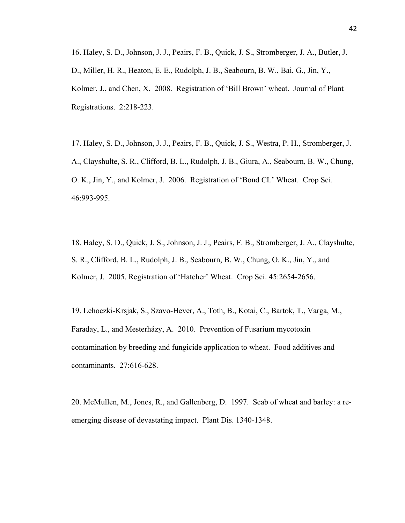16. Haley, S. D., Johnson, J. J., Peairs, F. B., Quick, J. S., Stromberger, J. A., Butler, J. D., Miller, H. R., Heaton, E. E., Rudolph, J. B., Seabourn, B. W., Bai, G., Jin, Y., Kolmer, J., and Chen, X. 2008. Registration of 'Bill Brown' wheat. Journal of Plant Registrations. 2:218-223.

17. Haley, S. D., Johnson, J. J., Peairs, F. B., Quick, J. S., Westra, P. H., Stromberger, J. A., Clayshulte, S. R., Clifford, B. L., Rudolph, J. B., Giura, A., Seabourn, B. W., Chung, O. K., Jin, Y., and Kolmer, J. 2006. Registration of 'Bond CL' Wheat. Crop Sci. 46:993-995.

18. Haley, S. D., Quick, J. S., Johnson, J. J., Peairs, F. B., Stromberger, J. A., Clayshulte, S. R., Clifford, B. L., Rudolph, J. B., Seabourn, B. W., Chung, O. K., Jin, Y., and Kolmer, J. 2005. Registration of 'Hatcher' Wheat. Crop Sci. 45:2654-2656.

19. Lehoczki-Krsjak, S., Szavo-Hever, A., Toth, B., Kotai, C., Bartok, T., Varga, M., Faraday, L., and Mesterházy, A. 2010. Prevention of Fusarium mycotoxin contamination by breeding and fungicide application to wheat. Food additives and contaminants. 27:616-628.

20. McMullen, M., Jones, R., and Gallenberg, D. 1997. Scab of wheat and barley: a reemerging disease of devastating impact. Plant Dis. 1340-1348.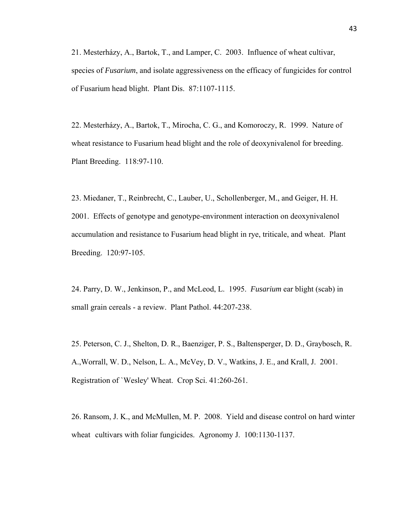21. Mesterházy, A., Bartok, T., and Lamper, C. 2003. Influence of wheat cultivar, species of *Fusarium*, and isolate aggressiveness on the efficacy of fungicides for control of Fusarium head blight. Plant Dis. 87:1107-1115.

22. Mesterházy, A., Bartok, T., Mirocha, C. G., and Komoroczy, R. 1999. Nature of wheat resistance to Fusarium head blight and the role of deoxynivalenol for breeding. Plant Breeding. 118:97-110.

23. Miedaner, T., Reinbrecht, C., Lauber, U., Schollenberger, M., and Geiger, H. H. 2001. Effects of genotype and genotype-environment interaction on deoxynivalenol accumulation and resistance to Fusarium head blight in rye, triticale, and wheat. Plant Breeding. 120:97-105.

24. Parry, D. W., Jenkinson, P., and McLeod, L. 1995. *Fusarium* ear blight (scab) in small grain cereals - a review. Plant Pathol. 44:207-238.

25. Peterson, C. J., Shelton, D. R., Baenziger, P. S., Baltensperger, D. D., Graybosch, R. A.,Worrall, W. D., Nelson, L. A., McVey, D. V., Watkins, J. E., and Krall, J. 2001. Registration of `Wesley' Wheat. Crop Sci. 41:260-261.

26. Ransom, J. K., and McMullen, M. P. 2008. Yield and disease control on hard winter wheat cultivars with foliar fungicides. Agronomy J. 100:1130-1137.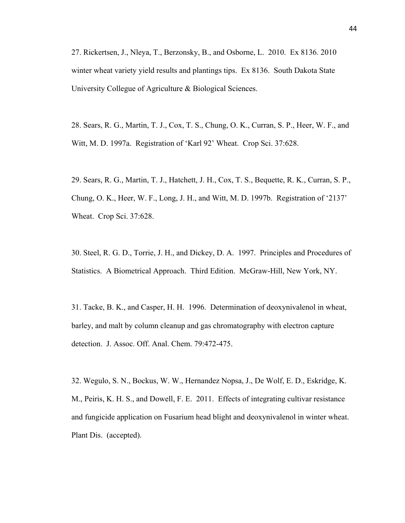27. Rickertsen, J., Nleya, T., Berzonsky, B., and Osborne, L. 2010. Ex 8136. 2010 winter wheat variety yield results and plantings tips. Ex 8136. South Dakota State University Collegue of Agriculture & Biological Sciences.

28. Sears, R. G., Martin, T. J., Cox, T. S., Chung, O. K., Curran, S. P., Heer, W. F., and Witt, M. D. 1997a. Registration of 'Karl 92' Wheat. Crop Sci. 37:628.

29. Sears, R. G., Martin, T. J., Hatchett, J. H., Cox, T. S., Bequette, R. K., Curran, S. P., Chung, O. K., Heer, W. F., Long, J. H., and Witt, M. D. 1997b. Registration of '2137' Wheat. Crop Sci. 37:628.

30. Steel, R. G. D., Torrie, J. H., and Dickey, D. A. 1997. Principles and Procedures of Statistics. A Biometrical Approach. Third Edition. McGraw-Hill, New York, NY.

31. Tacke, B. K., and Casper, H. H. 1996. Determination of deoxynivalenol in wheat, barley, and malt by column cleanup and gas chromatography with electron capture detection. J. Assoc. Off. Anal. Chem. 79:472-475.

32. Wegulo, S. N., Bockus, W. W., Hernandez Nopsa, J., De Wolf, E. D., Eskridge, K. M., Peiris, K. H. S., and Dowell, F. E. 2011. Effects of integrating cultivar resistance and fungicide application on Fusarium head blight and deoxynivalenol in winter wheat. Plant Dis. (accepted).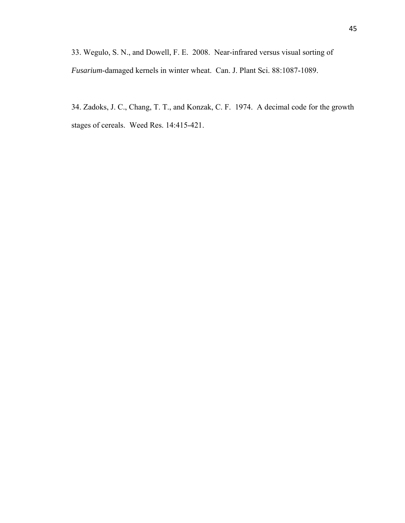33. Wegulo, S. N., and Dowell, F. E. 2008. Near-infrared versus visual sorting of *Fusarium*-damaged kernels in winter wheat. Can. J. Plant Sci. 88:1087-1089.

34. Zadoks, J. C., Chang, T. T., and Konzak, C. F. 1974. A decimal code for the growth stages of cereals. Weed Res. 14:415-421.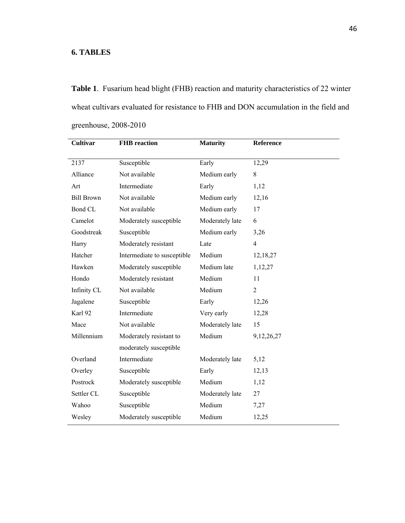## **6. TABLES**

**Table 1**. Fusarium head blight (FHB) reaction and maturity characteristics of 22 winter wheat cultivars evaluated for resistance to FHB and DON accumulation in the field and greenhouse, 2008-2010

| Cultivar          | <b>FHB</b> reaction         | <b>Maturity</b> | Reference      |
|-------------------|-----------------------------|-----------------|----------------|
| 2137              | Susceptible                 | Early           | 12,29          |
| Alliance          | Not available               | Medium early    | 8              |
| Art               | Intermediate                | Early           | 1,12           |
| <b>Bill Brown</b> | Not available               | Medium early    | 12,16          |
| <b>Bond CL</b>    | Not available               | Medium early    | 17             |
| Camelot           | Moderately susceptible      | Moderately late | 6              |
| Goodstreak        | Susceptible                 | Medium early    | 3,26           |
| Harry             | Moderately resistant        | Late            | $\overline{4}$ |
| Hatcher           | Intermediate to susceptible | Medium          | 12,18,27       |
| Hawken            | Moderately susceptible      | Medium late     | 1,12,27        |
| Hondo             | Moderately resistant        | Medium          | 11             |
| Infinity CL       | Not available               | Medium          | $\overline{2}$ |
| Jagalene          | Susceptible                 | Early           | 12,26          |
| Karl 92           | Intermediate                | Very early      | 12,28          |
| Mace              | Not available               | Moderately late | 15             |
| Millennium        | Moderately resistant to     | Medium          | 9,12,26,27     |
|                   | moderately susceptible      |                 |                |
| Overland          | Intermediate                | Moderately late | 5,12           |
| Overley           | Susceptible                 | Early           | 12,13          |
| Postrock          | Moderately susceptible      | Medium          | 1,12           |
| Settler CL        | Susceptible                 | Moderately late | 27             |
| Wahoo             | Susceptible                 | Medium          | 7,27           |
| Wesley            | Moderately susceptible      | Medium          | 12,25          |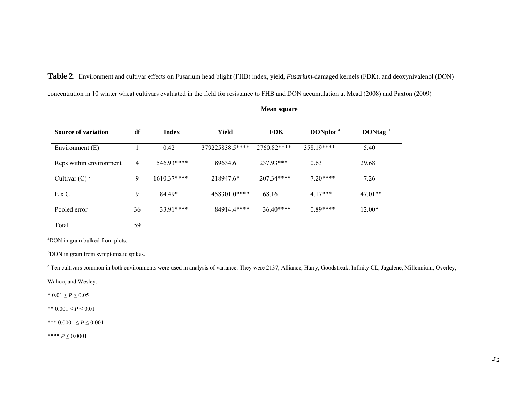|                             | <b>Mean square</b> |              |                 |             |                      |                     |  |
|-----------------------------|--------------------|--------------|-----------------|-------------|----------------------|---------------------|--|
| <b>Source of variation</b>  | df                 | <b>Index</b> | <b>Yield</b>    | <b>FDK</b>  | DONplot <sup>a</sup> | DONtag <sup>b</sup> |  |
| Environment $(E)$           |                    | 0.42         | 379225838.5**** | 2760.82**** | 358.19****           | 5.40                |  |
| Reps within environment     | $\overline{4}$     | 546.93****   | 89634.6         | 237.93***   | 0.63                 | 29.68               |  |
| Cultivar $(C)$ <sup>c</sup> | 9                  | $1610.37***$ | 218947.6*       | $207.34***$ | $720***$             | 7.26                |  |
| $E \times C$                | 9                  | 84.49*       | 458301.0****    | 68.16       | $4.17***$            | $47.01**$           |  |
| Pooled error                | 36                 | 33.91****    | 84914.4****     | $36.40***$  | $0.89***$            | $12.00*$            |  |
| Total                       | 59                 |              |                 |             |                      |                     |  |

concentration in 10 winter wheat cultivars evaluated in the field for resistance to FHB and DON accumulation at Mead (2008) and Paxton (2009)

**Table 2**. Environment and cultivar effects on Fusarium head blight (FHB) index, yield, *Fusarium*-damaged kernels (FDK), and deoxynivalenol (DON)

<sup>a</sup>DON in grain bulked from plots.

b<sub>b</sub>OON in grain from symptomatic spikes.

<sup>c</sup> Ten cultivars common in both environments were used in analysis of variance. They were 2137, Alliance, Harry, Goodstreak, Infinity CL, Jagalene, Millennium, Overley,

Wahoo, and Wesley.

\*  $0.01 \le P \le 0.05$ 

\*\*  $0.001 \le P \le 0.01$ 

\*\*\* 0.0001 ≤ *P* ≤ 0.001

\*\*\*\*  $P \le 0.0001$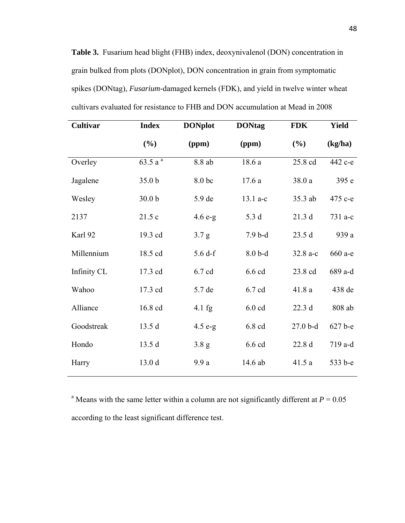**Table 3.** Fusarium head blight (FHB) index, deoxynivalenol (DON) concentration in grain bulked from plots (DONplot), DON concentration in grain from symptomatic spikes (DONtag), *Fusarium-*damaged kernels (FDK), and yield in twelve winter wheat cultivars evaluated for resistance to FHB and DON accumulation at Mead in 2008

| Cultivar    | <b>Index</b>       | <b>DONplot</b>   | <b>DONtag</b> | <b>FDK</b> | <b>Yield</b> |
|-------------|--------------------|------------------|---------------|------------|--------------|
|             | (%)                | (ppm)            | (ppm)         | (%)        | (kg/ha)      |
| Overley     | 63.5a <sup>a</sup> | 8.8 ab           | 18.6 a        | 25.8 cd    | 442 с-е      |
| Jagalene    | 35.0 <sub>b</sub>  | 8.0 bc           | 17.6a         | 38.0a      | 395 e        |
| Wesley      | 30.0 <sub>b</sub>  | 5.9 de           | $13.1 a-c$    | 35.3 ab    | 475 c-e      |
| 2137        | 21.5 c             | $4.6 e-g$        | 5.3 d         | 21.3 d     | 731 a-c      |
| Karl 92     | 19.3 cd            | 3.7 <sub>g</sub> | $7.9b-d$      | 23.5d      | 939 a        |
| Millennium  | 18.5 cd            | 5.6 df           | $8.0b-d$      | 32.8 a-c   | 660 a-e      |
| Infinity CL | 17.3 cd            | 6.7 cd           | 6.6 cd        | 23.8 cd    | 689 a-d      |
| Wahoo       | 17.3 cd            | 5.7 de           | 6.7 cd        | 41.8 a     | 438 de       |
| Alliance    | 16.8 cd            | $4.1$ fg         | $6.0$ cd      | 22.3 d     | 808 ab       |
| Goodstreak  | 13.5 d             | $4.5 e-g$        | 6.8 cd        | $27.0b-d$  | 627 b-e      |
| Hondo       | 13.5d              | 3.8 g            | 6.6 cd        | 22.8 d     | 719 a-d      |
| Harry       | 13.0 d             | 9.9a             | 14.6 ab       | 41.5a      | 533 b-e      |
|             |                    |                  |               |            |              |

<sup>a</sup> Means with the same letter within a column are not significantly different at  $P = 0.05$ according to the least significant difference test.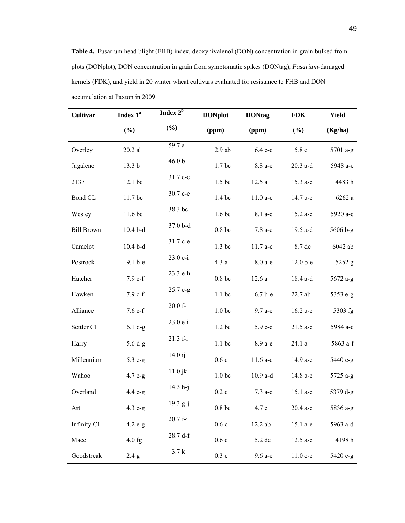**Table 4.** Fusarium head blight (FHB) index, deoxynivalenol (DON) concentration in grain bulked from plots (DONplot), DON concentration in grain from symptomatic spikes (DONtag), *Fusarium-*damaged kernels (FDK), and yield in 20 winter wheat cultivars evaluated for resistance to FHB and DON accumulation at Paxton in 2009

| Cultivar          | Index 1 <sup>ª</sup> | Index $2^{\overline{b}}$ | <b>DONplot</b>     | <b>DONtag</b> | <b>FDK</b> | <b>Yield</b> |
|-------------------|----------------------|--------------------------|--------------------|---------------|------------|--------------|
|                   | (%)                  | (%)                      | (ppm)              | (ppm)         | (%)        | (Kg/ha)      |
| Overley           | $20.2\ a^c$          | 59.7 a                   | $2.9$ ab           | 6.4 c-e       | 5.8 e      | 5701 a-g     |
| Jagalene          | 13.3 <sub>b</sub>    | 46.0 <sub>b</sub>        | 1.7 <sub>bc</sub>  | 8.8 a-e       | $20.3$ a-d | 5948 а-е     |
| 2137              | 12.1 bc              | 31.7 с-е                 | 1.5 bc             | 12.5a         | 15.3 a-e   | 4483h        |
| Bond CL           | 11.7 bc              | 30.7 с-е                 | 1.4 bc             | $11.0a-c$     | 14.7 a-e   | 6262 a       |
| Wesley            | 11.6 bc              | 38.3 bc                  | 1.6 <sub>bc</sub>  | 8.1 a-e       | 15.2 a-e   | 5920 a-e     |
| <b>Bill Brown</b> | $10.4b-d$            | 37.0 b-d                 | $0.8\ \mathrm{bc}$ | 7.8 a-e       | 19.5 a-d   | 5606 b-g     |
| Camelot           | $10.4b-d$            | 31.7 с-е                 | 1.3 bc             | $11.7a-c$     | 8.7 de     | 6042 ab      |
| Postrock          | 9.1 b-e              | 23.0 e-i                 | 4.3a               | 8.0 a-e       | $12.0b-e$  | 5252 g       |
| Hatcher           | $7.9c-f$             | 23.3 e-h                 | $0.8\ \mathrm{bc}$ | 12.6a         | 18.4 a-d   | 5672 a-g     |
| Hawken            | $7.9c-f$             | 25.7 e-g                 | $1.1$ bc           | $6.7b-e$      | 22.7 ab    | 5353 e-g     |
| Alliance          | $7.6 c-f$            | $20.0 f-j$               | 1.0 <sub>bc</sub>  | 9.7 a-e       | 16.2 a-e   | 5303 fg      |
| Settler CL        | $6.1 d-g$            | $23.0 e-i$               | 1.2 <sub>bc</sub>  | 5.9 c-e       | $21.5$ a-c | 5984 a-c     |
| Harry             | $5.6 d-g$            | $21.3 f - i$             | $1.1$ bc           | 8.9 a-e       | 24.1 a     | 5863 a-f     |
| Millennium        | 5.3 e-g              | $14.0$ ij                | 0.6c               | $11.6a-c$     | 14.9 a-e   | 5440 c-g     |
| Wahoo             | $4.7 e-g$            | $11.0$ jk                | 1.0 <sub>bc</sub>  | $10.9$ a-d    | 14.8 a-e   | 5725 a-g     |
| Overland          | $4.4 e-g$            | $14.3 h-j$               | $0.2\ {\rm c}$     | 7.3 a-e       | 15.1 a-e   | 5379 d-g     |
| Art               | $4.3 e-g$            | 19.3 g-j                 | 0.8bc              | 4.7 e         | 20.4 а-с   | 5836 a-g     |
| Infinity CL       | $4.2 e-g$            | 20.7 f-i                 | 0.6c               | 12.2 ab       | 15.1 a-e   | 5963 a-d     |
| Mace              | $4.0$ fg             | 28.7 d-f                 | 0.6c               | 5.2 de        | $12.5$ a-e | 4198h        |
| Goodstreak        | 2.4 g                | 3.7k                     | $0.3\ {\rm c}$     | 9.6 a-e       | $11.0c-e$  | 5420 c-g     |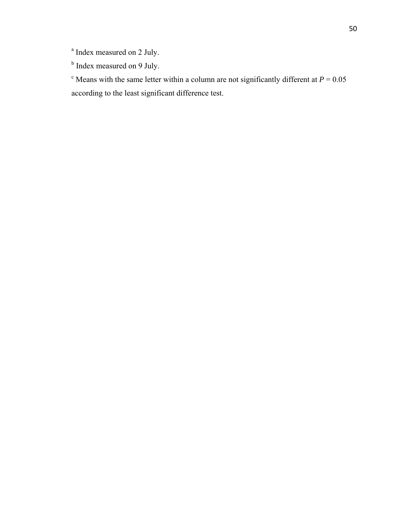<sup>a</sup> Index measured on 2 July.

<sup>b</sup> Index measured on 9 July.

<sup>c</sup> Means with the same letter within a column are not significantly different at  $P = 0.05$ according to the least significant difference test.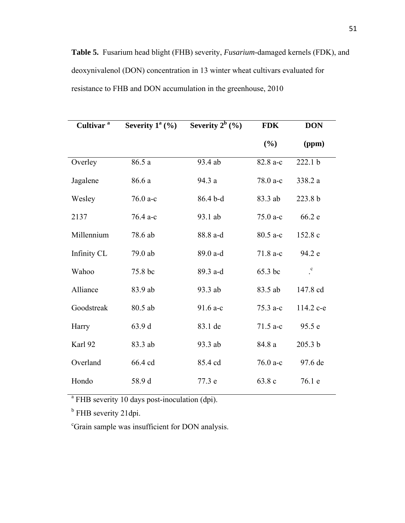**Table 5.** Fusarium head blight (FHB) severity, *Fusarium-*damaged kernels (FDK), and deoxynivalenol (DON) concentration in 13 winter wheat cultivars evaluated for resistance to FHB and DON accumulation in the greenhouse, 2010

| Cultivar <sup>a</sup> | Severity $1^a$ (%) | Severity $2^b$ (%) | <b>FDK</b> | <b>DON</b> |
|-----------------------|--------------------|--------------------|------------|------------|
|                       |                    |                    | (%)        | (ppm)      |
| Overley               | 86.5 a             | 93.4 ab            | 82.8 a-c   | 222.1 b    |
| Jagalene              | 86.6 a             | 94.3 a             | 78.0 a-c   | 338.2 a    |
| Wesley                | 76.0 a-c           | 86.4 b-d           | 83.3 ab    | 223.8 b    |
| 2137                  | 76.4 a-c           | 93.1 ab            | $75.0 a-c$ | 66.2 e     |
| Millennium            | 78.6 ab            | 88.8 a-d           | 80.5 a-c   | 152.8 c    |
| Infinity CL           | 79.0 ab            | 89.0 a-d           | $71.8a-c$  | 94.2 e     |
| Wahoo                 | 75.8 bc            | 89.3 a-d           | 65.3 bc    | $\cdot^c$  |
| Alliance              | 83.9 ab            | 93.3 ab            | 83.5 ab    | 147.8 cd   |
| Goodstreak            | 80.5 ab            | $91.6 a-c$         | $75.3 a-c$ | 114.2 c-e  |
| Harry                 | 63.9 d             | 83.1 de            | $71.5$ a-c | 95.5 e     |
| Karl 92               | 83.3 ab            | 93.3 ab            | 84.8 a     | 205.3 b    |
| Overland              | 66.4 cd            | 85.4 cd            | $76.0 a-c$ | 97.6 de    |
| Hondo                 | 58.9 d             | 77.3 e             | 63.8 c     | 76.1 e     |

<sup>a</sup> FHB severity 10 days post-inoculation (dpi).

<sup>b</sup> FHB severity 21dpi.

c Grain sample was insufficient for DON analysis.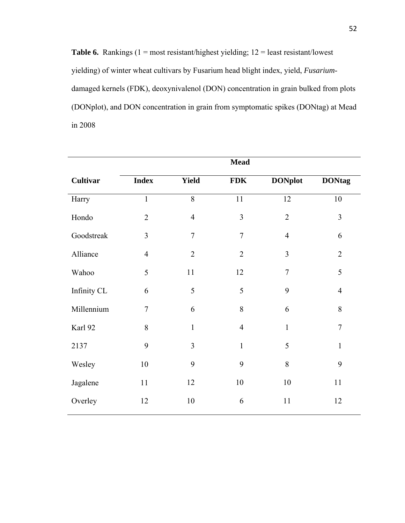**Table 6.** Rankings  $(1 = \text{most resistant/highest yielding}; 12 = \text{least resistant/lowest}$ yielding) of winter wheat cultivars by Fusarium head blight index, yield, *Fusarium*damaged kernels (FDK), deoxynivalenol (DON) concentration in grain bulked from plots (DONplot), and DON concentration in grain from symptomatic spikes (DONtag) at Mead in 2008

|             |                |                | <b>Mead</b>    |                |                |
|-------------|----------------|----------------|----------------|----------------|----------------|
| Cultivar    | <b>Index</b>   | <b>Yield</b>   | <b>FDK</b>     | <b>DONplot</b> | <b>DONtag</b>  |
| Harry       | $\mathbf{1}$   | 8              | 11             | 12             | 10             |
| Hondo       | $\overline{2}$ | $\overline{4}$ | $\overline{3}$ | $\overline{2}$ | $\overline{3}$ |
| Goodstreak  | $\overline{3}$ | $\overline{7}$ | $\overline{7}$ | $\overline{4}$ | 6              |
| Alliance    | $\overline{4}$ | $\overline{2}$ | $\overline{2}$ | $\overline{3}$ | $\overline{2}$ |
| Wahoo       | 5              | 11             | 12             | $\overline{7}$ | 5              |
| Infinity CL | 6              | 5              | 5              | 9              | $\overline{4}$ |
| Millennium  | $\tau$         | 6              | $8\,$          | 6              | 8              |
| Karl 92     | 8              | $\mathbf{1}$   | $\overline{4}$ | $\mathbf{1}$   | $\overline{7}$ |
| 2137        | 9              | 3              | $\mathbf{1}$   | 5              | $\mathbf{1}$   |
| Wesley      | 10             | 9              | 9              | $8\,$          | 9              |
| Jagalene    | 11             | 12             | 10             | 10             | 11             |
| Overley     | 12             | 10             | 6              | 11             | 12             |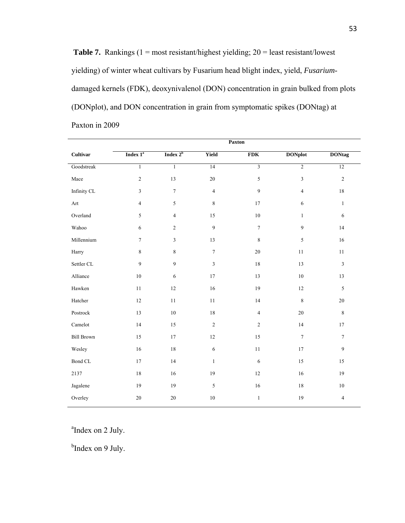**Table 7.** Rankings (1 = most resistant/highest yielding; 20 = least resistant/lowest yielding) of winter wheat cultivars by Fusarium head blight index, yield, *Fusarium*damaged kernels (FDK), deoxynivalenol (DON) concentration in grain bulked from plots (DONplot), and DON concentration in grain from symptomatic spikes (DONtag) at Paxton in 2009

|                             |                      | Paxton         |                |                         |                  |                         |
|-----------------------------|----------------------|----------------|----------------|-------------------------|------------------|-------------------------|
| Cultivar                    | Index 1 <sup>ª</sup> | Index $2^b$    | <b>Yield</b>   | <b>FDK</b>              | <b>DONplot</b>   | <b>DONtag</b>           |
| Goodstreak                  | $\overline{1}$       | $\mathbf{1}$   | 14             | $\overline{3}$          | $\overline{2}$   | 12                      |
| Mace                        | $\sqrt{2}$           | 13             | $20\,$         | 5                       | $\mathfrak{Z}$   | $\sqrt{2}$              |
| Infinity CL                 | 3                    | $\tau$         | $\overline{4}$ | 9                       | $\overline{4}$   | 18                      |
| $\mathop{\rm Art}\nolimits$ | $\overline{4}$       | 5              | 8              | 17                      | $\sqrt{6}$       | $\mathbf{1}$            |
| Overland                    | 5                    | $\overline{4}$ | 15             | $10\,$                  | $1\,$            | $\sqrt{6}$              |
| Wahoo                       | 6                    | $\overline{2}$ | 9              | $\boldsymbol{7}$        | $\overline{9}$   | 14                      |
| Millennium                  | $\tau$               | $\mathfrak{Z}$ | 13             | 8                       | $\sqrt{5}$       | $16\,$                  |
| Harry                       | $\,8\,$              | $\,8\,$        | $\tau$         | $20\,$                  | 11               | 11                      |
| Settler CL                  | 9                    | 9              | $\mathfrak{Z}$ | 18                      | 13               | $\mathfrak{Z}$          |
| Alliance                    | $10\,$               | $\sqrt{6}$     | 17             | 13                      | $10\,$           | 13                      |
| Hawken                      | $11\,$               | $12\,$         | 16             | $19\,$                  | $12 \,$          | 5                       |
| Hatcher                     | $12\,$               | $11\,$         | 11             | 14                      | $\,8\,$          | $20\,$                  |
| Postrock                    | 13                   | $10\,$         | 18             | $\overline{\mathbf{4}}$ | $20\,$           | $\,8\,$                 |
| Camelot                     | 14                   | 15             | $\overline{c}$ | $\overline{c}$          | 14               | 17                      |
| <b>Bill Brown</b>           | 15                   | 17             | $12\,$         | 15                      | $\boldsymbol{7}$ | $\tau$                  |
| Wesley                      | $16\,$               | 18             | $\sqrt{6}$     | $1\,1$                  | 17               | 9                       |
| Bond CL                     | 17                   | 14             | $\mathbf{1}$   | $\sqrt{6}$              | 15               | 15                      |
| 2137                        | $18\,$               | 16             | 19             | 12                      | 16               | 19                      |
| Jagalene                    | 19                   | 19             | 5              | 16                      | 18               | $10\,$                  |
| Overley                     | $20\,$               | 20             | 10             | $\mathbf{1}$            | 19               | $\overline{\mathbf{4}}$ |
|                             |                      |                |                |                         |                  |                         |

<sup>a</sup>Index on 2 July.

<sup>b</sup>Index on 9 July.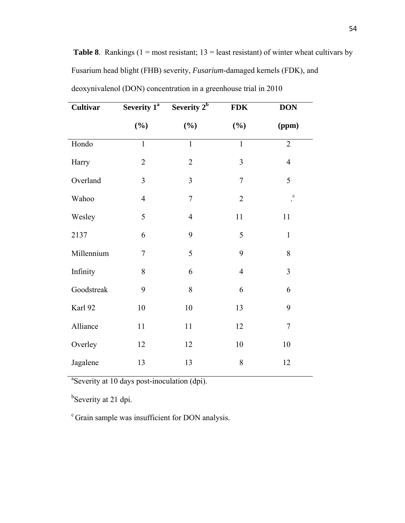| <b>Cultivar</b> | Severity $1^{\overline{a}}$ | Severity $2^b$ | <b>FDK</b>     | <b>DON</b>     |
|-----------------|-----------------------------|----------------|----------------|----------------|
|                 | $(\frac{6}{6})$             | $(\%)$         | (%)            | (ppm)          |
| Hondo           | $\mathbf{1}$                | $\mathbf{1}$   | $\mathbf{1}$   | $\overline{2}$ |
| Harry           | $\overline{2}$              | $\overline{2}$ | 3              | $\overline{4}$ |
| Overland        | $\overline{3}$              | $\overline{3}$ | $\overline{7}$ | 5              |
| Wahoo           | $\overline{4}$              | $\overline{7}$ | $\overline{2}$ | $\mathbf c$    |
| Wesley          | 5                           | $\overline{4}$ | 11             | 11             |
| 2137            | 6                           | 9              | 5              | $\mathbf{1}$   |
| Millennium      | $\overline{7}$              | 5              | 9              | 8              |
| Infinity        | 8                           | 6              | $\overline{4}$ | 3              |
| Goodstreak      | 9                           | 8              | 6              | 6              |
| Karl 92         | 10                          | 10             | 13             | 9              |
| Alliance        | 11                          | 11             | 12             | $\tau$         |
| Overley         | 12                          | 12             | 10             | 10             |
| Jagalene        | 13                          | 13             | 8              | 12             |

deoxynivalenol (DON) concentration in a greenhouse trial in 2010

Fusarium head blight (FHB) severity, *Fusarium*-damaged kernels (FDK), and

**Table 8**. Rankings ( $1 = \text{most resistant}$ ;  $13 = \text{least resistant}$ ) of winter wheat cultivars by

<sup>a</sup>Severity at 10 days post-inoculation (dpi).

<sup>b</sup>Severity at 21 dpi.

c Grain sample was insufficient for DON analysis.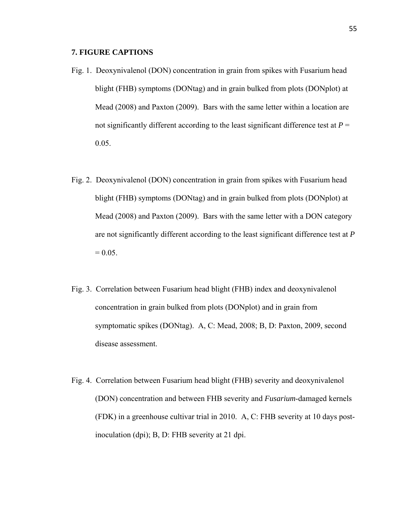## **7. FIGURE CAPTIONS**

- Fig. 1. Deoxynivalenol (DON) concentration in grain from spikes with Fusarium head blight (FHB) symptoms (DONtag) and in grain bulked from plots (DONplot) at Mead (2008) and Paxton (2009). Bars with the same letter within a location are not significantly different according to the least significant difference test at  $P =$ 0.05.
- Fig. 2. Deoxynivalenol (DON) concentration in grain from spikes with Fusarium head blight (FHB) symptoms (DONtag) and in grain bulked from plots (DONplot) at Mead (2008) and Paxton (2009). Bars with the same letter with a DON category are not significantly different according to the least significant difference test at *P*   $= 0.05$ .
- Fig. 3. Correlation between Fusarium head blight (FHB) index and deoxynivalenol concentration in grain bulked from plots (DONplot) and in grain from symptomatic spikes (DONtag). A, C: Mead, 2008; B, D: Paxton, 2009, second disease assessment.
- Fig. 4. Correlation between Fusarium head blight (FHB) severity and deoxynivalenol (DON) concentration and between FHB severity and *Fusarium*-damaged kernels (FDK) in a greenhouse cultivar trial in 2010. A, C: FHB severity at 10 days postinoculation (dpi); B, D: FHB severity at 21 dpi.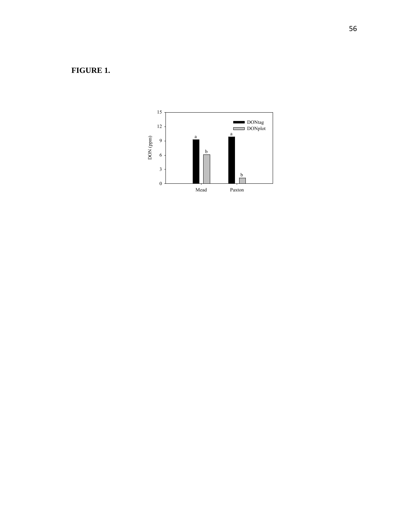## **FIGURE 1.**

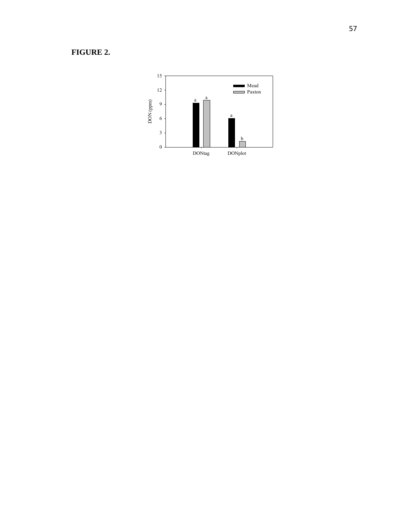## **FIGURE 2.**

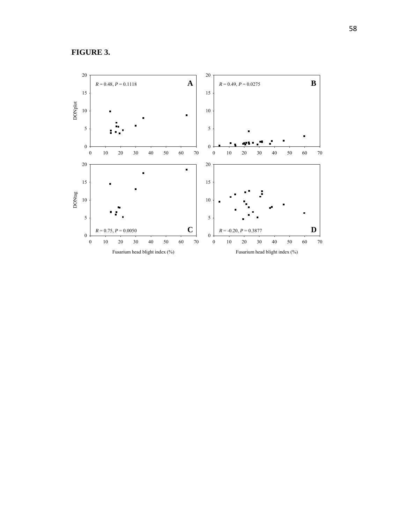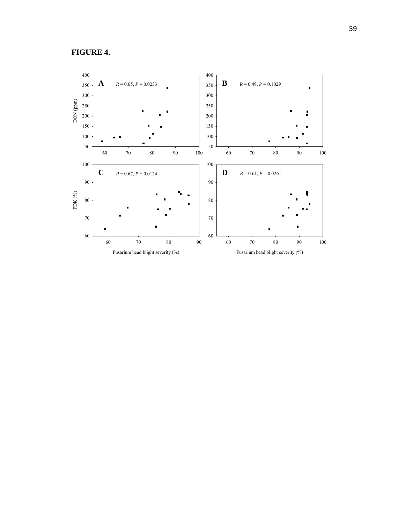

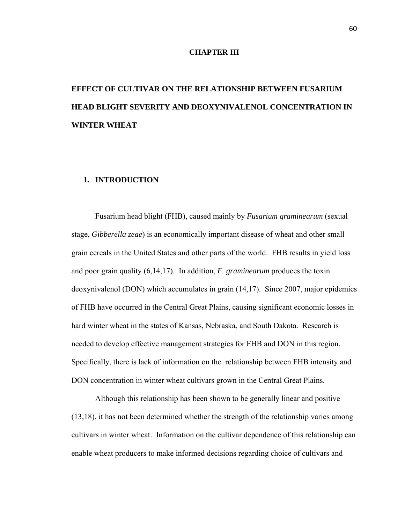#### **CHAPTER III**

# **EFFECT OF CULTIVAR ON THE RELATIONSHIP BETWEEN FUSARIUM HEAD BLIGHT SEVERITY AND DEOXYNIVALENOL CONCENTRATION IN WINTER WHEAT**

#### **1. INTRODUCTION**

Fusarium head blight (FHB), caused mainly by *Fusarium graminearum* (sexual stage, *Gibberella zeae*) is an economically important disease of wheat and other small grain cereals in the United States and other parts of the world. FHB results in yield loss and poor grain quality (6,14,17). In addition, *F. graminearum* produces the toxin deoxynivalenol (DON) which accumulates in grain (14,17). Since 2007, major epidemics of FHB have occurred in the Central Great Plains, causing significant economic losses in hard winter wheat in the states of Kansas, Nebraska, and South Dakota. Research is needed to develop effective management strategies for FHB and DON in this region. Specifically, there is lack of information on the relationship between FHB intensity and DON concentration in winter wheat cultivars grown in the Central Great Plains.

Although this relationship has been shown to be generally linear and positive (13,18), it has not been determined whether the strength of the relationship varies among cultivars in winter wheat. Information on the cultivar dependence of this relationship can enable wheat producers to make informed decisions regarding choice of cultivars and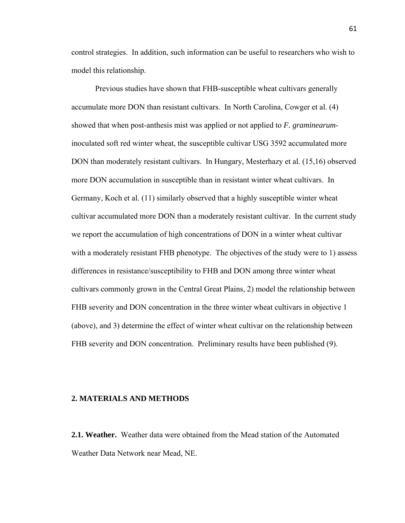control strategies. In addition, such information can be useful to researchers who wish to model this relationship.

Previous studies have shown that FHB-susceptible wheat cultivars generally accumulate more DON than resistant cultivars. In North Carolina, Cowger et al. (4) showed that when post-anthesis mist was applied or not applied to *F. graminearum*inoculated soft red winter wheat, the susceptible cultivar USG 3592 accumulated more DON than moderately resistant cultivars. In Hungary, Mesterhazy et al. (15,16) observed more DON accumulation in susceptible than in resistant winter wheat cultivars. In Germany, Koch et al. (11) similarly observed that a highly susceptible winter wheat cultivar accumulated more DON than a moderately resistant cultivar. In the current study we report the accumulation of high concentrations of DON in a winter wheat cultivar with a moderately resistant FHB phenotype. The objectives of the study were to 1) assess differences in resistance/susceptibility to FHB and DON among three winter wheat cultivars commonly grown in the Central Great Plains, 2) model the relationship between FHB severity and DON concentration in the three winter wheat cultivars in objective 1 (above), and 3) determine the effect of winter wheat cultivar on the relationship between FHB severity and DON concentration. Preliminary results have been published (9).

#### **2. MATERIALS AND METHODS**

**2.1. Weather.** Weather data were obtained from the Mead station of the Automated Weather Data Network near Mead, NE.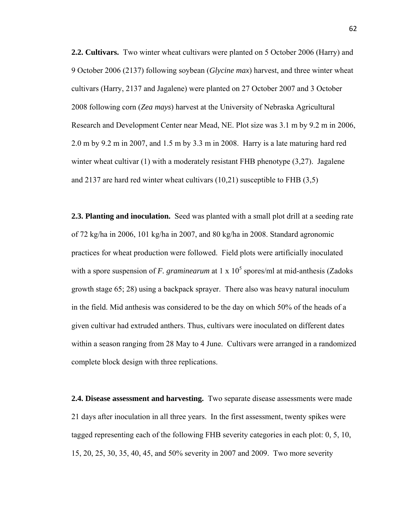**2.2. Cultivars.** Two winter wheat cultivars were planted on 5 October 2006 (Harry) and 9 October 2006 (2137) following soybean (*Glycine max*) harvest, and three winter wheat cultivars (Harry, 2137 and Jagalene) were planted on 27 October 2007 and 3 October 2008 following corn (*Zea mays*) harvest at the University of Nebraska Agricultural Research and Development Center near Mead, NE. Plot size was 3.1 m by 9.2 m in 2006, 2.0 m by 9.2 m in 2007, and 1.5 m by 3.3 m in 2008. Harry is a late maturing hard red winter wheat cultivar  $(1)$  with a moderately resistant FHB phenotype  $(3,27)$ . Jagalene and 2137 are hard red winter wheat cultivars (10,21) susceptible to FHB (3,5)

**2.3. Planting and inoculation.** Seed was planted with a small plot drill at a seeding rate of 72 kg/ha in 2006, 101 kg/ha in 2007, and 80 kg/ha in 2008. Standard agronomic practices for wheat production were followed. Field plots were artificially inoculated with a spore suspension of *F. graminearum* at  $1 \times 10^5$  spores/ml at mid-anthesis (Zadoks growth stage 65; 28) using a backpack sprayer. There also was heavy natural inoculum in the field. Mid anthesis was considered to be the day on which 50% of the heads of a given cultivar had extruded anthers. Thus, cultivars were inoculated on different dates within a season ranging from 28 May to 4 June. Cultivars were arranged in a randomized complete block design with three replications.

**2.4. Disease assessment and harvesting.** Two separate disease assessments were made 21 days after inoculation in all three years. In the first assessment, twenty spikes were tagged representing each of the following FHB severity categories in each plot: 0, 5, 10, 15, 20, 25, 30, 35, 40, 45, and 50% severity in 2007 and 2009. Two more severity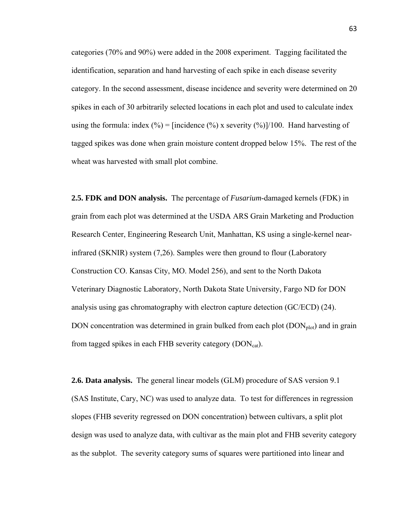categories (70% and 90%) were added in the 2008 experiment. Tagging facilitated the identification, separation and hand harvesting of each spike in each disease severity category. In the second assessment, disease incidence and severity were determined on 20 spikes in each of 30 arbitrarily selected locations in each plot and used to calculate index using the formula: index  $(\% )$  = [incidence  $(\% )$  x severity  $(\% )$ ]/100. Hand harvesting of tagged spikes was done when grain moisture content dropped below 15%. The rest of the wheat was harvested with small plot combine.

**2.5. FDK and DON analysis.** The percentage of *Fusarium*-damaged kernels (FDK) in grain from each plot was determined at the USDA ARS Grain Marketing and Production Research Center, Engineering Research Unit, Manhattan, KS using a single-kernel nearinfrared (SKNIR) system (7,26). Samples were then ground to flour (Laboratory Construction CO. Kansas City, MO. Model 256), and sent to the North Dakota Veterinary Diagnostic Laboratory, North Dakota State University, Fargo ND for DON analysis using gas chromatography with electron capture detection (GC/ECD) (24). DON concentration was determined in grain bulked from each plot  $(DON<sub>plot</sub>)$  and in grain from tagged spikes in each FHB severity category  $(DON<sub>cat</sub>)$ .

**2.6. Data analysis.** The general linear models (GLM) procedure of SAS version 9.1 (SAS Institute, Cary, NC) was used to analyze data. To test for differences in regression slopes (FHB severity regressed on DON concentration) between cultivars, a split plot design was used to analyze data, with cultivar as the main plot and FHB severity category as the subplot. The severity category sums of squares were partitioned into linear and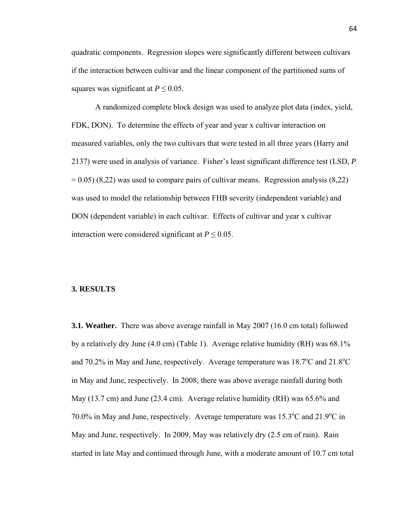quadratic components. Regression slopes were significantly different between cultivars if the interaction between cultivar and the linear component of the partitioned sums of squares was significant at  $P \leq 0.05$ .

A randomized complete block design was used to analyze plot data (index, yield, FDK, DON). To determine the effects of year and year x cultivar interaction on measured variables, only the two cultivars that were tested in all three years (Harry and 2137) were used in analysis of variance. Fisher's least significant difference test (LSD, *P*  $= 0.05$ ) (8,22) was used to compare pairs of cultivar means. Regression analysis (8,22) was used to model the relationship between FHB severity (independent variable) and DON (dependent variable) in each cultivar. Effects of cultivar and year x cultivar interaction were considered significant at  $P \leq 0.05$ .

#### **3. RESULTS**

**3.1. Weather.** There was above average rainfall in May 2007 (16.0 cm total) followed by a relatively dry June (4.0 cm) (Table 1). Average relative humidity (RH) was 68.1% and 70.2% in May and June, respectively. Average temperature was  $18.7^{\circ}$ C and  $21.8^{\circ}$ C in May and June, respectively. In 2008, there was above average rainfall during both May (13.7 cm) and June (23.4 cm). Average relative humidity (RH) was 65.6% and 70.0% in May and June, respectively. Average temperature was 15.3°C and 21.9°C in May and June, respectively. In 2009, May was relatively dry (2.5 cm of rain). Rain started in late May and continued through June, with a moderate amount of 10.7 cm total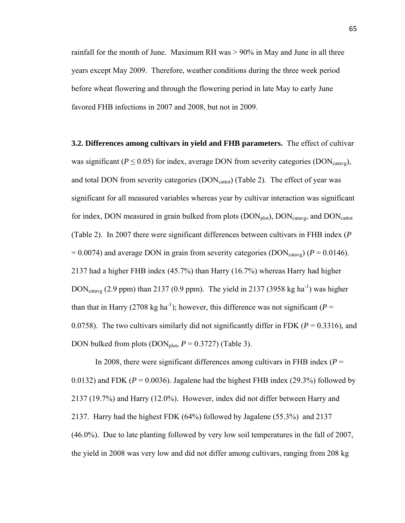rainfall for the month of June. Maximum RH was  $> 90\%$  in May and June in all three years except May 2009. Therefore, weather conditions during the three week period before wheat flowering and through the flowering period in late May to early June favored FHB infections in 2007 and 2008, but not in 2009.

**3.2. Differences among cultivars in yield and FHB parameters.** The effect of cultivar was significant ( $P \le 0.05$ ) for index, average DON from severity categories (DON<sub>catavg</sub>), and total DON from severity categories  $(DON<sub>cattot</sub>)$  (Table 2). The effect of year was significant for all measured variables whereas year by cultivar interaction was significant for index, DON measured in grain bulked from plots  $(DON_{plot})$ ,  $DOM_{catavg}$ , and  $DOM_{cattot}$ (Table 2). In 2007 there were significant differences between cultivars in FHB index (*P*  $= 0.0074$ ) and average DON in grain from severity categories (DON<sub>catavg</sub>) ( $P = 0.0146$ ). 2137 had a higher FHB index (45.7%) than Harry (16.7%) whereas Harry had higher  $DOM_{\text{catavg}}$  (2.9 ppm) than 2137 (0.9 ppm). The yield in 2137 (3958 kg ha<sup>-1</sup>) was higher than that in Harry (2708 kg ha<sup>-1</sup>); however, this difference was not significant ( $P =$ 0.0758). The two cultivars similarly did not significantly differ in FDK ( $P = 0.3316$ ), and DON bulked from plots (DON<sub>plot</sub>,  $P = 0.3727$ ) (Table 3).

In 2008, there were significant differences among cultivars in FHB index ( $P =$ 0.0132) and FDK ( $P = 0.0036$ ). Jagalene had the highest FHB index (29.3%) followed by 2137 (19.7%) and Harry (12.0%). However, index did not differ between Harry and 2137. Harry had the highest FDK (64%) followed by Jagalene (55.3%) and 2137 (46.0%). Due to late planting followed by very low soil temperatures in the fall of 2007, the yield in 2008 was very low and did not differ among cultivars, ranging from 208 kg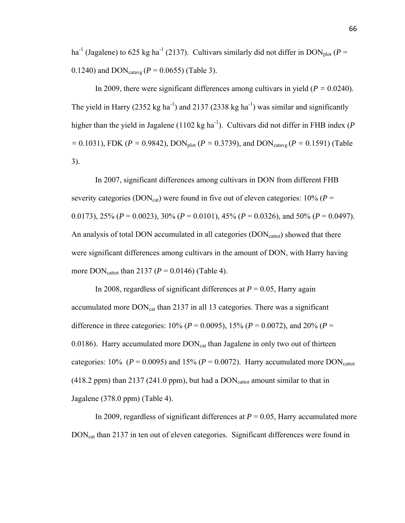ha<sup>-1</sup> (Jagalene) to 625 kg ha<sup>-1</sup> (2137). Cultivars similarly did not differ in DON<sub>plot</sub> ( $P =$ 0.1240) and  $\text{DON}_{\text{catavg}}$  ( $P = 0.0655$ ) (Table 3).

In 2009, there were significant differences among cultivars in yield (*P =* 0.0240). The yield in Harry (2352 kg ha<sup>-1</sup>) and 2137 (2338 kg ha<sup>-1</sup>) was similar and significantly higher than the yield in Jagalene  $(1102 \text{ kg ha}^{-1})$ . Cultivars did not differ in FHB index (*P =* 0.1031), FDK (*P =* 0.9842), DONplot (*P =* 0.3739), and DONcatavg (*P =* 0.1591) (Table 3).

In 2007, significant differences among cultivars in DON from different FHB severity categories (DON<sub>cat</sub>) were found in five out of eleven categories:  $10\%$  ( $P =$ 0.0173), 25% (*P* = 0.0023), 30% (*P* = 0.0101), 45% (*P* = 0.0326), and 50% (*P* = 0.0497). An analysis of total DON accumulated in all categories (DON<sub>cattot</sub>) showed that there were significant differences among cultivars in the amount of DON, with Harry having more  $DOM_{\text{cattot}}$  than 2137 ( $P = 0.0146$ ) (Table 4).

In 2008, regardless of significant differences at  $P = 0.05$ , Harry again accumulated more  $DOM_{cat}$  than 2137 in all 13 categories. There was a significant difference in three categories:  $10\% (P = 0.0095)$ ,  $15\% (P = 0.0072)$ , and  $20\% (P = 0.0072)$ 0.0186). Harry accumulated more  $DOM_{cat}$  than Jagalene in only two out of thirteen categories: 10% ( $P = 0.0095$ ) and 15% ( $P = 0.0072$ ). Harry accumulated more DON<sub>cattot</sub>  $(418.2$  ppm) than 2137 (241.0 ppm), but had a  $DOM_{\text{cattot}}$  amount similar to that in Jagalene (378.0 ppm) (Table 4).

In 2009, regardless of significant differences at  $P = 0.05$ , Harry accumulated more DON<sub>cat</sub> than 2137 in ten out of eleven categories. Significant differences were found in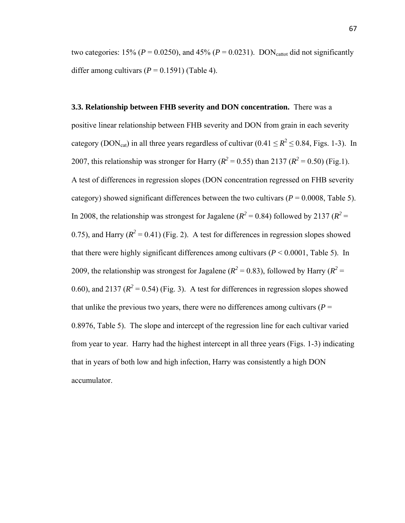two categories: 15% ( $P = 0.0250$ ), and 45% ( $P = 0.0231$ ). DON<sub>cattot</sub> did not significantly differ among cultivars  $(P = 0.1591)$  (Table 4).

**3.3. Relationship between FHB severity and DON concentration.** There was a positive linear relationship between FHB severity and DON from grain in each severity category (DON<sub>cat</sub>) in all three years regardless of cultivar (0.41  $\leq R^2 \leq$  0.84, Figs. 1-3). In 2007, this relationship was stronger for Harry ( $R^2 = 0.55$ ) than 2137 ( $R^2 = 0.50$ ) (Fig.1). A test of differences in regression slopes (DON concentration regressed on FHB severity category) showed significant differences between the two cultivars ( $P = 0.0008$ , Table 5). In 2008, the relationship was strongest for Jagalene ( $R^2 = 0.84$ ) followed by 2137 ( $R^2 =$ 0.75), and Harry  $(R^2 = 0.41)$  (Fig. 2). A test for differences in regression slopes showed that there were highly significant differences among cultivars  $(P < 0.0001$ , Table 5). In 2009, the relationship was strongest for Jagalene ( $R^2 = 0.83$ ), followed by Harry ( $R^2 = 0.83$ ) 0.60), and 2137 ( $R^2 = 0.54$ ) (Fig. 3). A test for differences in regression slopes showed that unlike the previous two years, there were no differences among cultivars ( $P =$ 0.8976, Table 5). The slope and intercept of the regression line for each cultivar varied from year to year. Harry had the highest intercept in all three years (Figs. 1-3) indicating that in years of both low and high infection, Harry was consistently a high DON accumulator.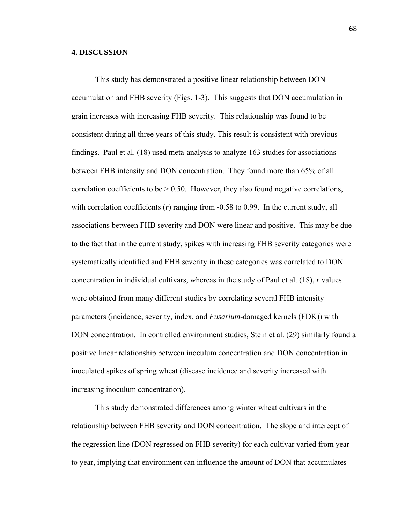#### **4. DISCUSSION**

This study has demonstrated a positive linear relationship between DON accumulation and FHB severity (Figs. 1-3). This suggests that DON accumulation in grain increases with increasing FHB severity. This relationship was found to be consistent during all three years of this study. This result is consistent with previous findings. Paul et al. (18) used meta-analysis to analyze 163 studies for associations between FHB intensity and DON concentration. They found more than 65% of all correlation coefficients to be  $> 0.50$ . However, they also found negative correlations, with correlation coefficients (*r*) ranging from -0.58 to 0.99. In the current study, all associations between FHB severity and DON were linear and positive. This may be due to the fact that in the current study, spikes with increasing FHB severity categories were systematically identified and FHB severity in these categories was correlated to DON concentration in individual cultivars, whereas in the study of Paul et al. (18), *r* values were obtained from many different studies by correlating several FHB intensity parameters (incidence, severity, index, and *Fusarium*-damaged kernels (FDK)) with DON concentration. In controlled environment studies, Stein et al. (29) similarly found a positive linear relationship between inoculum concentration and DON concentration in inoculated spikes of spring wheat (disease incidence and severity increased with increasing inoculum concentration).

 This study demonstrated differences among winter wheat cultivars in the relationship between FHB severity and DON concentration. The slope and intercept of the regression line (DON regressed on FHB severity) for each cultivar varied from year to year, implying that environment can influence the amount of DON that accumulates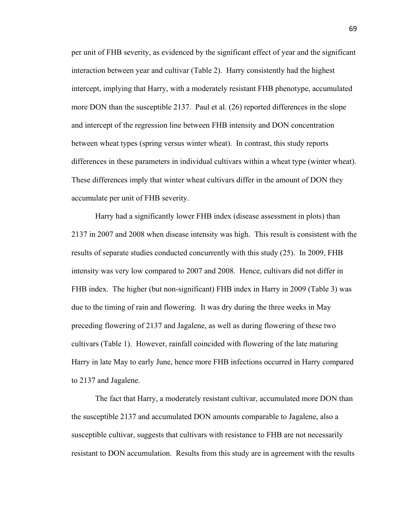per unit of FHB severity, as evidenced by the significant effect of year and the significant interaction between year and cultivar (Table 2). Harry consistently had the highest intercept, implying that Harry, with a moderately resistant FHB phenotype, accumulated more DON than the susceptible 2137. Paul et al. (26) reported differences in the slope and intercept of the regression line between FHB intensity and DON concentration between wheat types (spring versus winter wheat). In contrast, this study reports differences in these parameters in individual cultivars within a wheat type (winter wheat). These differences imply that winter wheat cultivars differ in the amount of DON they accumulate per unit of FHB severity.

Harry had a significantly lower FHB index (disease assessment in plots) than 2137 in 2007 and 2008 when disease intensity was high. This result is consistent with the results of separate studies conducted concurrently with this study (25). In 2009, FHB intensity was very low compared to 2007 and 2008. Hence, cultivars did not differ in FHB index. The higher (but non-significant) FHB index in Harry in 2009 (Table 3) was due to the timing of rain and flowering. It was dry during the three weeks in May preceding flowering of 2137 and Jagalene, as well as during flowering of these two cultivars (Table 1). However, rainfall coincided with flowering of the late maturing Harry in late May to early June, hence more FHB infections occurred in Harry compared to 2137 and Jagalene.

 The fact that Harry, a moderately resistant cultivar, accumulated more DON than the susceptible 2137 and accumulated DON amounts comparable to Jagalene, also a susceptible cultivar, suggests that cultivars with resistance to FHB are not necessarily resistant to DON accumulation. Results from this study are in agreement with the results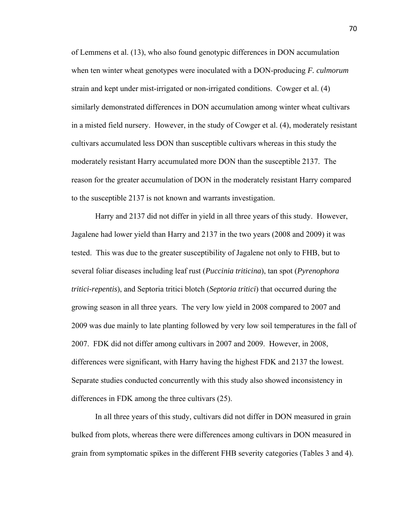of Lemmens et al. (13), who also found genotypic differences in DON accumulation when ten winter wheat genotypes were inoculated with a DON-producing *F. culmorum* strain and kept under mist-irrigated or non-irrigated conditions. Cowger et al. (4) similarly demonstrated differences in DON accumulation among winter wheat cultivars in a misted field nursery. However, in the study of Cowger et al. (4), moderately resistant cultivars accumulated less DON than susceptible cultivars whereas in this study the moderately resistant Harry accumulated more DON than the susceptible 2137. The reason for the greater accumulation of DON in the moderately resistant Harry compared to the susceptible 2137 is not known and warrants investigation.

 Harry and 2137 did not differ in yield in all three years of this study. However, Jagalene had lower yield than Harry and 2137 in the two years (2008 and 2009) it was tested. This was due to the greater susceptibility of Jagalene not only to FHB, but to several foliar diseases including leaf rust (*Puccinia triticina*), tan spot (*Pyrenophora tritici-repentis*), and Septoria tritici blotch (*Septoria tritici*) that occurred during the growing season in all three years. The very low yield in 2008 compared to 2007 and 2009 was due mainly to late planting followed by very low soil temperatures in the fall of 2007. FDK did not differ among cultivars in 2007 and 2009. However, in 2008, differences were significant, with Harry having the highest FDK and 2137 the lowest. Separate studies conducted concurrently with this study also showed inconsistency in differences in FDK among the three cultivars (25).

 In all three years of this study, cultivars did not differ in DON measured in grain bulked from plots, whereas there were differences among cultivars in DON measured in grain from symptomatic spikes in the different FHB severity categories (Tables 3 and 4).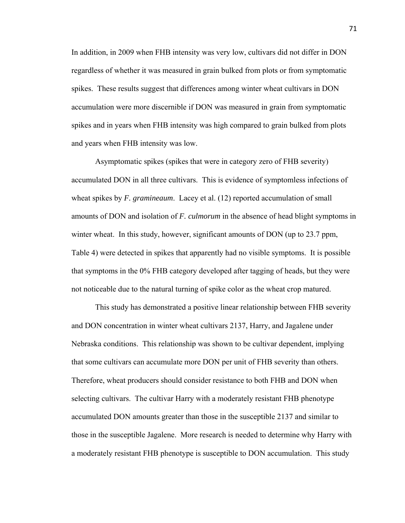In addition, in 2009 when FHB intensity was very low, cultivars did not differ in DON regardless of whether it was measured in grain bulked from plots or from symptomatic spikes. These results suggest that differences among winter wheat cultivars in DON accumulation were more discernible if DON was measured in grain from symptomatic spikes and in years when FHB intensity was high compared to grain bulked from plots and years when FHB intensity was low.

 Asymptomatic spikes (spikes that were in category zero of FHB severity) accumulated DON in all three cultivars. This is evidence of symptomless infections of wheat spikes by *F. gramineaum*. Lacey et al. (12) reported accumulation of small amounts of DON and isolation of *F. culmorum* in the absence of head blight symptoms in winter wheat. In this study, however, significant amounts of DON (up to 23.7 ppm, Table 4) were detected in spikes that apparently had no visible symptoms. It is possible that symptoms in the 0% FHB category developed after tagging of heads, but they were not noticeable due to the natural turning of spike color as the wheat crop matured.

 This study has demonstrated a positive linear relationship between FHB severity and DON concentration in winter wheat cultivars 2137, Harry, and Jagalene under Nebraska conditions. This relationship was shown to be cultivar dependent, implying that some cultivars can accumulate more DON per unit of FHB severity than others. Therefore, wheat producers should consider resistance to both FHB and DON when selecting cultivars. The cultivar Harry with a moderately resistant FHB phenotype accumulated DON amounts greater than those in the susceptible 2137 and similar to those in the susceptible Jagalene. More research is needed to determine why Harry with a moderately resistant FHB phenotype is susceptible to DON accumulation. This study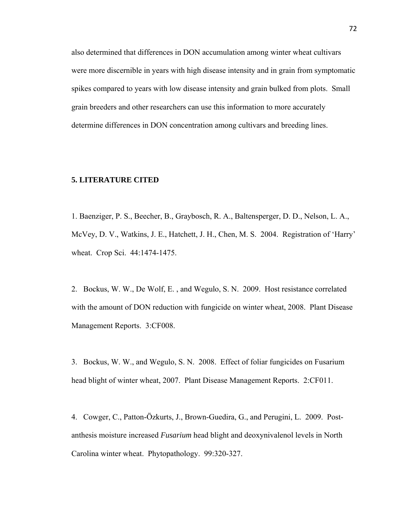also determined that differences in DON accumulation among winter wheat cultivars were more discernible in years with high disease intensity and in grain from symptomatic spikes compared to years with low disease intensity and grain bulked from plots. Small grain breeders and other researchers can use this information to more accurately determine differences in DON concentration among cultivars and breeding lines.

#### **5. LITERATURE CITED**

1. Baenziger, P. S., Beecher, B., Graybosch, R. A., Baltensperger, D. D., Nelson, L. A., McVey, D. V., Watkins, J. E., Hatchett, J. H., Chen, M. S. 2004. Registration of 'Harry' wheat. Crop Sci. 44:1474-1475.

2. Bockus, W. W., De Wolf, E. , and Wegulo, S. N. 2009. Host resistance correlated with the amount of DON reduction with fungicide on winter wheat, 2008. Plant Disease Management Reports. 3:CF008.

3. Bockus, W. W., and Wegulo, S. N. 2008. Effect of foliar fungicides on Fusarium head blight of winter wheat, 2007. Plant Disease Management Reports. 2:CF011.

4. Cowger, C., Patton-Özkurts, J., Brown-Guedira, G., and Perugini, L. 2009. Postanthesis moisture increased *Fusarium* head blight and deoxynivalenol levels in North Carolina winter wheat. Phytopathology. 99:320-327.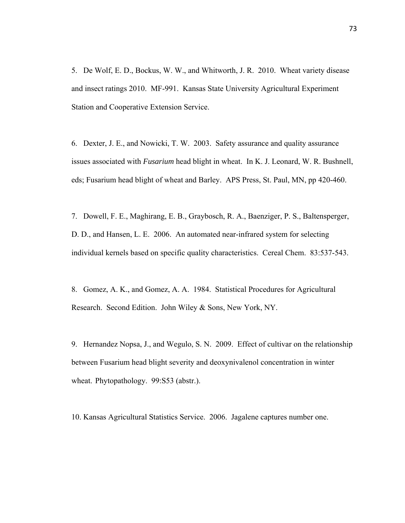5. De Wolf, E. D., Bockus, W. W., and Whitworth, J. R. 2010. Wheat variety disease and insect ratings 2010. MF-991. Kansas State University Agricultural Experiment Station and Cooperative Extension Service.

6. Dexter, J. E., and Nowicki, T. W. 2003. Safety assurance and quality assurance issues associated with *Fusarium* head blight in wheat. In K. J. Leonard, W. R. Bushnell, eds; Fusarium head blight of wheat and Barley. APS Press, St. Paul, MN, pp 420-460.

7. Dowell, F. E., Maghirang, E. B., Graybosch, R. A., Baenziger, P. S., Baltensperger, D. D., and Hansen, L. E. 2006. An automated near-infrared system for selecting individual kernels based on specific quality characteristics. Cereal Chem. 83:537-543.

8. Gomez, A. K., and Gomez, A. A. 1984. Statistical Procedures for Agricultural Research. Second Edition. John Wiley & Sons, New York, NY.

9. Hernandez Nopsa, J., and Wegulo, S. N. 2009. Effect of cultivar on the relationship between Fusarium head blight severity and deoxynivalenol concentration in winter wheat. Phytopathology. 99:S53 (abstr.).

10. Kansas Agricultural Statistics Service. 2006. Jagalene captures number one.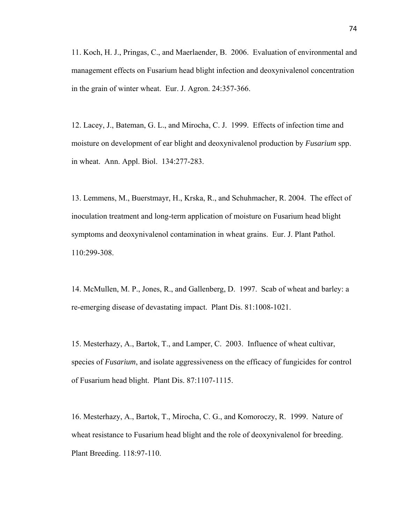11. Koch, H. J., Pringas, C., and Maerlaender, B. 2006. Evaluation of environmental and management effects on Fusarium head blight infection and deoxynivalenol concentration in the grain of winter wheat. Eur. J. Agron. 24:357-366.

12. Lacey, J., Bateman, G. L., and Mirocha, C. J. 1999. Effects of infection time and moisture on development of ear blight and deoxynivalenol production by *Fusarium* spp. in wheat. Ann. Appl. Biol. 134:277-283.

13. Lemmens, M., Buerstmayr, H., Krska, R., and Schuhmacher, R. 2004. The effect of inoculation treatment and long-term application of moisture on Fusarium head blight symptoms and deoxynivalenol contamination in wheat grains. Eur. J. Plant Pathol. 110:299-308.

14. McMullen, M. P., Jones, R., and Gallenberg, D. 1997. Scab of wheat and barley: a re-emerging disease of devastating impact. Plant Dis. 81:1008-1021.

15. Mesterhazy, A., Bartok, T., and Lamper, C. 2003. Influence of wheat cultivar, species of *Fusarium*, and isolate aggressiveness on the efficacy of fungicides for control of Fusarium head blight. Plant Dis. 87:1107-1115.

16. Mesterhazy, A., Bartok, T., Mirocha, C. G., and Komoroczy, R. 1999. Nature of wheat resistance to Fusarium head blight and the role of deoxynivalenol for breeding. Plant Breeding. 118:97-110.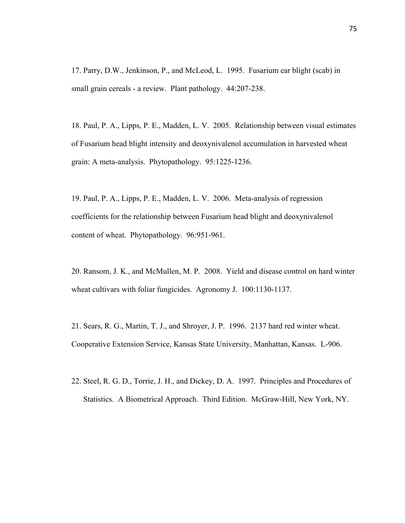17. Parry, D.W., Jenkinson, P., and McLeod, L. 1995. Fusarium ear blight (scab) in small grain cereals - a review. Plant pathology. 44:207-238.

18. Paul, P. A., Lipps, P. E., Madden, L. V. 2005. Relationship between visual estimates of Fusarium head blight intensity and deoxynivalenol accumulation in harvested wheat grain: A meta-analysis. Phytopathology. 95:1225-1236.

19. Paul, P. A., Lipps, P. E., Madden, L. V. 2006. Meta-analysis of regression coefficients for the relationship between Fusarium head blight and deoxynivalenol content of wheat. Phytopathology. 96:951-961.

20. Ransom, J. K., and McMullen, M. P. 2008. Yield and disease control on hard winter wheat cultivars with foliar fungicides. Agronomy J. 100:1130-1137.

21. Sears, R. G., Martin, T. J., and Shroyer, J. P. 1996. 2137 hard red winter wheat. Cooperative Extension Service, Kansas State University, Manhattan, Kansas. L-906.

22. Steel, R. G. D., Torrie, J. H., and Dickey, D. A. 1997. Principles and Procedures of Statistics. A Biometrical Approach. Third Edition. McGraw-Hill, New York, NY.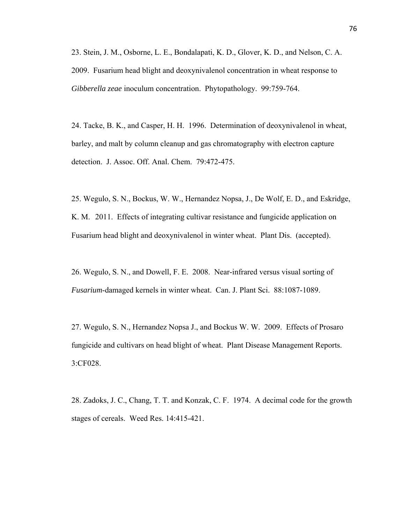23. Stein, J. M., Osborne, L. E., Bondalapati, K. D., Glover, K. D., and Nelson, C. A. 2009. Fusarium head blight and deoxynivalenol concentration in wheat response to *Gibberella zeae* inoculum concentration. Phytopathology. 99:759-764.

24. Tacke, B. K., and Casper, H. H. 1996. Determination of deoxynivalenol in wheat, barley, and malt by column cleanup and gas chromatography with electron capture detection. J. Assoc. Off. Anal. Chem. 79:472-475.

25. Wegulo, S. N., Bockus, W. W., Hernandez Nopsa, J., De Wolf, E. D., and Eskridge, K. M. 2011. Effects of integrating cultivar resistance and fungicide application on Fusarium head blight and deoxynivalenol in winter wheat. Plant Dis. (accepted).

26. Wegulo, S. N., and Dowell, F. E. 2008. Near-infrared versus visual sorting of *Fusarium*-damaged kernels in winter wheat. Can. J. Plant Sci. 88:1087-1089.

27. Wegulo, S. N., Hernandez Nopsa J., and Bockus W. W. 2009. Effects of Prosaro fungicide and cultivars on head blight of wheat. Plant Disease Management Reports. 3:CF028.

28. Zadoks, J. C., Chang, T. T. and Konzak, C. F. 1974. A decimal code for the growth stages of cereals. Weed Res. 14:415-421.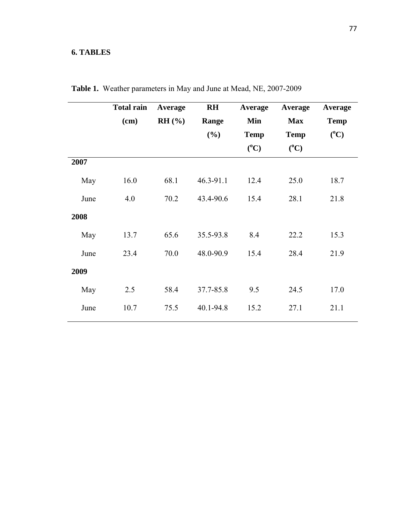## **6. TABLES**

|      | <b>Total rain</b> | Average | <b>RH</b>         | Average     | Average     | Average     |  |
|------|-------------------|---------|-------------------|-------------|-------------|-------------|--|
|      | (cm)              | RH (%)  | Range             | Min         | <b>Max</b>  | <b>Temp</b> |  |
|      |                   |         | (%)               | <b>Temp</b> | <b>Temp</b> | $(^0C)$     |  |
|      |                   |         |                   | $(^0C)$     | $(^0C)$     |             |  |
| 2007 |                   |         |                   |             |             |             |  |
| May  | 16.0              | 68.1    | $46.3 - 91.1$     | 12.4        | 25.0        | 18.7        |  |
| June | 4.0               | 70.2    | 15.4<br>43.4-90.6 |             | 28.1        | 21.8        |  |
| 2008 |                   |         |                   |             |             |             |  |
| May  | 13.7              | 65.6    | 35.5-93.8         | 8.4         | 22.2        | 15.3        |  |
| June | 23.4              | 70.0    | 48.0-90.9         | 15.4        | 28.4        | 21.9        |  |
| 2009 |                   |         |                   |             |             |             |  |
| May  | 2.5               | 58.4    | 37.7-85.8         | 9.5         | 24.5        | 17.0        |  |
| June | 10.7              | 75.5    | 40.1-94.8         | 15.2        | 27.1        | 21.1        |  |

**Table 1.** Weather parameters in May and June at Mead, NE, 2007-2009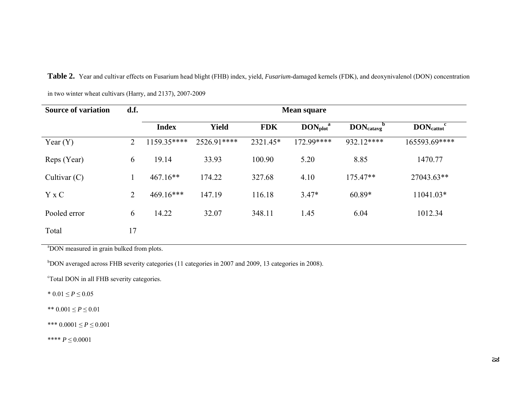| <b>Source of variation</b> | d.f.           | <b>Mean square</b> |              |            |                                       |                                         |                                         |  |  |
|----------------------------|----------------|--------------------|--------------|------------|---------------------------------------|-----------------------------------------|-----------------------------------------|--|--|
|                            |                | <b>Index</b>       | <b>Yield</b> | <b>FDK</b> | $\text{DON}_{\text{plot}}^{\text{a}}$ | $\text{DON}_\text{catavg}$ <sup>b</sup> | $\text{DON}_{\text{cattot}}^{\text{c}}$ |  |  |
| Year $(Y)$                 | $\overline{2}$ | 1159.35****        | 2526.91****  | 2321.45*   | 172.99****                            | 932.12****                              | 165593.69****                           |  |  |
| Reps (Year)                | 6              | 19.14              | 33.93        | 100.90     | 5.20                                  | 8.85                                    | 1470.77                                 |  |  |
| Cultivar $(C)$             |                | $467.16**$         | 174.22       | 327.68     | 4.10                                  | 175.47**                                | 27043.63**                              |  |  |
| $Y \times C$               | $\overline{2}$ | $469.16***$        | 147.19       | 116.18     | $3.47*$                               | $60.89*$                                | 11041.03*                               |  |  |
| Pooled error               | 6              | 14.22              | 32.07        | 348.11     | 1.45                                  | 6.04                                    | 1012.34                                 |  |  |
| Total                      | 17             |                    |              |            |                                       |                                         |                                         |  |  |

**Table 2.** Year and cultivar effects on Fusarium head blight (FHB) index, yield, *Fusarium*-damaged kernels (FDK), and deoxynivalenol (DON) concentration

in two winter wheat cultivars (Harry, and 2137), 2007-2009

<sup>a</sup>DON measured in grain bulked from plots.

b<sub>DON</sub> averaged across FHB severity categories (11 categories in 2007 and 2009, 13 categories in 2008).

<sup>c</sup>Total DON in all FHB severity categories.

\*  $0.01 \le P \le 0.05$ 

\*\*  $0.001 \le P \le 0.01$ 

\*\*\* 0.0001 ≤ *P* ≤ 0.001

\*\*\*\* *P* ≤ 0.0001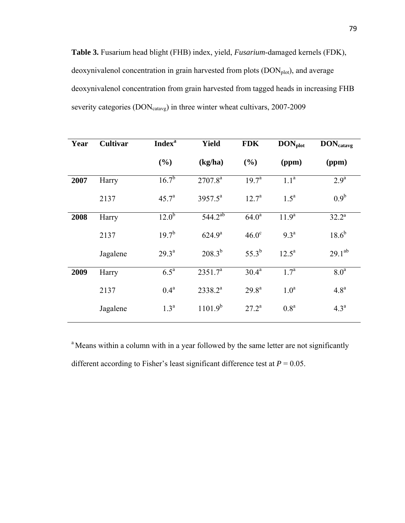**Table 3.** Fusarium head blight (FHB) index, yield, *Fusarium*-damaged kernels (FDK), deoxynivalenol concentration in grain harvested from plots (DON<sub>plot</sub>), and average deoxynivalenol concentration from grain harvested from tagged heads in increasing FHB severity categories (DON<sub>catavg</sub>) in three winter wheat cultivars, 2007-2009

| Year | <b>Cultivar</b> | <b>Index</b> <sup>a</sup>        | Yield               | <b>FDK</b>            | $\text{DON}_{\text{plot}}$ | <b>DON</b> catavg |
|------|-----------------|----------------------------------|---------------------|-----------------------|----------------------------|-------------------|
|      |                 | (%)                              | (kg/ha)             | (%)                   | (ppm)                      | (ppm)             |
| 2007 | Harry           | $16.\overline{7^{b}}$            | $2707.8^{a}$        | $19.7^{\circ}$        | $1.1^{\overline{a}}$       | 2.9 <sup>a</sup>  |
|      | 2137            | 45.7 <sup>a</sup>                | $3957.5^a$          | $12.7^a$              | $1.5^a$                    | $0.9^b$           |
| 2008 | Harry           | $12.\overline{0}^{\overline{b}}$ | $544.2^{ab}$        | $64.0^a$              | 11.9 <sup>a</sup>          | $32.2^{\rm a}$    |
|      | 2137            | $19.7^{b}$                       | $624.9^{\rm a}$     | $46.0^\circ$          | $9.3^{\rm a}$              | $18.6^{b}$        |
|      | Jagalene        | $29.3^{\text{a}}$                | $208.3^{b}$         | $55.3^{b}$            | $12.5^{\rm a}$             | $29.1^{ab}$       |
| 2009 | Harry           | $6.5^{\mathrm{a}}$               | 2351.7 <sup>a</sup> | $30.4^{\overline{a}}$ | $1.7^{\rm a}$              | 8.0 <sup>a</sup>  |
|      | 2137            | 0.4 <sup>a</sup>                 | $2338.2^{a}$        | $29.8^{\rm a}$        | 1.0 <sup>a</sup>           | 4.8 <sup>a</sup>  |
|      | Jagalene        | 1.3 <sup>a</sup>                 | $1101.9^{b}$        | $27.2^a$              | 0.8 <sup>a</sup>           | 4.3 <sup>a</sup>  |

<sup>a</sup> Means within a column with in a year followed by the same letter are not significantly different according to Fisher's least significant difference test at  $P = 0.05$ .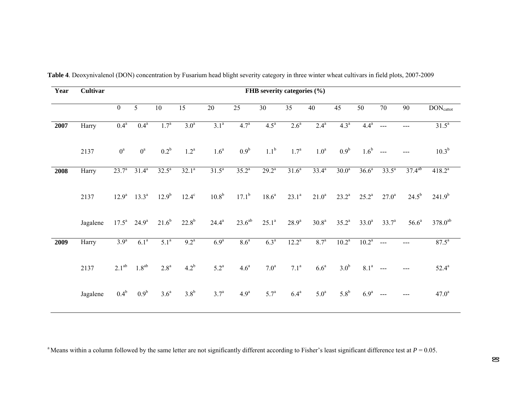| Year | Cultivar | FHB severity categories $(\% )$ |                            |                    |                  |                   |                  |                  |                   |                   |                   |                  |                |                   |                              |
|------|----------|---------------------------------|----------------------------|--------------------|------------------|-------------------|------------------|------------------|-------------------|-------------------|-------------------|------------------|----------------|-------------------|------------------------------|
|      |          | $\mathbf{0}$                    | $5\overline{)}$            | 10                 | 15               | $20\,$            | 25               | 30               | 35                | 40                | 45                | 50               | 70             | 90                | <b>DON</b> <sub>cattot</sub> |
| 2007 | Harry    | 0.4 <sup>a</sup>                | 0.4 <sup>a</sup>           | 1.7 <sup>a</sup>   | 3.0 <sup>a</sup> | 3.1 <sup>a</sup>  | 4.7 <sup>a</sup> | 4.5 <sup>a</sup> | $2.6^a$           | $2.4^{a}$         | 4.3 <sup>a</sup>  | 4.4 <sup>a</sup> | $\frac{1}{2}$  | $---$             | $31.5^a$                     |
|      | 2137     | $0^a$                           | $0^a$                      | $0.2^b$            | $1.2^a$          | 1.6 <sup>a</sup>  | 0.9 <sup>b</sup> | 1.1 <sup>b</sup> | $1.7^{\circ}$     | 1.0 <sup>a</sup>  | 0.9 <sup>b</sup>  | 1.6 <sup>b</sup> | $\sim$ $\sim$  |                   | $10.3^{b}$                   |
| 2008 | Harry    | $23.7^{\circ}$                  | $31.4^a$                   | $32.5^{\circ}$     | $32.1^a$         | $31.5^a$          | $35.2^{a}$       | $29.2^a$         | 31.6 <sup>a</sup> | $33.4^{a}$        | 30.0 <sup>a</sup> | $36.6^a$         | $33.5^a$       | $37.4^{ab}$       | $418.2^{a}$                  |
|      | 2137     | $12.9^{\rm a}$                  | $13.3^a$                   | $12.9^{b}$         | $12.4^\circ$     | 10.8 <sup>b</sup> | $17.1^b$         | $18.6^{\circ}$   | $23.1^a$          | $21.0^a$          | $23.2^a$          | $25.2^{\rm a}$   | $27.0^{\rm a}$ | $24.5^{b}$        | $241.9^{b}$                  |
|      | Jagalene |                                 | $17.5^a$ 24.9 <sup>a</sup> | $21.6^{b}$         | $22.8^{b}$       | $24.4^{\rm a}$    | $23.6^{ab}$      | $25.1^a$         | $28.9^{\rm a}$    | 30.8 <sup>a</sup> | $35.2^{\rm a}$    | $33.0^a$         | $33.7^{\circ}$ | 56.6 <sup>a</sup> | $378.0^{ab}$                 |
| 2009 | Harry    | 3.9 <sup>a</sup>                | 6.1 <sup>a</sup>           | 5.1 <sup>a</sup>   | $9.2^a$          | 6.9 <sup>a</sup>  | 8.6 <sup>a</sup> | 6.3 <sup>a</sup> | $12.2^a$          | $8.7^{a}$         | $10.2^a$          | $10.2^{\rm a}$   | $\overline{a}$ |                   | $87.5^{\circ}$               |
|      | 2137     | $2.1^{ab}$                      | $1.8^{ab}$                 | $2.8^{\mathrm{a}}$ | $4.2^b$          | $5.2^a$           | 4.6 <sup>a</sup> | 7.0 <sup>a</sup> | $7.1^{\rm a}$     | $6.6^a$           | 3.0 <sup>b</sup>  | 8.1 <sup>a</sup> | $\overline{a}$ |                   | $52.4^{\rm a}$               |
|      | Jagalene | $0.4^b$                         | 0.9 <sup>b</sup>           | 3.6 <sup>a</sup>   | 3.8 <sup>b</sup> | $3.7^{\rm a}$     | 4.9 <sup>a</sup> | 5.7 <sup>a</sup> | $6.4^a$           | 5.0 <sup>a</sup>  | $5.8^{\rm b}$     | 6.9 <sup>a</sup> | ---            | $---$             | $47.0^a$                     |

**Table 4**. Deoxynivalenol (DON) concentration by Fusarium head blight severity category in three winter wheat cultivars in field plots, 2007-2009

<sup>a</sup> Means within a column followed by the same letter are not significantly different according to Fisher's least significant difference test at  $P = 0.05$ .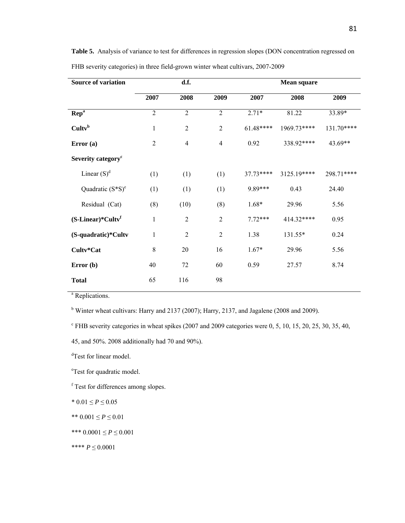| <b>Source of variation</b>               |                | d.f.           |                | <b>Mean square</b> |             |            |  |  |  |
|------------------------------------------|----------------|----------------|----------------|--------------------|-------------|------------|--|--|--|
|                                          | 2007           | 2008           | 2009           | 2007               | 2008        | 2009       |  |  |  |
| <b>Rep<sup>a</sup></b>                   | $\overline{2}$ | $\overline{2}$ | $\overline{2}$ | $2.71*$            | 81.22       | 33.89*     |  |  |  |
| Cultv <sup>b</sup>                       | $\mathbf{1}$   | $\overline{2}$ | $\overline{2}$ | $61.48***$         | 1969.73**** | 131.70**** |  |  |  |
| Error(a)                                 | $\overline{2}$ | $\overline{4}$ | $\overline{4}$ | 0.92               | 338.92****  | 43.69**    |  |  |  |
| Severity category <sup>c</sup>           |                |                |                |                    |             |            |  |  |  |
| Linear $(S)^d$                           | (1)            | (1)<br>(1)     |                | 37.73****          | 3125.19**** | 298.71**** |  |  |  |
| Quadratic $(S*S)^e$                      | (1)            | (1)            | (1)            | 9.89***            | 0.43        | 24.40      |  |  |  |
| Residual (Cat)                           | (8)            | (10)           | (8)            | $1.68*$            | 29.96       | 5.56       |  |  |  |
| $(S\text{-Linear})^*$ Cultv <sup>f</sup> | $\mathbf{1}$   | $\overline{2}$ | $\overline{2}$ | $7.72***$          | 414.32****  | 0.95       |  |  |  |
| (S-quadratic)*Cultv                      | $\mathbf{1}$   | $\overline{2}$ | $\overline{2}$ | 1.38               | 131.55*     | 0.24       |  |  |  |
| Cultv*Cat                                | $\,$ 8 $\,$    | $20\,$         | 16             | $1.67*$            | 29.96       | 5.56       |  |  |  |
| Error (b)                                | 40             | 72             | 60             | 0.59               | 27.57       | 8.74       |  |  |  |
| <b>Total</b>                             | 65             | 116            | 98             |                    |             |            |  |  |  |

Table 5. Analysis of variance to test for differences in regression slopes (DON concentration regressed on FHB severity categories) in three field-grown winter wheat cultivars, 2007-2009

<sup>a</sup> Replications.

<sup>b</sup> Winter wheat cultivars: Harry and 2137 (2007); Harry, 2137, and Jagalene (2008 and 2009).

 $c$  FHB severity categories in wheat spikes (2007 and 2009 categories were 0, 5, 10, 15, 20, 25, 30, 35, 40,

<sup>d</sup>Test for linear model.

<sup>e</sup>Test for quadratic model.

f Test for differences among slopes.

\*  $0.01 \le P \le 0.05$ 

\*\* 0.001 ≤ *P* ≤ 0.01

\*\*\* 0.0001 ≤ *P* ≤ 0.001

\*\*\*\* *P* ≤ 0.0001

<sup>45,</sup> and 50%. 2008 additionally had 70 and 90%).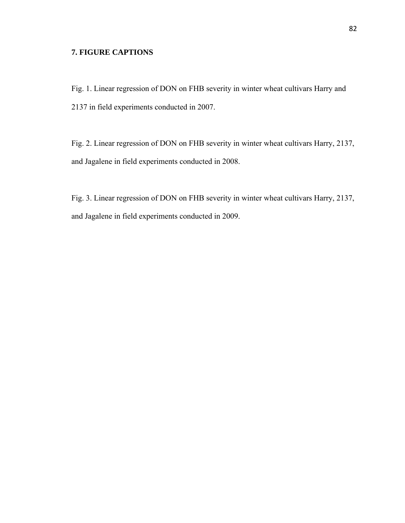#### **7. FIGURE CAPTIONS**

Fig. 1. Linear regression of DON on FHB severity in winter wheat cultivars Harry and 2137 in field experiments conducted in 2007.

Fig. 2. Linear regression of DON on FHB severity in winter wheat cultivars Harry, 2137, and Jagalene in field experiments conducted in 2008.

Fig. 3. Linear regression of DON on FHB severity in winter wheat cultivars Harry, 2137, and Jagalene in field experiments conducted in 2009.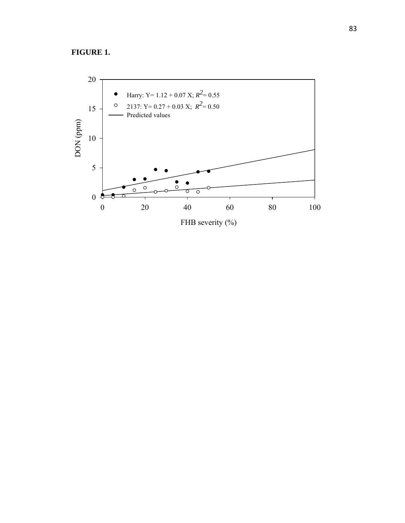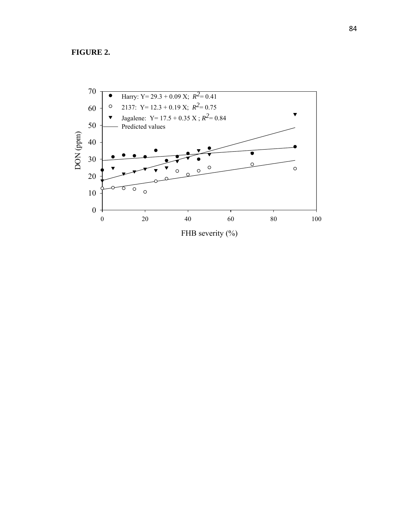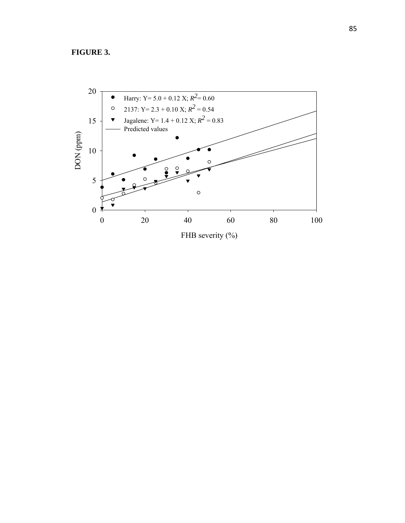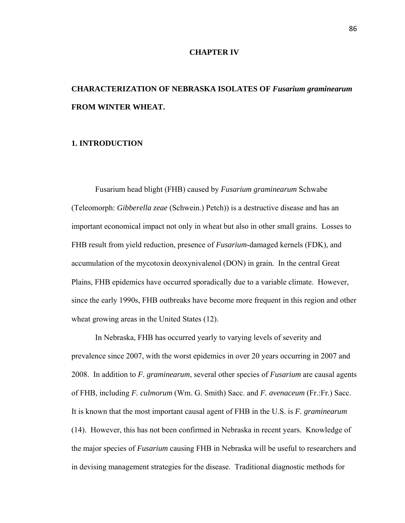#### **CHAPTER IV**

## **CHARACTERIZATION OF NEBRASKA ISOLATES OF** *Fusarium graminearum*  **FROM WINTER WHEAT.**

#### **1. INTRODUCTION**

Fusarium head blight (FHB) caused by *Fusarium graminearum* Schwabe (Teleomorph: *Gibberella zeae* (Schwein.) Petch)) is a destructive disease and has an important economical impact not only in wheat but also in other small grains. Losses to FHB result from yield reduction, presence of *Fusarium*-damaged kernels (FDK), and accumulation of the mycotoxin deoxynivalenol (DON) in grain*.* In the central Great Plains, FHB epidemics have occurred sporadically due to a variable climate. However, since the early 1990s, FHB outbreaks have become more frequent in this region and other wheat growing areas in the United States (12).

In Nebraska, FHB has occurred yearly to varying levels of severity and prevalence since 2007, with the worst epidemics in over 20 years occurring in 2007 and 2008. In addition to *F. graminearum*, several other species of *Fusarium* are causal agents of FHB, including *F. culmorum* (Wm. G. Smith) Sacc. and *F. avenaceum* (Fr.:Fr.) Sacc. It is known that the most important causal agent of FHB in the U.S. is *F. graminearum* (14). However, this has not been confirmed in Nebraska in recent years. Knowledge of the major species of *Fusarium* causing FHB in Nebraska will be useful to researchers and in devising management strategies for the disease. Traditional diagnostic methods for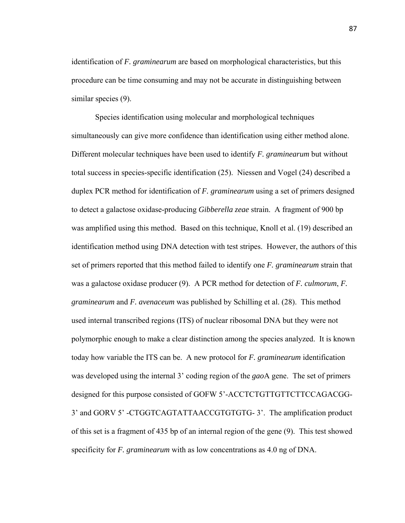identification of *F. graminearum* are based on morphological characteristics, but this procedure can be time consuming and may not be accurate in distinguishing between similar species (9).

Species identification using molecular and morphological techniques simultaneously can give more confidence than identification using either method alone. Different molecular techniques have been used to identify *F. graminearum* but without total success in species-specific identification (25). Niessen and Vogel (24) described a duplex PCR method for identification of *F. graminearum* using a set of primers designed to detect a galactose oxidase-producing *Gibberella zeae* strain. A fragment of 900 bp was amplified using this method. Based on this technique, Knoll et al. (19) described an identification method using DNA detection with test stripes. However, the authors of this set of primers reported that this method failed to identify one *F. graminearum* strain that was a galactose oxidase producer (9). A PCR method for detection of *F. culmorum*, *F. graminearum* and *F. avenaceum* was published by Schilling et al. (28). This method used internal transcribed regions (ITS) of nuclear ribosomal DNA but they were not polymorphic enough to make a clear distinction among the species analyzed. It is known today how variable the ITS can be. A new protocol for *F. graminearum* identification was developed using the internal 3' coding region of the *gao*A gene. The set of primers designed for this purpose consisted of GOFW 5'-ACCTCTGTTGTTCTTCCAGACGG-3' and GORV 5' -CTGGTCAGTATTAACCGTGTGTG- 3'. The amplification product of this set is a fragment of 435 bp of an internal region of the gene (9). This test showed specificity for *F. graminearum* with as low concentrations as 4.0 ng of DNA.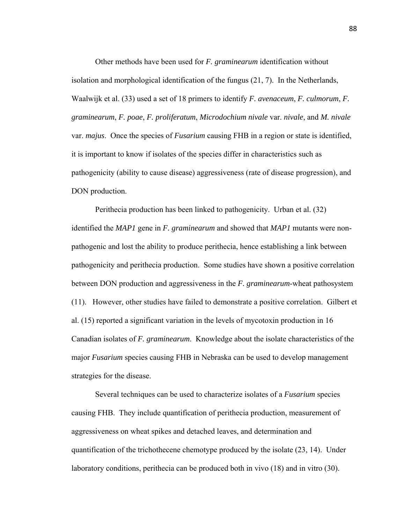Other methods have been used for *F. graminearum* identification without isolation and morphological identification of the fungus (21, 7). In the Netherlands, Waalwijk et al. (33) used a set of 18 primers to identify *F. avenaceum*, *F. culmorum*, *F. graminearum*, *F. poae*, *F. proliferatum*, *Microdochium nivale* var. *nivale*, and *M. nivale* var. *majus*. Once the species of *Fusarium* causing FHB in a region or state is identified, it is important to know if isolates of the species differ in characteristics such as pathogenicity (ability to cause disease) aggressiveness (rate of disease progression), and DON production.

Perithecia production has been linked to pathogenicity. Urban et al. (32) identified the *MAP1* gene in *F. graminearum* and showed that *MAP1* mutants were nonpathogenic and lost the ability to produce perithecia, hence establishing a link between pathogenicity and perithecia production. Some studies have shown a positive correlation between DON production and aggressiveness in the *F. graminearum*-wheat pathosystem (11). However, other studies have failed to demonstrate a positive correlation. Gilbert et al. (15) reported a significant variation in the levels of mycotoxin production in 16 Canadian isolates of *F. graminearum*. Knowledge about the isolate characteristics of the major *Fusarium* species causing FHB in Nebraska can be used to develop management strategies for the disease.

Several techniques can be used to characterize isolates of a *Fusarium* species causing FHB. They include quantification of perithecia production, measurement of aggressiveness on wheat spikes and detached leaves, and determination and quantification of the trichothecene chemotype produced by the isolate (23, 14). Under laboratory conditions, perithecia can be produced both in vivo (18) and in vitro (30).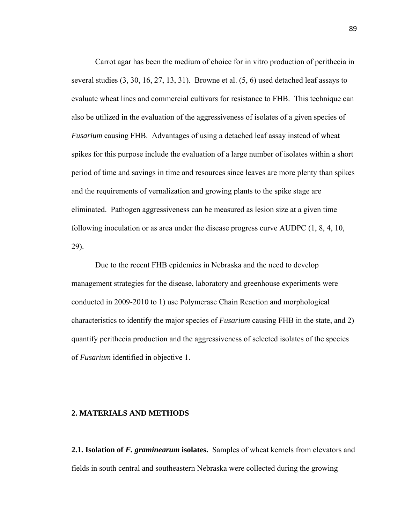Carrot agar has been the medium of choice for in vitro production of perithecia in several studies (3, 30, 16, 27, 13, 31). Browne et al. (5, 6) used detached leaf assays to evaluate wheat lines and commercial cultivars for resistance to FHB. This technique can also be utilized in the evaluation of the aggressiveness of isolates of a given species of *Fusarium* causing FHB. Advantages of using a detached leaf assay instead of wheat spikes for this purpose include the evaluation of a large number of isolates within a short period of time and savings in time and resources since leaves are more plenty than spikes and the requirements of vernalization and growing plants to the spike stage are eliminated. Pathogen aggressiveness can be measured as lesion size at a given time following inoculation or as area under the disease progress curve AUDPC (1, 8, 4, 10, 29).

Due to the recent FHB epidemics in Nebraska and the need to develop management strategies for the disease, laboratory and greenhouse experiments were conducted in 2009-2010 to 1) use Polymerase Chain Reaction and morphological characteristics to identify the major species of *Fusarium* causing FHB in the state, and 2) quantify perithecia production and the aggressiveness of selected isolates of the species of *Fusarium* identified in objective 1.

#### **2. MATERIALS AND METHODS**

**2.1. Isolation of** *F. graminearum* **isolates.** Samples of wheat kernels from elevators and fields in south central and southeastern Nebraska were collected during the growing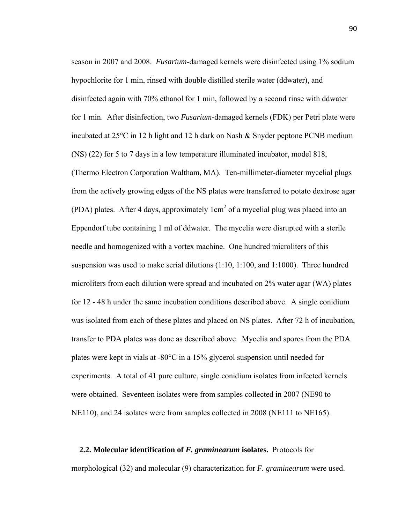season in 2007 and 2008. *Fusarium*-damaged kernels were disinfected using 1% sodium hypochlorite for 1 min, rinsed with double distilled sterile water (ddwater), and disinfected again with 70% ethanol for 1 min, followed by a second rinse with ddwater for 1 min. After disinfection, two *Fusarium-*damaged kernels (FDK) per Petri plate were incubated at 25°C in 12 h light and 12 h dark on Nash & Snyder peptone PCNB medium (NS) (22) for 5 to 7 days in a low temperature illuminated incubator, model 818, (Thermo Electron Corporation Waltham, MA). Ten-millimeter-diameter mycelial plugs from the actively growing edges of the NS plates were transferred to potato dextrose agar (PDA) plates. After 4 days, approximately  $1 \text{cm}^2$  of a mycelial plug was placed into an Eppendorf tube containing 1 ml of ddwater. The mycelia were disrupted with a sterile needle and homogenized with a vortex machine. One hundred microliters of this suspension was used to make serial dilutions (1:10, 1:100, and 1:1000). Three hundred microliters from each dilution were spread and incubated on 2% water agar (WA) plates for 12 - 48 h under the same incubation conditions described above. A single conidium was isolated from each of these plates and placed on NS plates. After 72 h of incubation, transfer to PDA plates was done as described above. Mycelia and spores from the PDA plates were kept in vials at -80°C in a 15% glycerol suspension until needed for experiments. A total of 41 pure culture, single conidium isolates from infected kernels were obtained. Seventeen isolates were from samples collected in 2007 (NE90 to NE110), and 24 isolates were from samples collected in 2008 (NE111 to NE165).

**2.2. Molecular identification of** *F. graminearum* **isolates.** Protocols for morphological (32) and molecular (9) characterization for *F. graminearum* were used.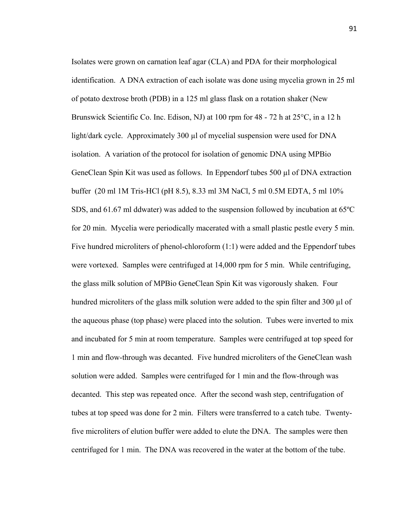Isolates were grown on carnation leaf agar (CLA) and PDA for their morphological identification. A DNA extraction of each isolate was done using mycelia grown in 25 ml of potato dextrose broth (PDB) in a 125 ml glass flask on a rotation shaker (New Brunswick Scientific Co. Inc. Edison, NJ) at 100 rpm for 48 - 72 h at 25°C, in a 12 h light/dark cycle. Approximately 300 µl of mycelial suspension were used for DNA isolation. A variation of the protocol for isolation of genomic DNA using MPBio GeneClean Spin Kit was used as follows. In Eppendorf tubes 500 µl of DNA extraction buffer (20 ml 1M Tris-HCl (pH 8.5), 8.33 ml 3M NaCl, 5 ml 0.5M EDTA, 5 ml 10% SDS, and 61.67 ml ddwater) was added to the suspension followed by incubation at 65ºC for 20 min. Mycelia were periodically macerated with a small plastic pestle every 5 min. Five hundred microliters of phenol-chloroform (1:1) were added and the Eppendorf tubes were vortexed. Samples were centrifuged at 14,000 rpm for 5 min. While centrifuging, the glass milk solution of MPBio GeneClean Spin Kit was vigorously shaken. Four hundred microliters of the glass milk solution were added to the spin filter and 300 µl of the aqueous phase (top phase) were placed into the solution. Tubes were inverted to mix and incubated for 5 min at room temperature. Samples were centrifuged at top speed for 1 min and flow-through was decanted. Five hundred microliters of the GeneClean wash solution were added. Samples were centrifuged for 1 min and the flow-through was decanted. This step was repeated once. After the second wash step, centrifugation of tubes at top speed was done for 2 min. Filters were transferred to a catch tube. Twentyfive microliters of elution buffer were added to elute the DNA. The samples were then centrifuged for 1 min. The DNA was recovered in the water at the bottom of the tube.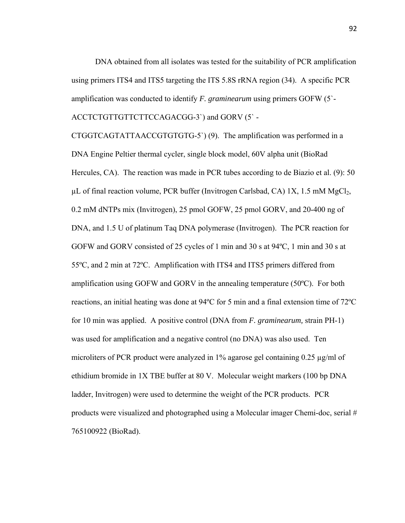DNA obtained from all isolates was tested for the suitability of PCR amplification using primers ITS4 and ITS5 targeting the ITS 5.8S rRNA region (34). A specific PCR amplification was conducted to identify *F. graminearum* using primers GOFW (5`-

ACCTCTGTTGTTCTTCCAGACGG-3`) and GORV (5` -

CTGGTCAGTATTAACCGTGTGTG-5`) (9). The amplification was performed in a DNA Engine Peltier thermal cycler, single block model, 60V alpha unit (BioRad Hercules, CA). The reaction was made in PCR tubes according to de Biazio et al. (9): 50  $\mu$ L of final reaction volume, PCR buffer (Invitrogen Carlsbad, CA) 1X, 1.5 mM MgCl<sub>2</sub>, 0.2 mM dNTPs mix (Invitrogen), 25 pmol GOFW, 25 pmol GORV, and 20-400 ng of DNA, and 1.5 U of platinum Taq DNA polymerase (Invitrogen). The PCR reaction for GOFW and GORV consisted of 25 cycles of 1 min and 30 s at 94ºC, 1 min and 30 s at 55ºC, and 2 min at 72ºC. Amplification with ITS4 and ITS5 primers differed from amplification using GOFW and GORV in the annealing temperature (50ºC). For both reactions, an initial heating was done at 94ºC for 5 min and a final extension time of 72ºC for 10 min was applied. A positive control (DNA from *F. graminearum,* strain PH-1) was used for amplification and a negative control (no DNA) was also used. Ten microliters of PCR product were analyzed in 1% agarose gel containing 0.25 µg/ml of ethidium bromide in 1X TBE buffer at 80 V. Molecular weight markers (100 bp DNA ladder, Invitrogen) were used to determine the weight of the PCR products. PCR products were visualized and photographed using a Molecular imager Chemi-doc, serial # 765100922 (BioRad).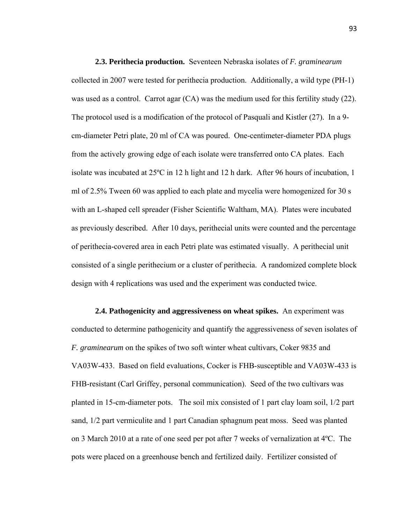**2.3. Perithecia production.** Seventeen Nebraska isolates of *F. graminearum* collected in 2007 were tested for perithecia production. Additionally, a wild type (PH-1) was used as a control. Carrot agar (CA) was the medium used for this fertility study (22). The protocol used is a modification of the protocol of Pasquali and Kistler (27). In a 9 cm-diameter Petri plate, 20 ml of CA was poured. One-centimeter-diameter PDA plugs from the actively growing edge of each isolate were transferred onto CA plates. Each isolate was incubated at 25ºC in 12 h light and 12 h dark. After 96 hours of incubation, 1 ml of 2.5% Tween 60 was applied to each plate and mycelia were homogenized for 30 s with an L-shaped cell spreader (Fisher Scientific Waltham, MA). Plates were incubated as previously described. After 10 days, perithecial units were counted and the percentage of perithecia-covered area in each Petri plate was estimated visually. A perithecial unit consisted of a single perithecium or a cluster of perithecia. A randomized complete block design with 4 replications was used and the experiment was conducted twice.

**2.4. Pathogenicity and aggressiveness on wheat spikes.** An experiment was conducted to determine pathogenicity and quantify the aggressiveness of seven isolates of *F. graminearum* on the spikes of two soft winter wheat cultivars, Coker 9835 and VA03W-433. Based on field evaluations, Cocker is FHB-susceptible and VA03W-433 is FHB-resistant (Carl Griffey, personal communication). Seed of the two cultivars was planted in 15-cm-diameter pots. The soil mix consisted of 1 part clay loam soil, 1/2 part sand, 1/2 part vermiculite and 1 part Canadian sphagnum peat moss. Seed was planted on 3 March 2010 at a rate of one seed per pot after 7 weeks of vernalization at 4ºC. The pots were placed on a greenhouse bench and fertilized daily. Fertilizer consisted of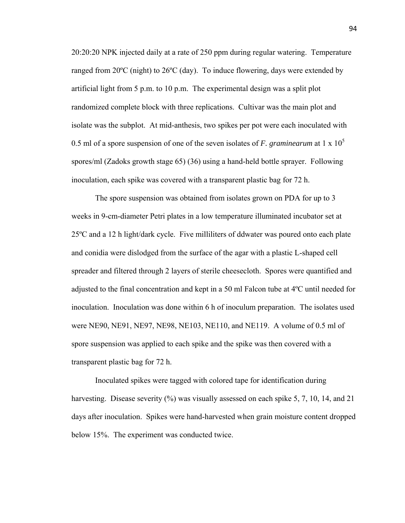20:20:20 NPK injected daily at a rate of 250 ppm during regular watering. Temperature ranged from 20ºC (night) to 26ºC (day). To induce flowering, days were extended by artificial light from 5 p.m. to 10 p.m. The experimental design was a split plot randomized complete block with three replications. Cultivar was the main plot and isolate was the subplot. At mid-anthesis, two spikes per pot were each inoculated with 0.5 ml of a spore suspension of one of the seven isolates of *F. graminearum* at 1 x 10<sup>5</sup> spores/ml (Zadoks growth stage 65) (36) using a hand-held bottle sprayer. Following inoculation, each spike was covered with a transparent plastic bag for 72 h.

The spore suspension was obtained from isolates grown on PDA for up to 3 weeks in 9-cm-diameter Petri plates in a low temperature illuminated incubator set at 25ºC and a 12 h light/dark cycle. Five milliliters of ddwater was poured onto each plate and conidia were dislodged from the surface of the agar with a plastic L-shaped cell spreader and filtered through 2 layers of sterile cheesecloth. Spores were quantified and adjusted to the final concentration and kept in a 50 ml Falcon tube at 4ºC until needed for inoculation. Inoculation was done within 6 h of inoculum preparation. The isolates used were NE90, NE91, NE97, NE98, NE103, NE110, and NE119. A volume of 0.5 ml of spore suspension was applied to each spike and the spike was then covered with a transparent plastic bag for 72 h.

Inoculated spikes were tagged with colored tape for identification during harvesting. Disease severity (%) was visually assessed on each spike 5, 7, 10, 14, and 21 days after inoculation. Spikes were hand-harvested when grain moisture content dropped below 15%. The experiment was conducted twice.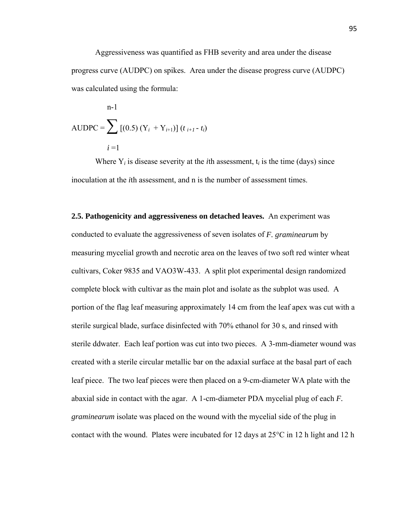Aggressiveness was quantified as FHB severity and area under the disease progress curve (AUDPC) on spikes. Area under the disease progress curve (AUDPC) was calculated using the formula:

$$
n-1
$$
  
AUDPC =  $\sum$  [(0.5) (Y<sub>i</sub> + Y<sub>i+1</sub>)] ( $t_{i+1}$ - $t_i$ )  
 $i=1$ 

Where  $Y_i$  is disease severity at the *i*th assessment,  $t_i$  is the time (days) since inoculation at the *i*th assessment, and n is the number of assessment times.

**2.5. Pathogenicity and aggressiveness on detached leaves.** An experiment was conducted to evaluate the aggressiveness of seven isolates of *F. graminearum* by measuring mycelial growth and necrotic area on the leaves of two soft red winter wheat cultivars, Coker 9835 and VAO3W-433. A split plot experimental design randomized complete block with cultivar as the main plot and isolate as the subplot was used. A portion of the flag leaf measuring approximately 14 cm from the leaf apex was cut with a sterile surgical blade, surface disinfected with 70% ethanol for 30 s, and rinsed with sterile ddwater. Each leaf portion was cut into two pieces. A 3-mm-diameter wound was created with a sterile circular metallic bar on the adaxial surface at the basal part of each leaf piece. The two leaf pieces were then placed on a 9-cm-diameter WA plate with the abaxial side in contact with the agar. A 1-cm-diameter PDA mycelial plug of each *F. graminearum* isolate was placed on the wound with the mycelial side of the plug in contact with the wound. Plates were incubated for 12 days at 25°C in 12 h light and 12 h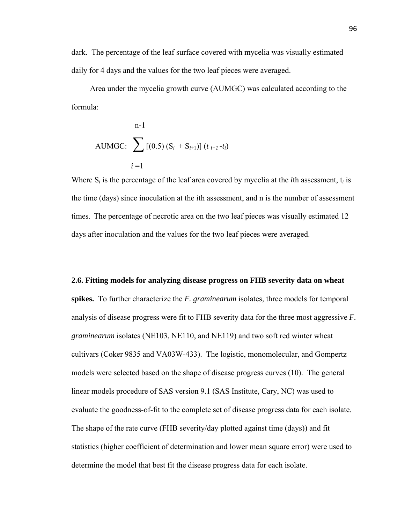dark. The percentage of the leaf surface covered with mycelia was visually estimated daily for 4 days and the values for the two leaf pieces were averaged.

 Area under the mycelia growth curve (AUMGC) was calculated according to the formula:

$$
n-1
$$
  
AUMGC: 
$$
\sum_{i=1}^{n-1} [(0.5) (S_i + S_{i+1})] (t_{i+1} - t_i)
$$

Where S*i* is the percentage of the leaf area covered by mycelia at the *i*th assessment, t*i* is the time (days) since inoculation at the *i*th assessment, and n is the number of assessment times. The percentage of necrotic area on the two leaf pieces was visually estimated 12 days after inoculation and the values for the two leaf pieces were averaged.

#### **2.6. Fitting models for analyzing disease progress on FHB severity data on wheat**

**spikes.** To further characterize the *F. graminearum* isolates, three models for temporal analysis of disease progress were fit to FHB severity data for the three most aggressive *F. graminearum* isolates (NE103, NE110, and NE119) and two soft red winter wheat cultivars (Coker 9835 and VA03W-433). The logistic, monomolecular, and Gompertz models were selected based on the shape of disease progress curves (10). The general linear models procedure of SAS version 9.1 (SAS Institute, Cary, NC) was used to evaluate the goodness-of-fit to the complete set of disease progress data for each isolate. The shape of the rate curve (FHB severity/day plotted against time (days)) and fit statistics (higher coefficient of determination and lower mean square error) were used to determine the model that best fit the disease progress data for each isolate.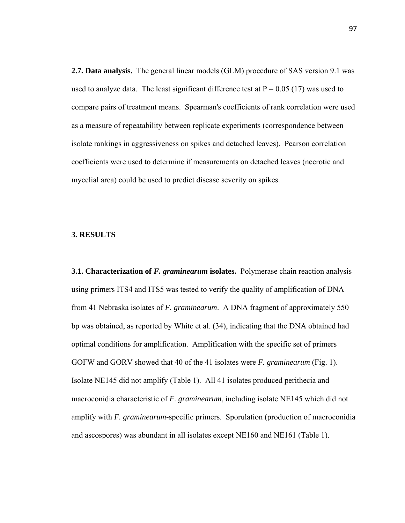**2.7. Data analysis.** The general linear models (GLM) procedure of SAS version 9.1 was used to analyze data. The least significant difference test at  $P = 0.05$  (17) was used to compare pairs of treatment means. Spearman's coefficients of rank correlation were used as a measure of repeatability between replicate experiments (correspondence between isolate rankings in aggressiveness on spikes and detached leaves). Pearson correlation coefficients were used to determine if measurements on detached leaves (necrotic and mycelial area) could be used to predict disease severity on spikes.

#### **3. RESULTS**

**3.1. Characterization of** *F. graminearum* **isolates.** Polymerase chain reaction analysis using primers ITS4 and ITS5 was tested to verify the quality of amplification of DNA from 41 Nebraska isolates of *F. graminearum*. A DNA fragment of approximately 550 bp was obtained, as reported by White et al. (34), indicating that the DNA obtained had optimal conditions for amplification. Amplification with the specific set of primers GOFW and GORV showed that 40 of the 41 isolates were *F. graminearum* (Fig. 1). Isolate NE145 did not amplify (Table 1). All 41 isolates produced perithecia and macroconidia characteristic of *F. graminearum*, including isolate NE145 which did not amplify with *F. graminearum*-specific primers. Sporulation (production of macroconidia and ascospores) was abundant in all isolates except NE160 and NE161 (Table 1).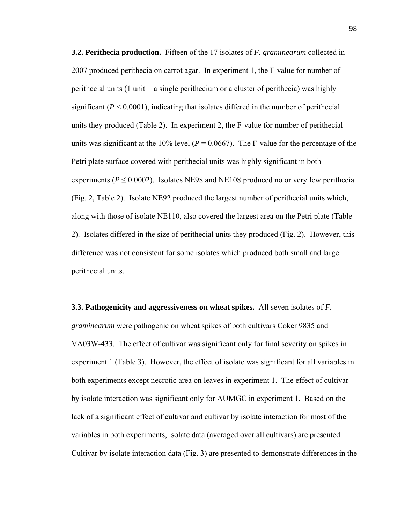**3.2. Perithecia production.** Fifteen of the 17 isolates of *F. graminearum* collected in 2007 produced perithecia on carrot agar. In experiment 1, the F-value for number of perithecial units (1 unit  $=$  a single perithecium or a cluster of perithecia) was highly significant  $(P < 0.0001)$ , indicating that isolates differed in the number of perithecial units they produced (Table 2). In experiment 2, the F-value for number of perithecial units was significant at the 10% level ( $P = 0.0667$ ). The F-value for the percentage of the Petri plate surface covered with perithecial units was highly significant in both experiments ( $P \le 0.0002$ ). Isolates NE98 and NE108 produced no or very few perithecia (Fig. 2, Table 2). Isolate NE92 produced the largest number of perithecial units which, along with those of isolate NE110, also covered the largest area on the Petri plate (Table 2). Isolates differed in the size of perithecial units they produced (Fig. 2). However, this difference was not consistent for some isolates which produced both small and large perithecial units.

**3.3. Pathogenicity and aggressiveness on wheat spikes.** All seven isolates of *F. graminearum* were pathogenic on wheat spikes of both cultivars Coker 9835 and VA03W-433. The effect of cultivar was significant only for final severity on spikes in experiment 1 (Table 3). However, the effect of isolate was significant for all variables in both experiments except necrotic area on leaves in experiment 1. The effect of cultivar by isolate interaction was significant only for AUMGC in experiment 1. Based on the lack of a significant effect of cultivar and cultivar by isolate interaction for most of the variables in both experiments, isolate data (averaged over all cultivars) are presented. Cultivar by isolate interaction data (Fig. 3) are presented to demonstrate differences in the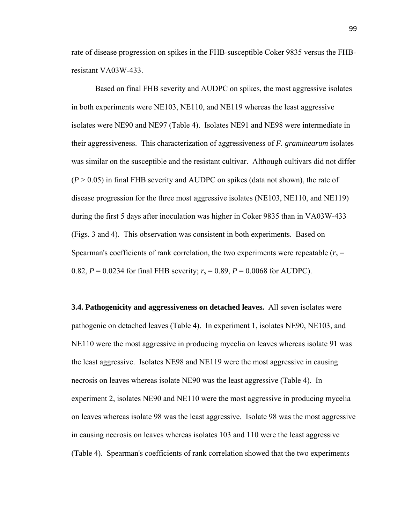rate of disease progression on spikes in the FHB-susceptible Coker 9835 versus the FHBresistant VA03W-433.

Based on final FHB severity and AUDPC on spikes, the most aggressive isolates in both experiments were NE103, NE110, and NE119 whereas the least aggressive isolates were NE90 and NE97 (Table 4). Isolates NE91 and NE98 were intermediate in their aggressiveness. This characterization of aggressiveness of *F. graminearum* isolates was similar on the susceptible and the resistant cultivar. Although cultivars did not differ  $(P > 0.05)$  in final FHB severity and AUDPC on spikes (data not shown), the rate of disease progression for the three most aggressive isolates (NE103, NE110, and NE119) during the first 5 days after inoculation was higher in Coker 9835 than in VA03W-433 (Figs. 3 and 4). This observation was consistent in both experiments. Based on Spearman's coefficients of rank correlation, the two experiments were repeatable  $(r<sub>s</sub> =$ 0.82,  $P = 0.0234$  for final FHB severity;  $r_s = 0.89$ ,  $P = 0.0068$  for AUDPC).

**3.4. Pathogenicity and aggressiveness on detached leaves.** All seven isolates were pathogenic on detached leaves (Table 4). In experiment 1, isolates NE90, NE103, and NE110 were the most aggressive in producing mycelia on leaves whereas isolate 91 was the least aggressive. Isolates NE98 and NE119 were the most aggressive in causing necrosis on leaves whereas isolate NE90 was the least aggressive (Table 4). In experiment 2, isolates NE90 and NE110 were the most aggressive in producing mycelia on leaves whereas isolate 98 was the least aggressive. Isolate 98 was the most aggressive in causing necrosis on leaves whereas isolates 103 and 110 were the least aggressive (Table 4). Spearman's coefficients of rank correlation showed that the two experiments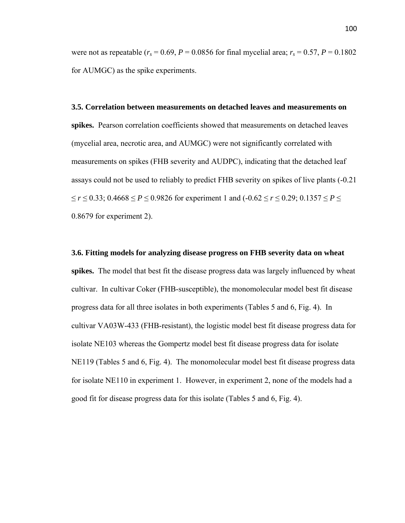were not as repeatable ( $r_s = 0.69$ ,  $P = 0.0856$  for final mycelial area;  $r_s = 0.57$ ,  $P = 0.1802$ for AUMGC) as the spike experiments.

**3.5. Correlation between measurements on detached leaves and measurements on spikes.** Pearson correlation coefficients showed that measurements on detached leaves (mycelial area, necrotic area, and AUMGC) were not significantly correlated with measurements on spikes (FHB severity and AUDPC), indicating that the detached leaf assays could not be used to reliably to predict FHB severity on spikes of live plants (-0.21 ≤ *r* ≤ 0.33; 0.4668 ≤ *P* ≤ 0.9826 for experiment 1 and (-0.62 ≤ *r* ≤ 0.29; 0.1357 ≤ *P* ≤ 0.8679 for experiment 2).

#### **3.6. Fitting models for analyzing disease progress on FHB severity data on wheat**

**spikes.** The model that best fit the disease progress data was largely influenced by wheat cultivar. In cultivar Coker (FHB-susceptible), the monomolecular model best fit disease progress data for all three isolates in both experiments (Tables 5 and 6, Fig. 4). In cultivar VA03W-433 (FHB-resistant), the logistic model best fit disease progress data for isolate NE103 whereas the Gompertz model best fit disease progress data for isolate NE119 (Tables 5 and 6, Fig. 4). The monomolecular model best fit disease progress data for isolate NE110 in experiment 1. However, in experiment 2, none of the models had a good fit for disease progress data for this isolate (Tables 5 and 6, Fig. 4).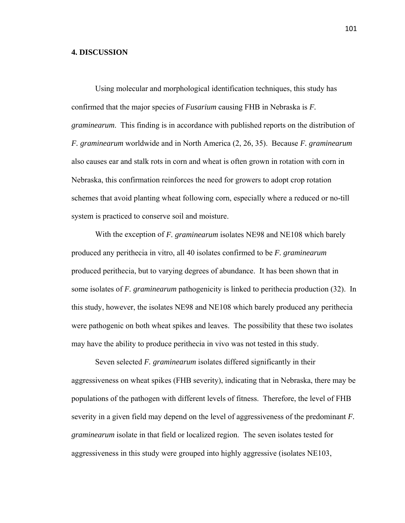## **4. DISCUSSION**

Using molecular and morphological identification techniques, this study has confirmed that the major species of *Fusarium* causing FHB in Nebraska is *F. graminearum*. This finding is in accordance with published reports on the distribution of *F. graminearum* worldwide and in North America (2, 26, 35). Because *F. graminearum* also causes ear and stalk rots in corn and wheat is often grown in rotation with corn in Nebraska, this confirmation reinforces the need for growers to adopt crop rotation schemes that avoid planting wheat following corn, especially where a reduced or no-till system is practiced to conserve soil and moisture.

With the exception of *F. graminearum* isolates NE98 and NE108 which barely produced any perithecia in vitro, all 40 isolates confirmed to be *F. graminearum* produced perithecia, but to varying degrees of abundance. It has been shown that in some isolates of *F. graminearum* pathogenicity is linked to perithecia production (32). In this study, however, the isolates NE98 and NE108 which barely produced any perithecia were pathogenic on both wheat spikes and leaves. The possibility that these two isolates may have the ability to produce perithecia in vivo was not tested in this study.

Seven selected *F. graminearum* isolates differed significantly in their aggressiveness on wheat spikes (FHB severity), indicating that in Nebraska, there may be populations of the pathogen with different levels of fitness. Therefore, the level of FHB severity in a given field may depend on the level of aggressiveness of the predominant *F. graminearum* isolate in that field or localized region. The seven isolates tested for aggressiveness in this study were grouped into highly aggressive (isolates NE103,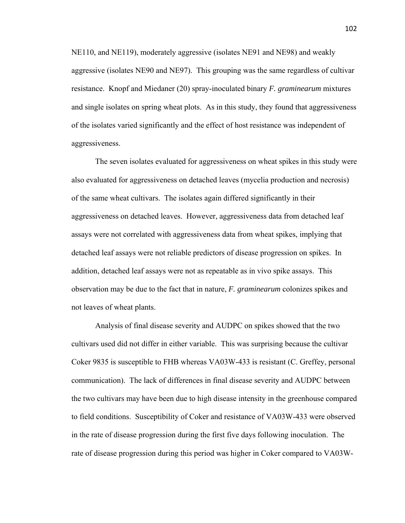NE110, and NE119), moderately aggressive (isolates NE91 and NE98) and weakly aggressive (isolates NE90 and NE97). This grouping was the same regardless of cultivar resistance. Knopf and Miedaner (20) spray-inoculated binary *F. graminearum* mixtures and single isolates on spring wheat plots. As in this study, they found that aggressiveness of the isolates varied significantly and the effect of host resistance was independent of aggressiveness.

The seven isolates evaluated for aggressiveness on wheat spikes in this study were also evaluated for aggressiveness on detached leaves (mycelia production and necrosis) of the same wheat cultivars. The isolates again differed significantly in their aggressiveness on detached leaves. However, aggressiveness data from detached leaf assays were not correlated with aggressiveness data from wheat spikes, implying that detached leaf assays were not reliable predictors of disease progression on spikes. In addition, detached leaf assays were not as repeatable as in vivo spike assays. This observation may be due to the fact that in nature, *F. graminearum* colonizes spikes and not leaves of wheat plants.

Analysis of final disease severity and AUDPC on spikes showed that the two cultivars used did not differ in either variable. This was surprising because the cultivar Coker 9835 is susceptible to FHB whereas VA03W-433 is resistant (C. Greffey, personal communication). The lack of differences in final disease severity and AUDPC between the two cultivars may have been due to high disease intensity in the greenhouse compared to field conditions. Susceptibility of Coker and resistance of VA03W-433 were observed in the rate of disease progression during the first five days following inoculation. The rate of disease progression during this period was higher in Coker compared to VA03W-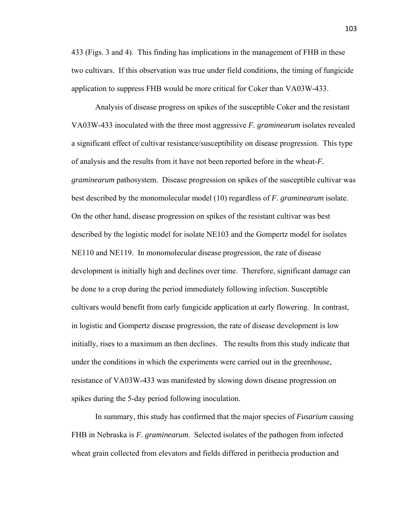433 (Figs. 3 and 4). This finding has implications in the management of FHB in these two cultivars. If this observation was true under field conditions, the timing of fungicide application to suppress FHB would be more critical for Coker than VA03W-433.

Analysis of disease progress on spikes of the susceptible Coker and the resistant VA03W-433 inoculated with the three most aggressive *F. graminearum* isolates revealed a significant effect of cultivar resistance/susceptibility on disease progression. This type of analysis and the results from it have not been reported before in the wheat-*F. graminearum* pathosystem. Disease progression on spikes of the susceptible cultivar was best described by the monomolecular model (10) regardless of *F. graminearum* isolate. On the other hand, disease progression on spikes of the resistant cultivar was best described by the logistic model for isolate NE103 and the Gompertz model for isolates NE110 and NE119. In monomolecular disease progression, the rate of disease development is initially high and declines over time. Therefore, significant damage can be done to a crop during the period immediately following infection. Susceptible cultivars would benefit from early fungicide application at early flowering. In contrast, in logistic and Gompertz disease progression, the rate of disease development is low initially, rises to a maximum an then declines. The results from this study indicate that under the conditions in which the experiments were carried out in the greenhouse, resistance of VA03W-433 was manifested by slowing down disease progression on spikes during the 5-day period following inoculation.

In summary, this study has confirmed that the major species of *Fusarium* causing FHB in Nebraska is *F. graminearum*. Selected isolates of the pathogen from infected wheat grain collected from elevators and fields differed in perithecia production and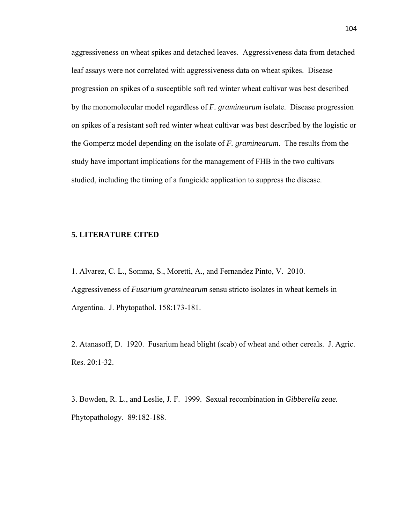aggressiveness on wheat spikes and detached leaves. Aggressiveness data from detached leaf assays were not correlated with aggressiveness data on wheat spikes. Disease progression on spikes of a susceptible soft red winter wheat cultivar was best described by the monomolecular model regardless of *F. graminearum* isolate. Disease progression on spikes of a resistant soft red winter wheat cultivar was best described by the logistic or the Gompertz model depending on the isolate of *F. graminearum*. The results from the study have important implications for the management of FHB in the two cultivars studied, including the timing of a fungicide application to suppress the disease.

#### **5. LITERATURE CITED**

1. Alvarez, C. L., Somma, S., Moretti, A., and Fernandez Pinto, V. 2010. Aggressiveness of *Fusarium graminearum* sensu stricto isolates in wheat kernels in Argentina. J. Phytopathol. 158:173-181.

2. Atanasoff, D. 1920. Fusarium head blight (scab) of wheat and other cereals. J. Agric. Res. 20:1-32.

3. Bowden, R. L., and Leslie, J. F. 1999. Sexual recombination in *Gibberella zeae.* Phytopathology. 89:182-188.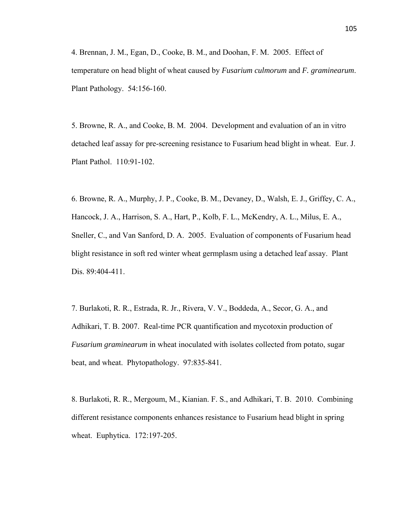4. Brennan, J. M., Egan, D., Cooke, B. M., and Doohan, F. M. 2005. Effect of temperature on head blight of wheat caused by *Fusarium culmorum* and *F. graminearum*. Plant Pathology. 54:156-160.

5. Browne, R. A., and Cooke, B. M. 2004. Development and evaluation of an in vitro detached leaf assay for pre-screening resistance to Fusarium head blight in wheat. Eur. J. Plant Pathol. 110:91-102.

6. Browne, R. A., Murphy, J. P., Cooke, B. M., Devaney, D., Walsh, E. J., Griffey, C. A., Hancock, J. A., Harrison, S. A., Hart, P., Kolb, F. L., McKendry, A. L., Milus, E. A., Sneller, C., and Van Sanford, D. A. 2005. Evaluation of components of Fusarium head blight resistance in soft red winter wheat germplasm using a detached leaf assay. Plant Dis. 89:404-411.

7. Burlakoti, R. R., Estrada, R. Jr., Rivera, V. V., Boddeda, A., Secor, G. A., and Adhikari, T. B. 2007. Real-time PCR quantification and mycotoxin production of *Fusarium graminearum* in wheat inoculated with isolates collected from potato, sugar beat, and wheat. Phytopathology. 97:835-841.

8. Burlakoti, R. R., Mergoum, M., Kianian. F. S., and Adhikari, T. B. 2010. Combining different resistance components enhances resistance to Fusarium head blight in spring wheat. Euphytica. 172:197-205.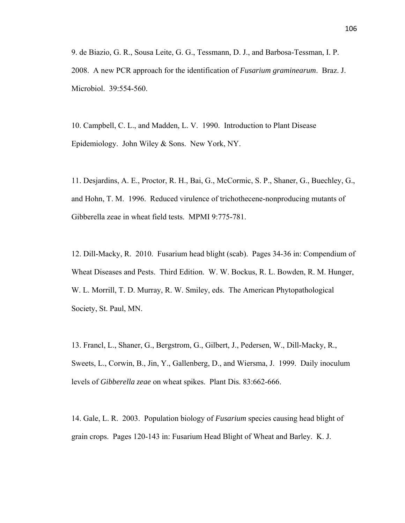9. de Biazio, G. R., Sousa Leite, G. G., Tessmann, D. J., and Barbosa-Tessman, I. P. 2008. A new PCR approach for the identification of *Fusarium graminearum*. Braz. J. Microbiol. 39:554-560.

10. Campbell, C. L., and Madden, L. V. 1990. Introduction to Plant Disease Epidemiology. John Wiley & Sons. New York, NY.

11. Desjardins, A. E., Proctor, R. H., Bai, G., McCormic, S. P., Shaner, G., Buechley, G., and Hohn, T. M. 1996. Reduced virulence of trichothecene-nonproducing mutants of Gibberella zeae in wheat field tests. MPMI 9:775-781.

12. Dill-Macky, R. 2010. Fusarium head blight (scab). Pages 34-36 in: Compendium of Wheat Diseases and Pests. Third Edition. W. W. Bockus, R. L. Bowden, R. M. Hunger, W. L. Morrill, T. D. Murray, R. W. Smiley, eds. The American Phytopathological Society, St. Paul, MN.

13. Francl, L., Shaner, G., Bergstrom, G., Gilbert, J., Pedersen, W., Dill-Macky, R., Sweets, L., Corwin, B., Jin, Y., Gallenberg, D., and Wiersma, J. 1999. Daily inoculum levels of *Gibberella zeae* on wheat spikes. Plant Dis. 83:662-666.

14. Gale, L. R. 2003. Population biology of *Fusarium* species causing head blight of grain crops. Pages 120-143 in: Fusarium Head Blight of Wheat and Barley. K. J.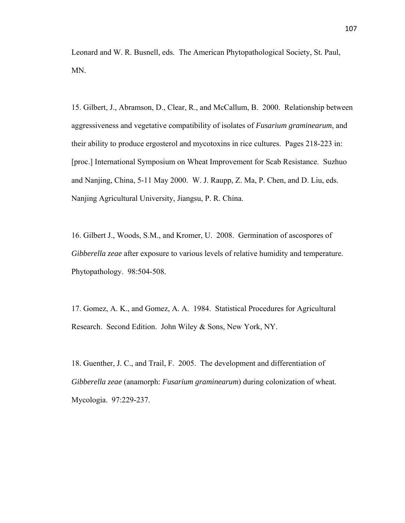Leonard and W. R. Busnell, eds. The American Phytopathological Society, St. Paul, MN.

15. Gilbert, J., Abramson, D., Clear, R., and McCallum, B. 2000. Relationship between aggressiveness and vegetative compatibility of isolates of *Fusarium graminearum*, and their ability to produce ergosterol and mycotoxins in rice cultures. Pages 218-223 in: [proc.] International Symposium on Wheat Improvement for Scab Resistance. Suzhuo and Nanjing, China, 5-11 May 2000. W. J. Raupp, Z. Ma, P. Chen, and D. Liu, eds. Nanjing Agricultural University, Jiangsu, P. R. China.

16. Gilbert J., Woods, S.M., and Kromer, U. 2008. Germination of ascospores of *Gibberella zeae* after exposure to various levels of relative humidity and temperature. Phytopathology. 98:504-508.

17. Gomez, A. K., and Gomez, A. A. 1984. Statistical Procedures for Agricultural Research. Second Edition. John Wiley & Sons, New York, NY.

18. Guenther, J. C., and Trail, F. 2005. The development and differentiation of *Gibberella zeae* (anamorph: *Fusarium graminearum*) during colonization of wheat. Mycologia. 97:229-237.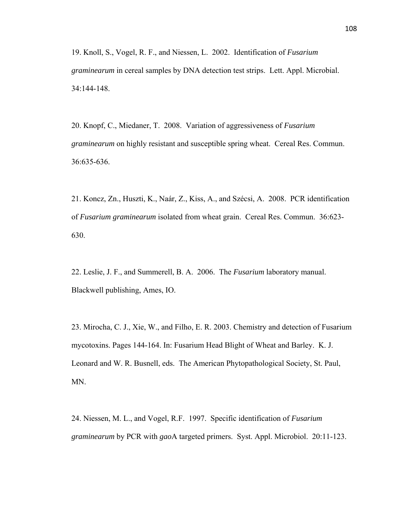19. Knoll, S., Vogel, R. F., and Niessen, L. 2002. Identification of *Fusarium graminearum* in cereal samples by DNA detection test strips. Lett. Appl. Microbial. 34:144-148.

20. Knopf, C., Miedaner, T. 2008. Variation of aggressiveness of *Fusarium graminearum* on highly resistant and susceptible spring wheat. Cereal Res. Commun. 36:635-636.

21. Koncz, Zn., Huszti, K., Naár, Z., Kiss, A., and Szécsi, A. 2008. PCR identification of *Fusarium graminearum* isolated from wheat grain. Cereal Res. Commun. 36:623- 630.

22. Leslie, J. F., and Summerell, B. A. 2006. The *Fusarium* laboratory manual. Blackwell publishing, Ames, IO.

23. Mirocha, C. J., Xie, W., and Filho, E. R. 2003. Chemistry and detection of Fusarium mycotoxins. Pages 144-164. In: Fusarium Head Blight of Wheat and Barley. K. J. Leonard and W. R. Busnell, eds. The American Phytopathological Society, St. Paul, MN.

24. Niessen, M. L., and Vogel, R.F. 1997. Specific identification of *Fusarium graminearum* by PCR with *gao*A targeted primers. Syst. Appl. Microbiol. 20:11-123.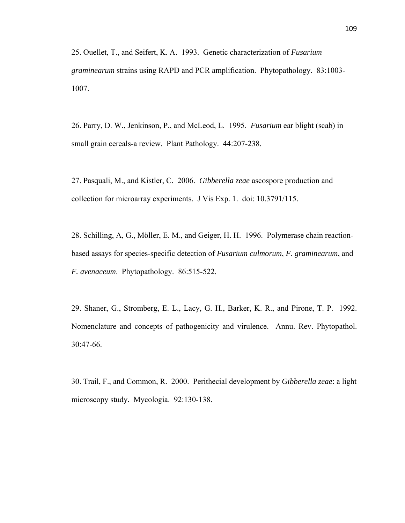25. Ouellet, T., and Seifert, K. A. 1993. Genetic characterization of *Fusarium graminearum* strains using RAPD and PCR amplification. Phytopathology. 83:1003- 1007.

26. Parry, D. W., Jenkinson, P., and McLeod, L. 1995. *Fusarium* ear blight (scab) in small grain cereals-a review. Plant Pathology. 44:207-238.

27. Pasquali, M., and Kistler, C. 2006. *Gibberella zeae* ascospore production and collection for microarray experiments. J Vis Exp. 1. doi: 10.3791/115.

28. Schilling, A, G., Möller, E. M., and Geiger, H. H. 1996. Polymerase chain reactionbased assays for species-specific detection of *Fusarium culmorum*, *F. graminearum*, and *F. avenaceum*. Phytopathology. 86:515-522.

29. Shaner, G., Stromberg, E. L., Lacy, G. H., Barker, K. R., and Pirone, T. P. 1992. Nomenclature and concepts of pathogenicity and virulence. Annu. Rev. Phytopathol. 30:47-66.

30. Trail, F., and Common, R. 2000. Perithecial development by *Gibberella zeae*: a light microscopy study. Mycologia. 92:130-138.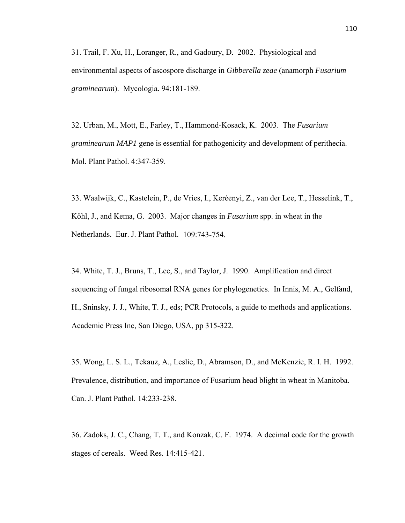31. Trail, F. Xu, H., Loranger, R., and Gadoury, D. 2002. Physiological and environmental aspects of ascospore discharge in *Gibberella zeae* (anamorph *Fusarium graminearum*). Mycologia. 94:181-189.

32. Urban, M., Mott, E., Farley, T., Hammond-Kosack, K. 2003. The *Fusarium graminearum MAP1* gene is essential for pathogenicity and development of perithecia. Mol. Plant Pathol. 4:347-359.

33. Waalwijk, C., Kastelein, P., de Vries, I., Keréenyi, Z., van der Lee, T., Hesselink, T., Köhl, J., and Kema, G. 2003. Major changes in *Fusarium* spp. in wheat in the Netherlands. Eur. J. Plant Pathol. 109:743-754.

34. White, T. J., Bruns, T., Lee, S., and Taylor, J. 1990. Amplification and direct sequencing of fungal ribosomal RNA genes for phylogenetics. In Innis, M. A., Gelfand, H., Sninsky, J. J., White, T. J., eds; PCR Protocols, a guide to methods and applications. Academic Press Inc, San Diego, USA, pp 315-322.

35. Wong, L. S. L., Tekauz, A., Leslie, D., Abramson, D., and McKenzie, R. I. H. 1992. Prevalence, distribution, and importance of Fusarium head blight in wheat in Manitoba. Can. J. Plant Pathol. 14:233-238.

36. Zadoks, J. C., Chang, T. T., and Konzak, C. F. 1974. A decimal code for the growth stages of cereals. Weed Res. 14:415-421.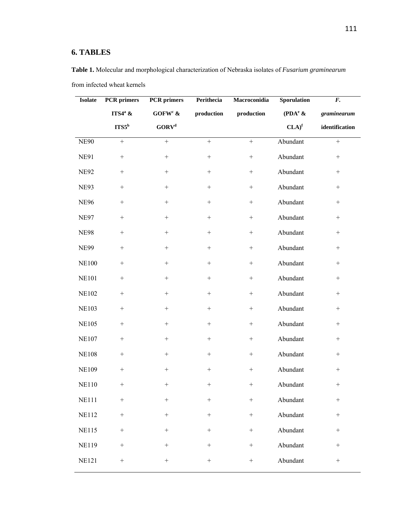# **6. TABLES**

| <b>Isolate</b> | <b>PCR</b> primers | <b>PCR</b> primers<br>Perithecia<br>Macroconidia |                   | Sporulation       | $\boldsymbol{F}$ . |                  |
|----------------|--------------------|--------------------------------------------------|-------------------|-------------------|--------------------|------------------|
|                | $ITS4^a$ &         | GOFW <sup>c</sup> $\&$                           | production        | production        | $(PDA^e &$         | graminearum      |
|                | ITS5 <sup>b</sup>  | GORV <sup>d</sup>                                |                   |                   | CLA) <sup>f</sup>  | identification   |
| <b>NE90</b>    | $\qquad \qquad +$  | $^{+}$                                           | $\qquad \qquad +$ | $\boldsymbol{+}$  | Abundant           | $\boldsymbol{+}$ |
| <b>NE91</b>    | $\boldsymbol{+}$   | $\boldsymbol{+}$                                 | $^{+}$            | $\boldsymbol{+}$  | Abundant           | $^{+}$           |
| <b>NE92</b>    |                    | $^{+}$                                           | $^{+}$            | $\! + \!\!\!\!$   | Abundant           | $+$              |
| <b>NE93</b>    |                    | $+$                                              | $^+$              |                   | Abundant           | $+$              |
| <b>NE96</b>    | $\! + \!\!\!\!$    | $+$                                              | $+$               |                   | Abundant           | $+$              |
| <b>NE97</b>    | $\! + \!\!\!\!$    | $^{+}$                                           | $+$               | $^{+}$            | Abundant           | $^{+}$           |
| <b>NE98</b>    | $\! + \!\!\!\!$    | $+$                                              | $^{+}$            | $+$               | Abundant           | $^{+}$           |
| <b>NE99</b>    | $\! + \!\!\!\!$    | $+$                                              | $+$               |                   | Abundant           | $+$              |
| <b>NE100</b>   | $\! + \!\!\!\!$    | $^{+}$                                           | $+$               | $+$               | Abundant           | $+$              |
| <b>NE101</b>   | $\! + \!\!\!\!$    | $\qquad \qquad +$                                | $^+$              |                   | Abundant           | $+$              |
| <b>NE102</b>   | $+$                | $^{+}$                                           | $+$               |                   | Abundant           | $^{+}$           |
| <b>NE103</b>   | $+$                | $^{+}$                                           | $+$               | $\qquad \qquad +$ | Abundant           | $+$              |
| <b>NE105</b>   | $+$                | $+$                                              | $+$               |                   | Abundant           | $+$              |
| <b>NE107</b>   | $^+$               | $+$                                              | $^{+}$            |                   | Abundant           | $^{+}$           |
| <b>NE108</b>   | $+$                | $+$                                              | $^{+}$            | $\! + \!\!\!\!$   | Abundant           | $+$              |
| <b>NE109</b>   | $\! + \!\!\!\!$    | $^+$                                             | $^{+}$            |                   | Abundant           | $^{+}$           |
| <b>NE110</b>   | $\! + \!\!\!\!$    |                                                  | $^{+}$            |                   | Abundant           | $+$              |
| <b>NE111</b>   | $\boldsymbol{+}$   |                                                  |                   |                   | Abundant           | $+$              |
| <b>NE112</b>   | $\boldsymbol{+}$   | $^+$                                             | $\qquad \qquad +$ | $\boldsymbol{+}$  | Abundant           | $\boldsymbol{+}$ |
| <b>NE115</b>   | $\boldsymbol{+}$   | $\boldsymbol{+}$                                 | $+$               | $\boldsymbol{+}$  | Abundant           | $\boldsymbol{+}$ |
| <b>NE119</b>   | $\boldsymbol{+}$   | $\qquad \qquad +$                                | $^+$              | $\boldsymbol{+}$  | Abundant           | $\boldsymbol{+}$ |
| <b>NE121</b>   | $\boldsymbol{+}$   | $\qquad \qquad +$                                | $^+$              | $\qquad \qquad +$ | Abundant           | $+$              |

**Table 1.** Molecular and morphological characterization of Nebraska isolates of *Fusarium graminearum* from infected wheat kernels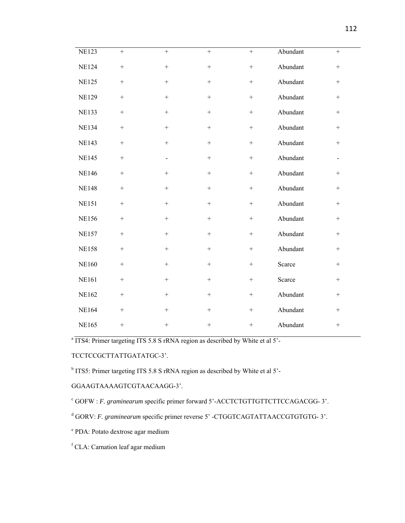| <b>NE123</b> | $+$              | $+$              | $^{+}$           | $\boldsymbol{+}$ | Abundant | $+$ |
|--------------|------------------|------------------|------------------|------------------|----------|-----|
| <b>NE124</b> | $\! + \!$        | $+$              | $\boldsymbol{+}$ | $^+$             | Abundant | $+$ |
| <b>NE125</b> | $+$              | $+$              | $^{+}$           | $\! + \!\!\!\!$  | Abundant | $+$ |
| <b>NE129</b> | $+$              | $+$              | $+$              | $\! + \!\!\!\!$  | Abundant | $+$ |
| <b>NE133</b> | $+$              | $^{+}$           | $+$              | $\! + \!\!\!\!$  | Abundant | $+$ |
| <b>NE134</b> | $\boldsymbol{+}$ | $^{+}$           | $+$              | $\boldsymbol{+}$ | Abundant | $+$ |
| <b>NE143</b> | $\boldsymbol{+}$ | $^{+}$           | $+$              | $\boldsymbol{+}$ | Abundant | $+$ |
| <b>NE145</b> | $\! + \!\!\!\!$  |                  | $^{+}$           | $\! + \!\!\!\!$  | Abundant |     |
| <b>NE146</b> | $\! + \!$        | $+$              | $+$              | $\boldsymbol{+}$ | Abundant | $+$ |
| <b>NE148</b> | $\! + \!$        | $+$              | $+$              | $\boldsymbol{+}$ | Abundant | $+$ |
| <b>NE151</b> | $+$              | $^{+}$           | $+$              | $\boldsymbol{+}$ | Abundant | $+$ |
| <b>NE156</b> | $\! + \!$        | $\boldsymbol{+}$ | $+$              | $\boldsymbol{+}$ | Abundant | $+$ |
| <b>NE157</b> | $\boldsymbol{+}$ | $\boldsymbol{+}$ | $+$              | $\boldsymbol{+}$ | Abundant | $+$ |
| <b>NE158</b> | $\! + \!\!\!\!$  |                  | $+$              | $\! + \!\!\!\!$  | Abundant | $+$ |
| <b>NE160</b> | $\! + \!\!\!\!$  | $^{+}$           | $^{+}$           | $\! + \!\!\!\!$  | Scarce   | $+$ |
| <b>NE161</b> | $\! + \!\!\!\!$  | $^{+}$           | $+$              | $\! + \!\!\!\!$  | Scarce   | $+$ |
| <b>NE162</b> | $\! + \!\!\!\!$  | $+$              | $+$              | $\! + \!\!\!\!$  | Abundant | $+$ |
| <b>NE164</b> | $\boldsymbol{+}$ | $+$              | $^{+}$           |                  | Abundant | $+$ |
| <b>NE165</b> | $\! + \!\!\!\!$  | $+$              | $^{+}$           |                  | Abundant | $+$ |

<sup>a</sup> ITS4: Primer targeting ITS 5.8 S rRNA region as described by White et al 5'-

## TCCTCCGCTTATTGATATGC-3'.

<sup>b</sup> ITS5: Primer targeting ITS 5.8 S rRNA region as described by White et al 5<sup>2</sup>-

## GGAAGTAAAAGTCGTAACAAGG-3'.

c GOFW : *F. graminearum* specific primer forward 5'-ACCTCTGTTGTTCTTCCAGACGG- 3'.

<sup>d</sup> GORV: *F. graminearum* specific primer reverse 5' -CTGGTCAGTATTAACCGTGTGTG- 3'.

e PDA: Potato dextrose agar medium

f CLA: Carnation leaf agar medium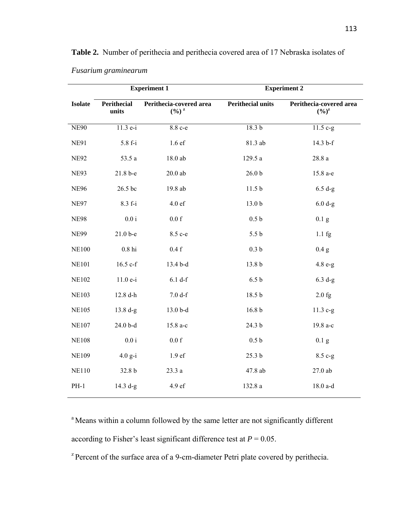|                |                      | <b>Experiment 1</b>                          | <b>Experiment 2</b>      |                                                          |  |  |
|----------------|----------------------|----------------------------------------------|--------------------------|----------------------------------------------------------|--|--|
| <b>Isolate</b> | Perithecial<br>units | Perithecia-covered area<br>$(\frac{0}{0})^2$ | <b>Perithecial units</b> | Perithecia-covered area<br>$(\frac{6}{6})^{\frac{z}{2}}$ |  |  |
| <b>NE90</b>    | 11.3 e-i             | 8.8 c-e                                      | 18.3 <sub>b</sub>        | $11.5 c-g$                                               |  |  |
| <b>NE91</b>    | 5.8 f-i              | 1.6ef                                        | 81.3 ab                  | 14.3 b-f                                                 |  |  |
| <b>NE92</b>    | 53.5 a               | 18.0 ab                                      | 129.5 a                  | 28.8a                                                    |  |  |
| <b>NE93</b>    | 21.8 b-e             | $20.0$ ab                                    | 26.0 <sub>b</sub>        | 15.8 a-e                                                 |  |  |
| <b>NE96</b>    | 26.5 bc              | 19.8 ab                                      | 11.5 <sub>b</sub>        | $6.5 d-g$                                                |  |  |
| <b>NE97</b>    | $8.3 f-i$            | 4.0ef                                        | 13.0 <sub>b</sub>        | $6.0 d-g$                                                |  |  |
| <b>NE98</b>    | $0.0\,\mathrm{i}$    | $0.0\ {\rm f}$                               | 0.5 <sub>b</sub>         | $0.1\text{ g}$                                           |  |  |
| <b>NE99</b>    | $21.0 b - e$         | 8.5 c-e                                      | 5.5 <sub>b</sub>         | $1.1 \text{ fg}$                                         |  |  |
| <b>NE100</b>   | $0.8~\mathrm{hi}$    | $0.4\ {\rm f}$                               | 0.3 <sub>b</sub>         | 0.4 g                                                    |  |  |
| <b>NE101</b>   | $16.5$ c-f           | 13.4 b-d                                     | 13.8 b                   | $4.8 e-g$                                                |  |  |
| <b>NE102</b>   | $11.0e-i$            | 6.1 df                                       | 6.5 <sub>b</sub>         | $6.3 d-g$                                                |  |  |
| <b>NE103</b>   | 12.8 d-h             | $7.0 d-f$                                    | 18.5 b                   | $2.0$ fg                                                 |  |  |
| <b>NE105</b>   | $13.8 d-g$           | 13.0 b-d                                     | 16.8 <sub>b</sub>        | $11.3 c-g$                                               |  |  |
| <b>NE107</b>   | 24.0 b-d             | 15.8 a-c                                     | 24.3 b                   | 19.8 a-c                                                 |  |  |
| <b>NE108</b>   | $0.0\,\mathrm{i}$    | $0.0\ {\rm f}$                               | 0.5 <sub>b</sub>         | 0.1 <sub>g</sub>                                         |  |  |
| <b>NE109</b>   | $4.0 g-i$            | 1.9 ef                                       | 25.3 <sub>b</sub>        | 8.5 c-g                                                  |  |  |
| <b>NE110</b>   | 32.8 b               | 23.3 a                                       | 47.8 ab                  | $27.0$ ab                                                |  |  |
| $PH-1$         | $14.3 d-g$           | 4.9 ef                                       | 132.8 a                  | 18.0 a-d                                                 |  |  |

**Table 2.** Number of perithecia and perithecia covered area of 17 Nebraska isolates of

*Fusarium graminearum*

<sup>a</sup> Means within a column followed by the same letter are not significantly different according to Fisher's least significant difference test at  $P = 0.05$ .

<sup>z</sup> Percent of the surface area of a 9-cm-diameter Petri plate covered by perithecia.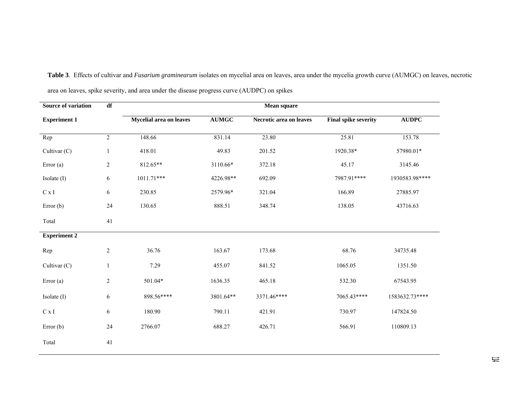| <b>Source of variation</b> | $\overline{\text{df}}$ | Mean square             |              |                         |                             |                |  |  |
|----------------------------|------------------------|-------------------------|--------------|-------------------------|-----------------------------|----------------|--|--|
| <b>Experiment 1</b>        |                        | Mycelial area on leaves | <b>AUMGC</b> | Necrotic area on leaves | <b>Final spike severity</b> | <b>AUDPC</b>   |  |  |
| Rep                        | $\overline{c}$         | 148.66                  | 831.14       | 23.80                   | 25.81                       | 153.78         |  |  |
| Cultivar (C)               | $\mathbf{1}$           | 418.01                  | 49.83        | 201.52                  | 1920.38*                    | 57980.01*      |  |  |
| Error (a)                  | $\overline{c}$         | 812.65**                | 3110.66*     | 372.18                  | 45.17                       | 3145.46        |  |  |
| Isolate (I)                | 6                      | 1011.71***              | 4226.98**    | 692.09                  | 7987.91****                 | 1930583.98**** |  |  |
| $\mathrm{C}\ge\mathrm{I}$  | 6                      | 230.85                  | 2579.96*     | 321.04                  | 166.89                      | 27885.97       |  |  |
| Error $(b)$                | 24                     | 130.65                  | 888.51       | 348.74                  | 138.05                      | 43716.63       |  |  |
| Total                      | 41                     |                         |              |                         |                             |                |  |  |
| <b>Experiment 2</b>        |                        |                         |              |                         |                             |                |  |  |
| Rep                        | $\overline{c}$         | 36.76                   | 163.67       | 173.68                  | 68.76                       | 34735.48       |  |  |
| Cultivar (C)               | $\mathbf{1}$           | 7.29                    | 455.07       | 841.52                  | 1065.05                     | 1351.50        |  |  |
| Error(a)                   | $\overline{c}$         | 501.04*                 | 1636.35      | 465.18                  | 532.30                      | 67543.95       |  |  |
| Isolate (I)                | 6                      | 898.56****              | 3801.64**    | 3371.46****             | 7065.43****                 | 1583632.73**** |  |  |
| C x I                      | 6                      | 180.90                  | 790.11       | 421.91                  | 730.97                      | 147824.50      |  |  |
| Error $(b)$                | 24                     | 2766.07                 | 688.27       | 426.71                  | 566.91                      | 110809.13      |  |  |
| Total                      | 41                     |                         |              |                         |                             |                |  |  |

**Table 3**. Effects of cultivar and *Fusarium graminearum* isolates on mycelial area on leaves, area under the mycelia growth curve (AUMGC) on leaves, necrotic area on leaves, spike severity, and area under the disease progress curve (AUDPC) on spikes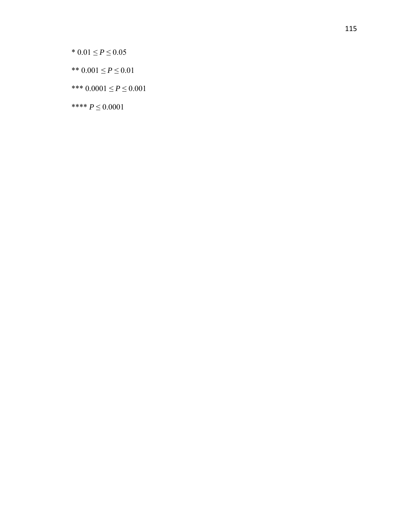\*  $0.01 \le P \le 0.05$ 

- \*\*  $0.001 \le P \le 0.01$
- \*\*\*  $0.0001 \le P \le 0.001$

\*\*\*\*  $P \le 0.0001$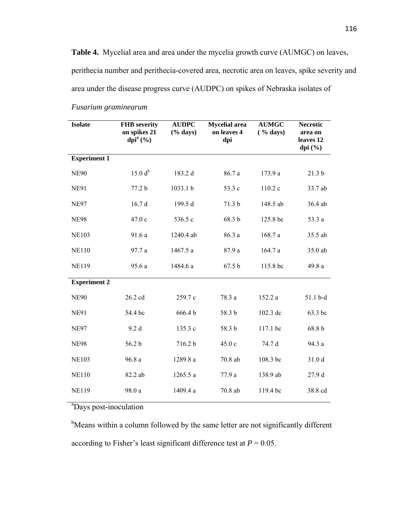**Table 4.** Mycelial area and area under the mycelia growth curve (AUMGC) on leaves, perithecia number and perithecia-covered area, necrotic area on leaves, spike severity and area under the disease progress curve (AUDPC) on spikes of Nebraska isolates of

| <b>Isolate</b>      | <b>FHB</b> severity<br>on spikes 21<br>dpi $a(%)$ | <b>AUDPC</b><br>$(\%$ days) | <b>Mycelial</b> area<br>on leaves 4<br>dpi | <b>AUMGC</b><br>( % days) | <b>Necrotic</b><br>area on<br>leaves 12<br>dpi $(\%)$ |
|---------------------|---------------------------------------------------|-----------------------------|--------------------------------------------|---------------------------|-------------------------------------------------------|
| <b>Experiment 1</b> |                                                   |                             |                                            |                           |                                                       |
| <b>NE90</b>         | $15.0 d^{b}$                                      | 183.2 d                     | 86.7 a                                     | 173.9 a                   | 21.3 <sub>b</sub>                                     |
| <b>NE91</b>         | 77.2 b                                            | 1033.1 b                    | 53.3 c                                     | 110.2 c                   | 33.7 ab                                               |
| <b>NE97</b>         | 16.7d                                             | 199.5 d                     | 71.3 b                                     | 148.5 ab                  | 36.4 ab                                               |
| <b>NE98</b>         | 47.0 c                                            | 536.5 c                     | 68.3 b                                     | 125.8 bc                  | 53.3 a                                                |
| <b>NE103</b>        | 91.6 a                                            | 1240.4 ab                   | 86.3 a                                     | 168.7 a                   | 35.5 ab                                               |
| <b>NE110</b>        | 97.7 a                                            | 1467.5 a                    | 87.9 a                                     | 164.7 a                   | 35.0 ab                                               |
| <b>NE119</b>        | 95.6 a                                            | 1484.6 a                    | 67.5 <sub>b</sub>                          | 115.8 bc                  | 49.8 a                                                |
| <b>Experiment 2</b> |                                                   |                             |                                            |                           |                                                       |
| <b>NE90</b>         | 26.2 cd                                           | 259.7 c                     | 78.3 a                                     | 152.2 a                   | 51.1 b-d                                              |
| <b>NE91</b>         | 54.4 bc                                           | 666.4b                      | 58.3 b                                     | 102.3 dc                  | 63.3 bc                                               |
| <b>NE97</b>         | 9.2d                                              | 135.3 c                     | 58.3 b                                     | 117.1 bc                  | 68.8 b                                                |
| <b>NE98</b>         | 56.2 b                                            | 716.2 b                     | 45.0 c                                     | 74.7 d                    | 94.3 a                                                |
| <b>NE103</b>        | 96.8a                                             | 1289.8 a                    | 70.8 ab                                    | 108.3 bc                  | 31.0 d                                                |
| <b>NE110</b>        | 82.2 ab                                           | 1265.5 a                    | 77.9 a                                     | 138.9 ab                  | 27.9 d                                                |
| <b>NE119</b>        | 98.0 a                                            | 1409.4 a                    | 70.8 ab                                    | 119.4 bc                  | 38.8 cd                                               |

## *Fusarium graminearum*

<sup>a</sup>Days post-inoculation

<sup>b</sup>Means within a column followed by the same letter are not significantly different according to Fisher's least significant difference test at  $P = 0.05$ .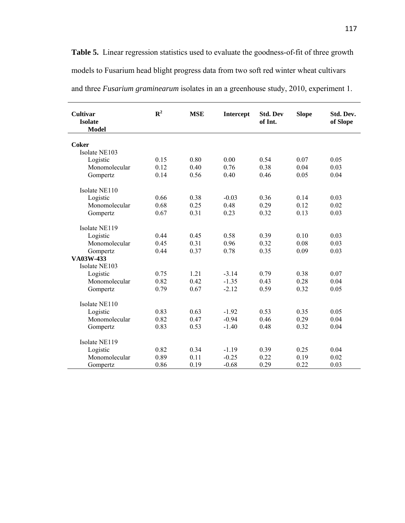Table 5. Linear regression statistics used to evaluate the goodness-of-fit of three growth models to Fusarium head blight progress data from two soft red winter wheat cultivars and three *Fusarium graminearum* isolates in an a greenhouse study, 2010, experiment 1.

| $\mathbb{R}^2$ | <b>MSE</b>                                                                   | Intercept                                                                            | <b>Std. Dev</b><br>of Int.                                                             | <b>Slope</b>                                                         | Std. Dev.<br>of Slope                                                        |
|----------------|------------------------------------------------------------------------------|--------------------------------------------------------------------------------------|----------------------------------------------------------------------------------------|----------------------------------------------------------------------|------------------------------------------------------------------------------|
|                |                                                                              |                                                                                      |                                                                                        |                                                                      |                                                                              |
|                |                                                                              |                                                                                      |                                                                                        |                                                                      |                                                                              |
|                |                                                                              |                                                                                      |                                                                                        |                                                                      | 0.05                                                                         |
|                |                                                                              |                                                                                      |                                                                                        |                                                                      |                                                                              |
|                |                                                                              |                                                                                      |                                                                                        |                                                                      | 0.03                                                                         |
|                |                                                                              |                                                                                      |                                                                                        |                                                                      | 0.04                                                                         |
|                |                                                                              |                                                                                      |                                                                                        |                                                                      |                                                                              |
| 0.66           | 0.38                                                                         | $-0.03$                                                                              | 0.36                                                                                   | 0.14                                                                 | 0.03                                                                         |
| 0.68           | 0.25                                                                         | 0.48                                                                                 | 0.29                                                                                   | 0.12                                                                 | 0.02                                                                         |
| 0.67           | 0.31                                                                         | 0.23                                                                                 | 0.32                                                                                   | 0.13                                                                 | 0.03                                                                         |
|                |                                                                              |                                                                                      |                                                                                        |                                                                      |                                                                              |
|                |                                                                              |                                                                                      |                                                                                        |                                                                      |                                                                              |
| 0.44           | 0.45                                                                         | 0.58                                                                                 | 0.39                                                                                   | 0.10                                                                 | 0.03                                                                         |
| 0.45           | 0.31                                                                         | 0.96                                                                                 | 0.32                                                                                   | 0.08                                                                 | 0.03                                                                         |
|                |                                                                              | 0.78                                                                                 |                                                                                        |                                                                      | 0.03                                                                         |
|                |                                                                              |                                                                                      |                                                                                        |                                                                      |                                                                              |
|                |                                                                              |                                                                                      |                                                                                        |                                                                      |                                                                              |
|                |                                                                              |                                                                                      |                                                                                        |                                                                      | 0.07                                                                         |
|                |                                                                              |                                                                                      |                                                                                        |                                                                      | 0.04                                                                         |
|                |                                                                              |                                                                                      |                                                                                        |                                                                      | 0.05                                                                         |
|                |                                                                              |                                                                                      |                                                                                        |                                                                      |                                                                              |
|                |                                                                              |                                                                                      |                                                                                        |                                                                      |                                                                              |
|                |                                                                              |                                                                                      | 0.53                                                                                   |                                                                      | 0.05                                                                         |
|                |                                                                              |                                                                                      |                                                                                        |                                                                      | 0.04                                                                         |
|                |                                                                              |                                                                                      |                                                                                        |                                                                      | 0.04                                                                         |
|                |                                                                              |                                                                                      |                                                                                        |                                                                      |                                                                              |
|                |                                                                              |                                                                                      |                                                                                        |                                                                      |                                                                              |
| 0.82           | 0.34                                                                         | $-1.19$                                                                              | 0.39                                                                                   | 0.25                                                                 | 0.04                                                                         |
| 0.89           | 0.11                                                                         | $-0.25$                                                                              | 0.22                                                                                   | 0.19                                                                 | 0.02                                                                         |
| 0.86           |                                                                              | $-0.68$                                                                              | 0.29                                                                                   | 0.22                                                                 | 0.03                                                                         |
|                | 0.15<br>0.12<br>0.14<br>0.44<br>0.75<br>0.82<br>0.79<br>0.83<br>0.82<br>0.83 | 0.80<br>0.40<br>0.56<br>0.37<br>1.21<br>0.42<br>0.67<br>0.63<br>0.47<br>0.53<br>0.19 | 0.00<br>0.76<br>0.40<br>$-3.14$<br>$-1.35$<br>$-2.12$<br>$-1.92$<br>$-0.94$<br>$-1.40$ | 0.54<br>0.38<br>0.46<br>0.35<br>0.79<br>0.43<br>0.59<br>0.46<br>0.48 | 0.07<br>0.04<br>0.05<br>0.09<br>0.38<br>0.28<br>0.32<br>0.35<br>0.29<br>0.32 |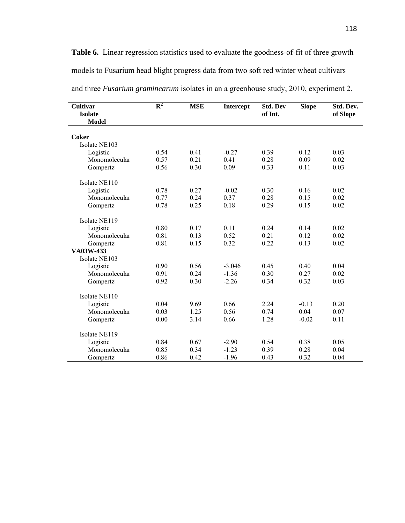Table 6. Linear regression statistics used to evaluate the goodness-of-fit of three growth models to Fusarium head blight progress data from two soft red winter wheat cultivars

| <b>Cultivar</b><br><b>Isolate</b><br><b>Model</b> | $R^2$ | <b>MSE</b> | <b>Intercept</b> | <b>Std. Dev</b><br>of Int. | <b>Slope</b> | Std. Dev.<br>of Slope |
|---------------------------------------------------|-------|------------|------------------|----------------------------|--------------|-----------------------|
| Coker                                             |       |            |                  |                            |              |                       |
| Isolate NE103                                     |       |            |                  |                            |              |                       |
| Logistic                                          | 0.54  | 0.41       | $-0.27$          | 0.39                       | 0.12         | 0.03                  |
| Monomolecular                                     | 0.57  | 0.21       | 0.41             | 0.28                       | 0.09         | 0.02                  |
| Gompertz                                          | 0.56  | 0.30       | 0.09             | 0.33                       | 0.11         | 0.03                  |
| Isolate NE110                                     |       |            |                  |                            |              |                       |
| Logistic                                          | 0.78  | 0.27       | $-0.02$          | 0.30                       | 0.16         | 0.02                  |
| Monomolecular                                     | 0.77  | 0.24       | 0.37             | 0.28                       | 0.15         | 0.02                  |
| Gompertz                                          | 0.78  | 0.25       | 0.18             | 0.29                       | 0.15         | 0.02                  |
| Isolate NE119                                     |       |            |                  |                            |              |                       |
| Logistic                                          | 0.80  | 0.17       | 0.11             | 0.24                       | 0.14         | 0.02                  |
| Monomolecular                                     | 0.81  | 0.13       | 0.52             | 0.21                       | 0.12         | 0.02                  |
| Gompertz                                          | 0.81  | 0.15       | 0.32             | 0.22                       | 0.13         | 0.02                  |
| VA03W-433                                         |       |            |                  |                            |              |                       |
| Isolate NE103                                     |       |            |                  |                            |              |                       |
| Logistic                                          | 0.90  | 0.56       | $-3.046$         | 0.45                       | 0.40         | 0.04                  |
| Monomolecular                                     | 0.91  | 0.24       | $-1.36$          | 0.30                       | 0.27         | 0.02                  |
| Gompertz                                          | 0.92  | 0.30       | $-2.26$          | 0.34                       | 0.32         | 0.03                  |
| Isolate NE110                                     |       |            |                  |                            |              |                       |
| Logistic                                          | 0.04  | 9.69       | 0.66             | 2.24                       | $-0.13$      | 0.20                  |
| Monomolecular                                     | 0.03  | 1.25       | 0.56             | 0.74                       | 0.04         | 0.07                  |
| Gompertz                                          | 0.00  | 3.14       | 0.66             | 1.28                       | $-0.02$      | 0.11                  |
| Isolate NE119                                     |       |            |                  |                            |              |                       |
| Logistic                                          | 0.84  | 0.67       | $-2.90$          | 0.54                       | 0.38         | 0.05                  |
| Monomolecular                                     | 0.85  | 0.34       | $-1.23$          | 0.39                       | 0.28         | 0.04                  |
| Gompertz                                          | 0.86  | 0.42       | $-1.96$          | 0.43                       | 0.32         | 0.04                  |

and three *Fusarium graminearum* isolates in an a greenhouse study, 2010, experiment 2.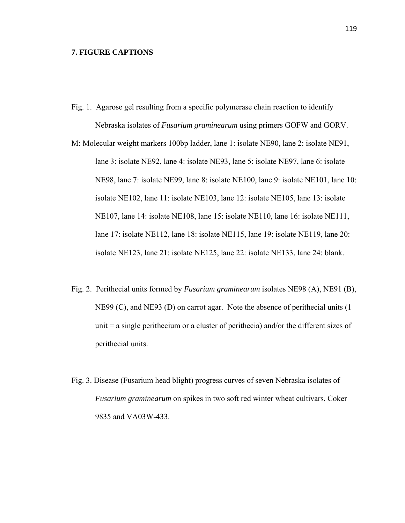## **7. FIGURE CAPTIONS**

- Fig. 1. Agarose gel resulting from a specific polymerase chain reaction to identify Nebraska isolates of *Fusarium graminearum* using primers GOFW and GORV.
- M: Molecular weight markers 100bp ladder, lane 1: isolate NE90, lane 2: isolate NE91, lane 3: isolate NE92, lane 4: isolate NE93, lane 5: isolate NE97, lane 6: isolate NE98, lane 7: isolate NE99, lane 8: isolate NE100, lane 9: isolate NE101, lane 10: isolate NE102, lane 11: isolate NE103, lane 12: isolate NE105, lane 13: isolate NE107, lane 14: isolate NE108, lane 15: isolate NE110, lane 16: isolate NE111, lane 17: isolate NE112, lane 18: isolate NE115, lane 19: isolate NE119, lane 20: isolate NE123, lane 21: isolate NE125, lane 22: isolate NE133, lane 24: blank.
- Fig. 2. Perithecial units formed by *Fusarium graminearum* isolates NE98 (A), NE91 (B), NE99 (C), and NE93 (D) on carrot agar. Note the absence of perithecial units (1 unit = a single perithecium or a cluster of perithecia) and/or the different sizes of perithecial units.
- Fig. 3. Disease (Fusarium head blight) progress curves of seven Nebraska isolates of *Fusarium graminearum* on spikes in two soft red winter wheat cultivars, Coker 9835 and VA03W-433.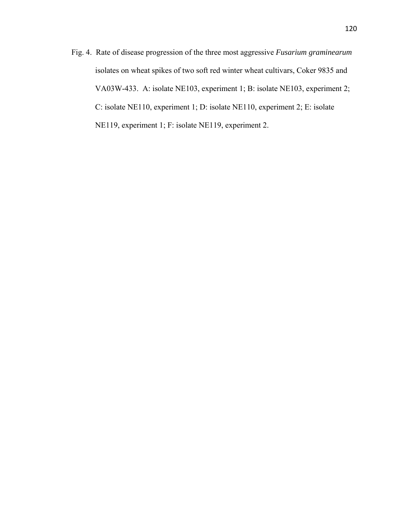Fig. 4. Rate of disease progression of the three most aggressive *Fusarium graminearum* isolates on wheat spikes of two soft red winter wheat cultivars, Coker 9835 and VA03W-433. A: isolate NE103, experiment 1; B: isolate NE103, experiment 2; C: isolate NE110, experiment 1; D: isolate NE110, experiment 2; E: isolate NE119, experiment 1; F: isolate NE119, experiment 2.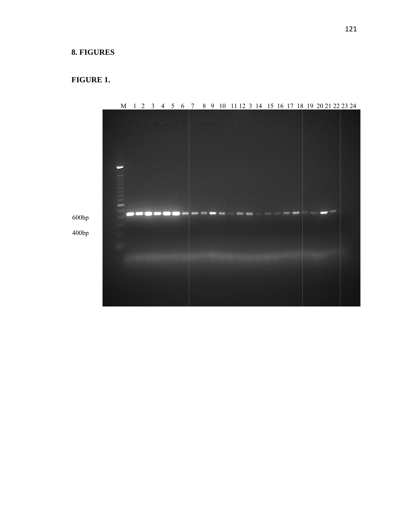## **. FIGURES**

## **F FIGURE 1.**



M 1 2 3 4 5 6 7 8 9 10 11 12 3 14 15 16 17 18 19 20 21 22 23 24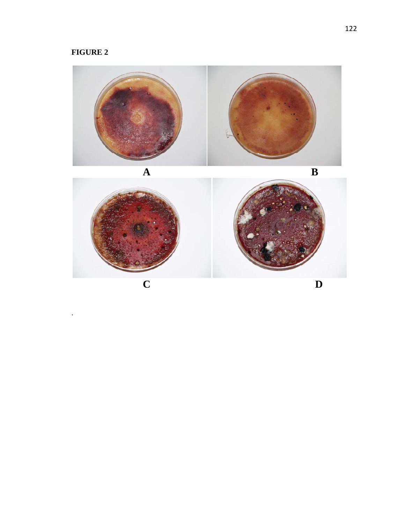# **FIGURE 2**

.



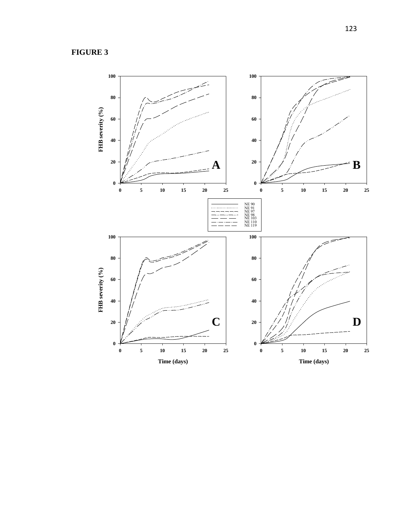